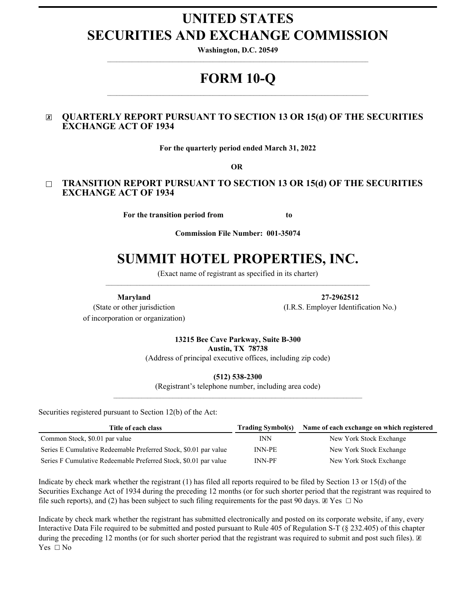# **UNITED STATES SECURITIES AND EXCHANGE COMMISSION**

**Washington, D.C. 20549**

# **FORM 10-Q**

# ☒ **QUARTERLY REPORT PURSUANT TO SECTION 13 OR 15(d) OF THE SECURITIES EXCHANGE ACT OF 1934**

**For the quarterly period ended March 31, 2022**

**OR**

# ☐ **TRANSITION REPORT PURSUANT TO SECTION 13 OR 15(d) OF THE SECURITIES EXCHANGE ACT OF 1934**

**For the transition period from to** 

**Commission File Number: 001-35074**

# **SUMMIT HOTEL PROPERTIES, INC.**

(Exact name of registrant as specified in its charter)

of incorporation or organization)

**Maryland 27-2962512** (State or other jurisdiction (I.R.S. Employer Identification No.)

> **13215 Bee Cave Parkway, Suite B-300 Austin, TX 78738** (Address of principal executive offices, including zip code)

> > **(512) 538-2300**

(Registrant's telephone number, including area code)

Securities registered pursuant to Section 12(b) of the Act:

| Title of each class                                              | <b>Trading Symbol(s)</b> | Name of each exchange on which registered |
|------------------------------------------------------------------|--------------------------|-------------------------------------------|
| Common Stock, \$0.01 par value                                   | INN                      | New York Stock Exchange                   |
| Series E Cumulative Redeemable Preferred Stock, \$0.01 par value | <b>INN-PE</b>            | New York Stock Exchange                   |
| Series F Cumulative Redeemable Preferred Stock, \$0.01 par value | <b>INN-PF</b>            | New York Stock Exchange                   |

Indicate by check mark whether the registrant (1) has filed all reports required to be filed by Section 13 or 15(d) of the Securities Exchange Act of 1934 during the preceding 12 months (or for such shorter period that the registrant was required to file such reports), and (2) has been subject to such filing requirements for the past 90 days.  $\mathbb{Z}$  Yes  $\Box$  No

Indicate by check mark whether the registrant has submitted electronically and posted on its corporate website, if any, every Interactive Data File required to be submitted and posted pursuant to Rule 405 of Regulation S-T (§ 232.405) of this chapter during the preceding 12 months (or for such shorter period that the registrant was required to submit and post such files).  $\boxtimes$ Yes ☐ No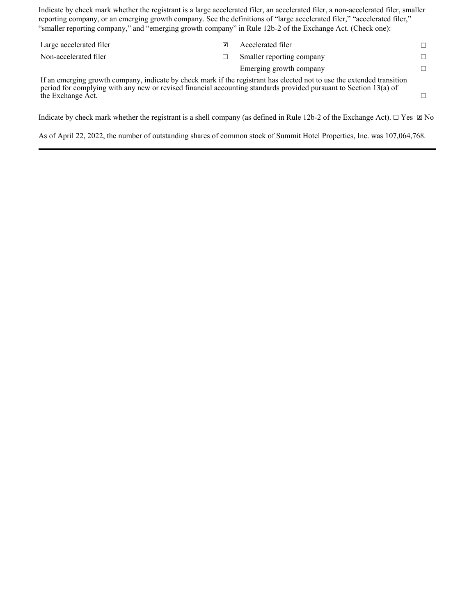Indicate by check mark whether the registrant is a large accelerated filer, an accelerated filer, a non-accelerated filer, smaller reporting company, or an emerging growth company. See the definitions of "large accelerated filer," "accelerated filer," "smaller reporting company," and "emerging growth company" in Rule 12b-2 of the Exchange Act. (Check one):

| Large accelerated filer                                                                                                                                                                                                                                                |  | Accelerated filer         | П. |  |  |  |  |  |
|------------------------------------------------------------------------------------------------------------------------------------------------------------------------------------------------------------------------------------------------------------------------|--|---------------------------|----|--|--|--|--|--|
| Non-accelerated filer                                                                                                                                                                                                                                                  |  | Smaller reporting company | П. |  |  |  |  |  |
|                                                                                                                                                                                                                                                                        |  | Emerging growth company   |    |  |  |  |  |  |
| If an emerging growth company, indicate by check mark if the registrant has elected not to use the extended transition<br>period for complying with any new or revised financial accounting standards provided pursuant to Section 13(a) of<br>the Exchange Act.<br>П. |  |                           |    |  |  |  |  |  |

Indicate by check mark whether the registrant is a shell company (as defined in Rule 12b-2 of the Exchange Act).  $\Box$  Yes  $\Box$  No

As of April 22, 2022, the number of outstanding shares of common stock of Summit Hotel Properties, Inc. was 107,064,768.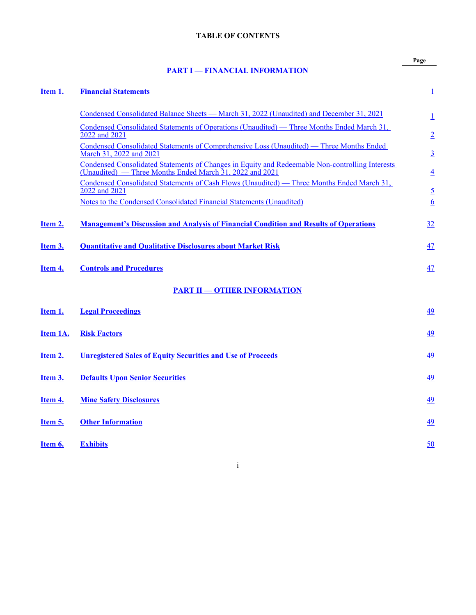# **TABLE OF CONTENTS**

# **[PART I — FINANCIAL INFORMATION](#page-3-0)**

**Page**

| Item 1.  | <b>Financial Statements</b>                                                                                                                                     | $\overline{1}$ |
|----------|-----------------------------------------------------------------------------------------------------------------------------------------------------------------|----------------|
|          | Condensed Consolidated Balance Sheets — March 31, 2022 (Unaudited) and December 31, 2021                                                                        | $\overline{1}$ |
|          | Condensed Consolidated Statements of Operations (Unaudited) — Three Months Ended March 31,<br>2022 and 2021                                                     | $\overline{2}$ |
|          | Condensed Consolidated Statements of Comprehensive Loss (Unaudited) — Three Months Ended<br>March 31, 2022 and 2021                                             | $\overline{3}$ |
|          | Condensed Consolidated Statements of Changes in Equity and Redeemable Non-controlling Interests<br>(Unaudited) — Three Months Ended March $31, 2022$ and $2021$ | $\overline{4}$ |
|          | Condensed Consolidated Statements of Cash Flows (Unaudited) — Three Months Ended March 31,<br>2022 and 2021                                                     | $\overline{5}$ |
|          | Notes to the Condensed Consolidated Financial Statements (Unaudited)                                                                                            | 6              |
| Item 2.  | <b>Management's Discussion and Analysis of Financial Condition and Results of Operations</b>                                                                    | 32             |
| Item 3.  | <b>Quantitative and Qualitative Disclosures about Market Risk</b>                                                                                               | 47             |
| Item 4.  | <b>Controls and Procedures</b>                                                                                                                                  | 47             |
|          | <b>PART II - OTHER INFORMATION</b>                                                                                                                              |                |
| Item 1.  | <b>Legal Proceedings</b>                                                                                                                                        | 49             |
| Item 1A. | <b>Risk Factors</b>                                                                                                                                             | 49             |
| Item 2.  | <b>Unregistered Sales of Equity Securities and Use of Proceeds</b>                                                                                              | 49             |
| Item 3.  | <b>Defaults Upon Senior Securities</b>                                                                                                                          | 49             |
| Item 4.  | <b>Mine Safety Disclosures</b>                                                                                                                                  | 49             |
| Item 5.  | <b>Other Information</b>                                                                                                                                        | 49             |
| Item 6.  | <b>Exhibits</b>                                                                                                                                                 | 50             |

# i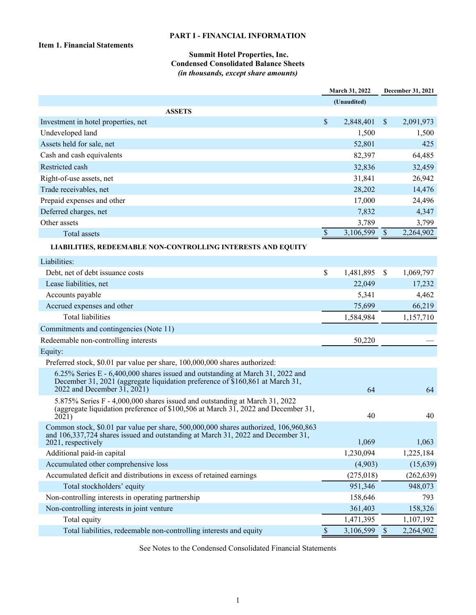# **PART I - FINANCIAL INFORMATION**

#### <span id="page-3-0"></span>**Item 1. Financial Statements**

# **Summit Hotel Properties, Inc. Condensed Consolidated Balance Sheets** *(in thousands, except share amounts)*

|                                                                                                                                                                                                |                           | March 31, 2022 | December 31, 2021         |            |  |
|------------------------------------------------------------------------------------------------------------------------------------------------------------------------------------------------|---------------------------|----------------|---------------------------|------------|--|
|                                                                                                                                                                                                |                           | (Unaudited)    |                           |            |  |
| <b>ASSETS</b>                                                                                                                                                                                  |                           |                |                           |            |  |
| Investment in hotel properties, net                                                                                                                                                            | $\boldsymbol{\mathsf{S}}$ | 2,848,401      | $\mathsf{\$}$             | 2,091,973  |  |
| Undeveloped land                                                                                                                                                                               |                           | 1,500          |                           | 1,500      |  |
| Assets held for sale, net                                                                                                                                                                      |                           | 52,801         |                           | 425        |  |
| Cash and cash equivalents                                                                                                                                                                      |                           | 82,397         |                           | 64,485     |  |
| Restricted cash                                                                                                                                                                                |                           | 32,836         |                           | 32,459     |  |
| Right-of-use assets, net                                                                                                                                                                       |                           | 31,841         |                           | 26,942     |  |
| Trade receivables, net                                                                                                                                                                         |                           | 28,202         |                           | 14,476     |  |
| Prepaid expenses and other                                                                                                                                                                     |                           | 17,000         |                           | 24,496     |  |
| Deferred charges, net                                                                                                                                                                          |                           | 7,832          |                           | 4,347      |  |
| Other assets                                                                                                                                                                                   |                           | 3,789          |                           | 3,799      |  |
| Total assets                                                                                                                                                                                   | $\boldsymbol{\mathsf{S}}$ | 3,106,599      | $\sqrt{3}$                | 2,264,902  |  |
| <b>LIABILITIES, REDEEMABLE NON-CONTROLLING INTERESTS AND EQUITY</b>                                                                                                                            |                           |                |                           |            |  |
| Liabilities:                                                                                                                                                                                   |                           |                |                           |            |  |
| Debt, net of debt issuance costs                                                                                                                                                               | \$                        | 1,481,895      | \$                        | 1,069,797  |  |
| Lease liabilities, net                                                                                                                                                                         |                           | 22,049         |                           | 17,232     |  |
| Accounts payable                                                                                                                                                                               |                           | 5,341          |                           | 4,462      |  |
| Accrued expenses and other                                                                                                                                                                     |                           | 75,699         |                           | 66,219     |  |
| Total liabilities                                                                                                                                                                              |                           | 1,584,984      |                           | 1,157,710  |  |
| Commitments and contingencies (Note 11)                                                                                                                                                        |                           |                |                           |            |  |
| Redeemable non-controlling interests                                                                                                                                                           |                           | 50,220         |                           |            |  |
| Equity:                                                                                                                                                                                        |                           |                |                           |            |  |
| Preferred stock, \$0.01 par value per share, 100,000,000 shares authorized:                                                                                                                    |                           |                |                           |            |  |
| 6.25% Series E - 6,400,000 shares issued and outstanding at March 31, 2022 and<br>December 31, 2021 (aggregate liquidation preference of \$160,861 at March 31,<br>2022 and December 31, 2021) |                           | 64             |                           | 64         |  |
| 5.875% Series F - 4,000,000 shares issued and outstanding at March 31, 2022<br>(aggregate liquidation preference of \$100,506 at March 31, 2022 and December 31,<br>2021)                      |                           | 40             |                           | 40         |  |
| Common stock, \$0.01 par value per share, 500,000,000 shares authorized, 106,960,863<br>and 106,337,724 shares issued and outstanding at March 31, 2022 and December 31                        |                           |                |                           |            |  |
| 2021, respectively                                                                                                                                                                             |                           | 1,069          |                           | 1,063      |  |
| Additional paid-in capital                                                                                                                                                                     |                           | 1,230,094      |                           | 1,225,184  |  |
| Accumulated other comprehensive loss                                                                                                                                                           |                           | (4,903)        |                           | (15,639)   |  |
| Accumulated deficit and distributions in excess of retained earnings                                                                                                                           |                           | (275, 018)     |                           | (262, 639) |  |
| Total stockholders' equity                                                                                                                                                                     |                           | 951,346        |                           | 948,073    |  |
| Non-controlling interests in operating partnership                                                                                                                                             |                           | 158,646        |                           | 793        |  |
| Non-controlling interests in joint venture                                                                                                                                                     |                           | 361,403        |                           | 158,326    |  |
| Total equity                                                                                                                                                                                   |                           | 1,471,395      |                           | 1,107,192  |  |
| Total liabilities, redeemable non-controlling interests and equity                                                                                                                             | \$                        | 3,106,599      | $\boldsymbol{\mathsf{S}}$ | 2,264,902  |  |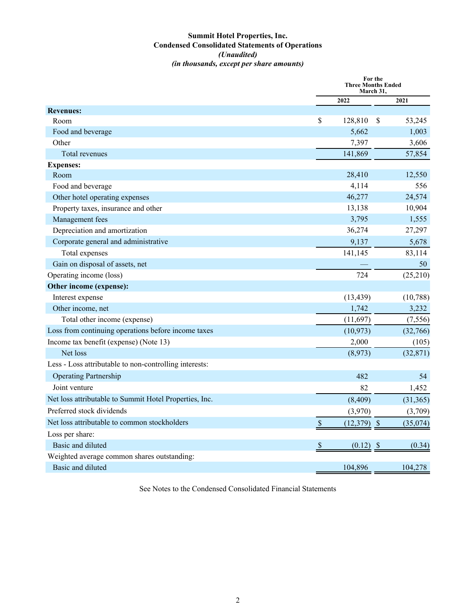# **Summit Hotel Properties, Inc. Condensed Consolidated Statements of Operations** *(Unaudited) (in thousands, except per share amounts)*

<span id="page-4-0"></span>

|                                                        | For the<br><b>Three Months Ended</b><br>March 31, |               |               |           |  |
|--------------------------------------------------------|---------------------------------------------------|---------------|---------------|-----------|--|
|                                                        |                                                   | 2022          |               | 2021      |  |
| <b>Revenues:</b>                                       |                                                   |               |               |           |  |
| Room                                                   | \$                                                | 128,810       | $\mathcal{S}$ | 53,245    |  |
| Food and beverage                                      |                                                   | 5,662         |               | 1,003     |  |
| Other                                                  |                                                   | 7,397         |               | 3,606     |  |
| Total revenues                                         |                                                   | 141,869       |               | 57,854    |  |
| <b>Expenses:</b>                                       |                                                   |               |               |           |  |
| Room                                                   |                                                   | 28,410        |               | 12,550    |  |
| Food and beverage                                      |                                                   | 4,114         |               | 556       |  |
| Other hotel operating expenses                         |                                                   | 46,277        |               | 24,574    |  |
| Property taxes, insurance and other                    |                                                   | 13,138        |               | 10,904    |  |
| Management fees                                        |                                                   | 3,795         |               | 1,555     |  |
| Depreciation and amortization                          |                                                   | 36,274        |               | 27,297    |  |
| Corporate general and administrative                   |                                                   | 9,137         |               | 5,678     |  |
| Total expenses                                         |                                                   | 141,145       |               | 83,114    |  |
| Gain on disposal of assets, net                        |                                                   |               |               | 50        |  |
| Operating income (loss)                                |                                                   | 724           |               | (25,210)  |  |
| Other income (expense):                                |                                                   |               |               |           |  |
| Interest expense                                       |                                                   | (13, 439)     |               | (10, 788) |  |
| Other income, net                                      |                                                   | 1,742         |               | 3,232     |  |
| Total other income (expense)                           |                                                   | (11,697)      |               | (7, 556)  |  |
| Loss from continuing operations before income taxes    |                                                   | (10, 973)     |               | (32,766)  |  |
| Income tax benefit (expense) (Note 13)                 |                                                   | 2,000         |               | (105)     |  |
| Net loss                                               |                                                   | (8,973)       |               | (32, 871) |  |
| Less - Loss attributable to non-controlling interests: |                                                   |               |               |           |  |
| <b>Operating Partnership</b>                           |                                                   | 482           |               | 54        |  |
| Joint venture                                          |                                                   | 82            |               | 1,452     |  |
| Net loss attributable to Summit Hotel Properties, Inc. |                                                   | (8, 409)      |               | (31, 365) |  |
| Preferred stock dividends                              |                                                   | (3,970)       |               | (3,709)   |  |
| Net loss attributable to common stockholders           | $\mathcal{S}$                                     | $(12,379)$ \$ |               | (35,074)  |  |
| Loss per share:                                        |                                                   |               |               |           |  |
| Basic and diluted                                      | $\boldsymbol{\mathsf{S}}$                         | (0.12)        | -\$           | (0.34)    |  |
| Weighted average common shares outstanding:            |                                                   |               |               |           |  |
| Basic and diluted                                      |                                                   | 104,896       |               | 104,278   |  |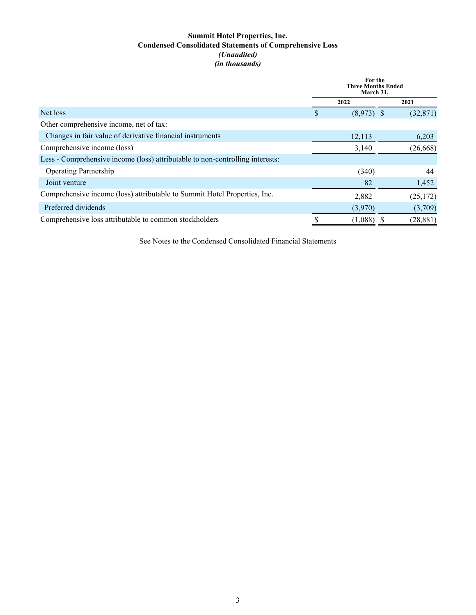# **Summit Hotel Properties, Inc. Condensed Consolidated Statements of Comprehensive Loss** *(Unaudited) (in thousands)*

<span id="page-5-0"></span>

|                                                                               | For the<br><b>Three Months Ended</b><br>March 31, |              |  |           |  |
|-------------------------------------------------------------------------------|---------------------------------------------------|--------------|--|-----------|--|
|                                                                               |                                                   | 2022         |  | 2021      |  |
| Net loss                                                                      | \$                                                | $(8,973)$ \$ |  | (32, 871) |  |
| Other comprehensive income, net of tax:                                       |                                                   |              |  |           |  |
| Changes in fair value of derivative financial instruments                     |                                                   | 12,113       |  | 6,203     |  |
| Comprehensive income (loss)                                                   |                                                   | 3,140        |  | (26, 668) |  |
| Less - Comprehensive income (loss) attributable to non-controlling interests: |                                                   |              |  |           |  |
| <b>Operating Partnership</b>                                                  |                                                   | (340)        |  | 44        |  |
| Joint venture                                                                 |                                                   | 82           |  | 1,452     |  |
| Comprehensive income (loss) attributable to Summit Hotel Properties, Inc.     |                                                   | 2,882        |  | (25, 172) |  |
| Preferred dividends                                                           |                                                   | (3,970)      |  | (3,709)   |  |
| Comprehensive loss attributable to common stockholders                        | S                                                 | (1,088)      |  | (28, 881) |  |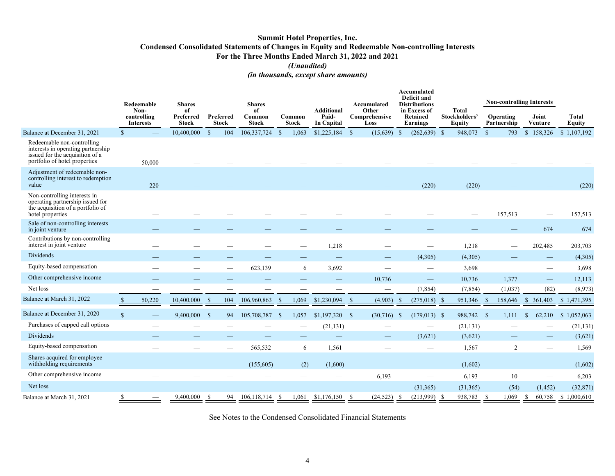# **Summit Hotel Properties, Inc. Condensed Consolidated Statements of Changes in Equity and Redeemable Non-controlling Interests For the Three Months Ended March 31, 2022 and 2021** *(Unaudited)*

# *(in thousands, except share amounts)*

<span id="page-6-0"></span>

|                                                                                                                                      | Redeemable                              |        | <b>Shares</b>                   |              |                           | <b>Shares</b>                |               |                        |                                          | Accumulated   |                                |                    | Accumulated<br>Deficit and<br><b>Distributions</b> |    |                                                |              |         | <b>Non-controlling Interests</b> |                          |             |                          |  |                  |                               |
|--------------------------------------------------------------------------------------------------------------------------------------|-----------------------------------------|--------|---------------------------------|--------------|---------------------------|------------------------------|---------------|------------------------|------------------------------------------|---------------|--------------------------------|--------------------|----------------------------------------------------|----|------------------------------------------------|--------------|---------|----------------------------------|--------------------------|-------------|--------------------------|--|------------------|-------------------------------|
|                                                                                                                                      | Non-<br>controlling<br><b>Interests</b> |        | of<br>Preferred<br><b>Stock</b> |              | Preferred<br><b>Stock</b> | of<br>Common<br><b>Stock</b> |               | Common<br><b>Stock</b> | <b>Additional</b><br>Paid-<br>In Capital |               | Other<br>Comprehensive<br>Loss |                    | in Excess of<br>Retained<br>Earnings               |    | <b>Total</b><br>Stockholders'<br><b>Equity</b> |              |         |                                  |                          |             | Operating<br>Partnership |  | Joint<br>Venture | <b>Total</b><br><b>Equity</b> |
| Balance at December 31, 2021                                                                                                         | $\mathbb{S}$                            |        | 10,400,000                      | $\mathbb{S}$ | 104                       | 106,337,724                  | $\mathbb{S}$  | 1,063                  | \$1,225,184                              | $\mathbb{S}$  | (15,639)                       | $\mathbf{\hat{s}}$ | $(262, 639)$ \$                                    |    | 948,073                                        | $\mathbb{S}$ | 793     | $\mathbb{S}$                     | 158,326                  | \$1,107,192 |                          |  |                  |                               |
| Redeemable non-controlling<br>interests in operating partnership<br>issued for the acquisition of a<br>portfolio of hotel properties |                                         | 50,000 |                                 |              |                           |                              |               |                        |                                          |               |                                |                    |                                                    |    |                                                |              |         |                                  |                          |             |                          |  |                  |                               |
| Adjustment of redeemable non-<br>controlling interest to redemption<br>value                                                         |                                         | 220    |                                 |              |                           |                              |               |                        |                                          |               |                                |                    | (220)                                              |    | (220)                                          |              |         |                                  |                          | (220)       |                          |  |                  |                               |
| Non-controlling interests in<br>operating partnership issued for<br>the acquisition of a portfolio of<br>hotel properties            |                                         |        |                                 |              |                           |                              |               |                        |                                          |               |                                |                    |                                                    |    |                                                |              | 157,513 |                                  |                          | 157,513     |                          |  |                  |                               |
| Sale of non-controlling interests<br>in joint venture                                                                                |                                         |        |                                 |              |                           |                              |               |                        |                                          |               |                                |                    |                                                    |    |                                                |              |         |                                  | 674                      | 674         |                          |  |                  |                               |
| Contributions by non-controlling<br>interest in joint venture                                                                        |                                         |        |                                 |              |                           |                              |               |                        | 1,218                                    |               |                                |                    |                                                    |    | 1,218                                          |              |         |                                  | 202,485                  | 203,703     |                          |  |                  |                               |
| Dividends                                                                                                                            |                                         |        |                                 |              |                           |                              |               |                        |                                          |               |                                |                    | (4,305)                                            |    | (4,305)                                        |              |         |                                  |                          | (4,305)     |                          |  |                  |                               |
| Equity-based compensation                                                                                                            |                                         |        |                                 |              |                           | 623,139                      |               | 6                      | 3,692                                    |               |                                |                    |                                                    |    | 3,698                                          |              |         |                                  |                          | 3,698       |                          |  |                  |                               |
| Other comprehensive income                                                                                                           |                                         |        |                                 |              |                           |                              |               |                        |                                          |               | 10,736                         |                    |                                                    |    | 10,736                                         |              | 1,377   |                                  |                          | 12,113      |                          |  |                  |                               |
| Net loss                                                                                                                             |                                         |        |                                 |              |                           |                              |               |                        |                                          |               | $\overline{\phantom{m}}$       |                    | (7, 854)                                           |    | (7, 854)                                       |              | (1,037) |                                  | (82)                     | (8,973)     |                          |  |                  |                               |
| Balance at March 31, 2022                                                                                                            |                                         | 50,220 | 10,400,000                      | -\$          | 104                       | 106,960,863                  | - \$          | 1,069                  | \$1,230,094                              | -S            | (4,903)                        | S                  | (275,018)                                          | -S | 951,346                                        | -S           | 158,646 | <sup>S</sup>                     | 361,403                  | \$1,471,395 |                          |  |                  |                               |
| Balance at December 31, 2020                                                                                                         | $\mathcal{S}$                           |        | 9,400,000 \$                    |              | 94                        | 105,708,787                  | -\$           | 1,057                  | $$1,197,320$ \ \$                        |               | (30,716)                       | $\mathcal{S}$      | $(179,013)$ \$                                     |    | 988,742 \$                                     |              | 1,111   | $\mathbb{S}$                     | 62,210                   | \$1,052,063 |                          |  |                  |                               |
| Purchases of capped call options                                                                                                     |                                         |        |                                 |              |                           |                              |               |                        | (21, 131)                                |               | -                              |                    | $\hspace{0.1mm}-\hspace{0.1mm}$                    |    | (21, 131)                                      |              |         |                                  |                          | (21, 131)   |                          |  |                  |                               |
| Dividends                                                                                                                            |                                         |        |                                 |              |                           |                              |               |                        |                                          |               |                                |                    | (3,621)                                            |    | (3,621)                                        |              |         |                                  |                          | (3,621)     |                          |  |                  |                               |
| Equity-based compensation                                                                                                            |                                         |        |                                 |              |                           | 565,532                      |               | 6                      | 1,561                                    |               |                                |                    | $\overline{\phantom{0}}$                           |    | 1,567                                          |              | 2       |                                  | $\overline{\phantom{0}}$ | 1,569       |                          |  |                  |                               |
| Shares acquired for employee<br>withholding requirements                                                                             |                                         |        |                                 |              |                           | (155,605)                    |               | (2)                    | (1,600)                                  |               |                                |                    |                                                    |    | (1,602)                                        |              |         |                                  |                          | (1,602)     |                          |  |                  |                               |
| Other comprehensive income                                                                                                           |                                         |        |                                 |              |                           |                              |               |                        |                                          |               | 6,193                          |                    | $\overline{\phantom{0}}$                           |    | 6,193                                          |              | 10      |                                  |                          | 6,203       |                          |  |                  |                               |
| Net loss                                                                                                                             |                                         |        |                                 |              |                           |                              |               |                        |                                          |               |                                |                    | (31, 365)                                          |    | (31, 365)                                      |              | (54)    |                                  | (1, 452)                 | (32, 871)   |                          |  |                  |                               |
| Balance at March 31, 2021                                                                                                            | \$                                      |        | 9,400,000                       | <b>S</b>     | 94                        | 106,118,714                  | <sup>\$</sup> | 1,061                  | \$1,176,150                              | <sup>\$</sup> | (24, 523)                      | <sup>\$</sup>      | (213,999)                                          | -S | 938,783                                        | <sup>S</sup> | 1,069   | $\mathbb{S}$                     | 60,758                   | \$1,000,610 |                          |  |                  |                               |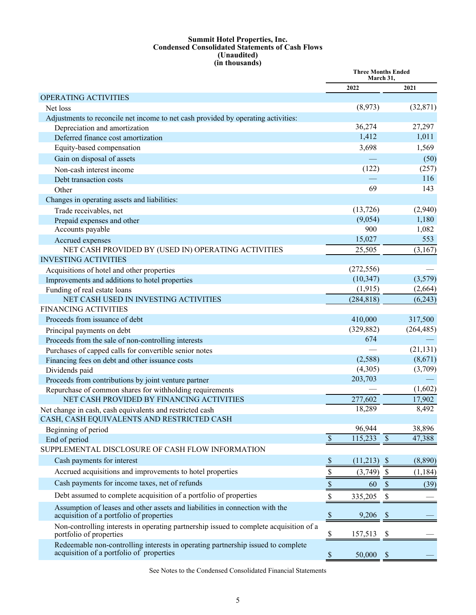#### **Summit Hotel Properties, Inc. Condensed Consolidated Statements of Cash Flows (Unaudited) (in thousands)**

<span id="page-7-0"></span>

|                                                                                                                              |                                                                       | <b>Three Months Ended</b><br>March 31, |                                       |
|------------------------------------------------------------------------------------------------------------------------------|-----------------------------------------------------------------------|----------------------------------------|---------------------------------------|
|                                                                                                                              |                                                                       | 2022                                   | 2021                                  |
| OPERATING ACTIVITIES                                                                                                         |                                                                       |                                        |                                       |
| Net loss                                                                                                                     |                                                                       | (8,973)                                | (32, 871)                             |
| Adjustments to reconcile net income to net cash provided by operating activities:                                            |                                                                       |                                        |                                       |
| Depreciation and amortization                                                                                                |                                                                       | 36,274                                 | 27,297                                |
| Deferred finance cost amortization                                                                                           |                                                                       | 1,412                                  | 1,011                                 |
| Equity-based compensation                                                                                                    |                                                                       | 3,698                                  | 1,569                                 |
| Gain on disposal of assets                                                                                                   |                                                                       |                                        | (50)                                  |
| Non-cash interest income                                                                                                     |                                                                       | (122)                                  | (257)                                 |
| Debt transaction costs                                                                                                       |                                                                       |                                        | 116                                   |
| Other                                                                                                                        |                                                                       | 69                                     | 143                                   |
| Changes in operating assets and liabilities:                                                                                 |                                                                       |                                        |                                       |
| Trade receivables, net                                                                                                       |                                                                       | (13, 726)                              | (2,940)                               |
| Prepaid expenses and other                                                                                                   |                                                                       | (9,054)                                | 1,180                                 |
| Accounts payable                                                                                                             |                                                                       | 900                                    | 1,082                                 |
| Accrued expenses                                                                                                             |                                                                       | 15,027                                 | 553                                   |
| NET CASH PROVIDED BY (USED IN) OPERATING ACTIVITIES                                                                          |                                                                       | 25,505                                 | (3,167)                               |
| <b>INVESTING ACTIVITIES</b>                                                                                                  |                                                                       |                                        |                                       |
| Acquisitions of hotel and other properties                                                                                   |                                                                       | (272, 556)                             |                                       |
| Improvements and additions to hotel properties                                                                               |                                                                       | (10, 347)                              | (3,579)                               |
| Funding of real estate loans                                                                                                 |                                                                       | (1, 915)                               | (2,664)                               |
| NET CASH USED IN INVESTING ACTIVITIES                                                                                        |                                                                       | (284, 818)                             | (6,243)                               |
| <b>FINANCING ACTIVITIES</b>                                                                                                  |                                                                       |                                        |                                       |
| Proceeds from issuance of debt                                                                                               |                                                                       | 410,000                                | 317,500                               |
| Principal payments on debt                                                                                                   |                                                                       | (329, 882)                             | (264, 485)                            |
| Proceeds from the sale of non-controlling interests                                                                          |                                                                       | 674                                    |                                       |
| Purchases of capped calls for convertible senior notes                                                                       |                                                                       |                                        | (21, 131)                             |
| Financing fees on debt and other issuance costs                                                                              |                                                                       | (2,588)                                | (8,671)                               |
| Dividends paid                                                                                                               |                                                                       | (4,305)                                | (3,709)                               |
| Proceeds from contributions by joint venture partner                                                                         |                                                                       | 203,703                                |                                       |
| Repurchase of common shares for withholding requirements                                                                     |                                                                       |                                        | (1,602)                               |
| NET CASH PROVIDED BY FINANCING ACTIVITIES                                                                                    |                                                                       | 277,602                                | 17,902                                |
| Net change in cash, cash equivalents and restricted cash                                                                     |                                                                       | 18,289                                 | 8,492                                 |
| CASH, CASH EQUIVALENTS AND RESTRICTED CASH                                                                                   |                                                                       |                                        |                                       |
| Beginning of period                                                                                                          |                                                                       | 96,944                                 | 38,896                                |
| End of period                                                                                                                | $\overline{\mathcal{S}}$                                              | 115,233                                | $\overline{\mathcal{S}}$<br>47,388    |
| SUPPLEMENTAL DISCLOSURE OF CASH FLOW INFORMATION                                                                             |                                                                       |                                        |                                       |
| Cash payments for interest                                                                                                   | $\boldsymbol{\mathsf{S}}$                                             | (11,213)<br>$\mathcal{S}$              | (8,890)                               |
| Accrued acquisitions and improvements to hotel properties                                                                    | \$                                                                    | (3,749)                                | $\boldsymbol{\mathsf{S}}$<br>(1, 184) |
| Cash payments for income taxes, net of refunds                                                                               | \$                                                                    | 60                                     | $\mathcal{S}$<br>(39)                 |
| Debt assumed to complete acquisition of a portfolio of properties                                                            | \$                                                                    | 335,205                                | $\boldsymbol{\mathsf{S}}$             |
| Assumption of leases and other assets and liabilities in connection with the<br>acquisition of a portfolio of properties     | $\mathbb{S}% _{t}\left( t\right) \equiv\mathbb{S}_{t}\left( t\right)$ | 9,206<br>$\mathcal{S}$                 |                                       |
| Non-controlling interests in operating partnership issued to complete acquisition of a<br>portfolio of properties            | \$                                                                    | 157,513                                | -\$                                   |
| Redeemable non-controlling interests in operating partnership issued to complete<br>acquisition of a portfolio of properties |                                                                       |                                        |                                       |
|                                                                                                                              | \$                                                                    | $\mathcal{S}$<br>50,000                |                                       |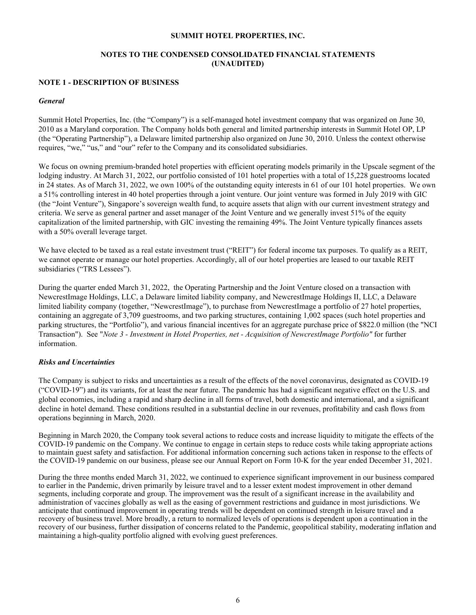#### **SUMMIT HOTEL PROPERTIES, INC.**

## **NOTES TO THE CONDENSED CONSOLIDATED FINANCIAL STATEMENTS (UNAUDITED)**

#### <span id="page-8-0"></span>**NOTE 1 - DESCRIPTION OF BUSINESS**

#### *General*

Summit Hotel Properties, Inc. (the "Company") is a self-managed hotel investment company that was organized on June 30, 2010 as a Maryland corporation. The Company holds both general and limited partnership interests in Summit Hotel OP, LP (the "Operating Partnership"), a Delaware limited partnership also organized on June 30, 2010. Unless the context otherwise requires, "we," "us," and "our" refer to the Company and its consolidated subsidiaries.

We focus on owning premium-branded hotel properties with efficient operating models primarily in the Upscale segment of the lodging industry. At March 31, 2022, our portfolio consisted of 101 hotel properties with a total of 15,228 guestrooms located in 24 states. As of March 31, 2022, we own 100% of the outstanding equity interests in 61 of our 101 hotel properties. We own a 51% controlling interest in 40 hotel properties through a joint venture. Our joint venture was formed in July 2019 with GIC (the "Joint Venture"), Singapore's sovereign wealth fund, to acquire assets that align with our current investment strategy and criteria. We serve as general partner and asset manager of the Joint Venture and we generally invest 51% of the equity capitalization of the limited partnership, with GIC investing the remaining 49%. The Joint Venture typically finances assets with a 50% overall leverage target.

We have elected to be taxed as a real estate investment trust ("REIT") for federal income tax purposes. To qualify as a REIT, we cannot operate or manage our hotel properties. Accordingly, all of our hotel properties are leased to our taxable REIT subsidiaries ("TRS Lessees").

During the quarter ended March 31, 2022, the Operating Partnership and the Joint Venture closed on a transaction with NewcrestImage Holdings, LLC, a Delaware limited liability company, and NewcrestImage Holdings II, LLC, a Delaware limited liability company (together, "NewcrestImage"), to purchase from NewcrestImage a portfolio of 27 hotel properties, containing an aggregate of 3,709 guestrooms, and two parking structures, containing 1,002 spaces (such hotel properties and parking structures, the "Portfolio"), and various financial incentives for an aggregate purchase price of \$822.0 million (the "NCI Transaction"). See "*Note 3 - Investment in Hotel Properties, net - Acquisition of NewcrestImage Portfolio"* for further information.

## *Risks and Uncertainties*

The Company is subject to risks and uncertainties as a result of the effects of the novel coronavirus, designated as COVID-19 ("COVID-19") and its variants, for at least the near future. The pandemic has had a significant negative effect on the U.S. and global economies, including a rapid and sharp decline in all forms of travel, both domestic and international, and a significant decline in hotel demand. These conditions resulted in a substantial decline in our revenues, profitability and cash flows from operations beginning in March, 2020.

Beginning in March 2020, the Company took several actions to reduce costs and increase liquidity to mitigate the effects of the COVID-19 pandemic on the Company. We continue to engage in certain steps to reduce costs while taking appropriate actions to maintain guest safety and satisfaction. For additional information concerning such actions taken in response to the effects of the COVID-19 pandemic on our business, please see our Annual Report on Form 10-K for the year ended December 31, 2021.

During the three months ended March 31, 2022, we continued to experience significant improvement in our business compared to earlier in the Pandemic, driven primarily by leisure travel and to a lesser extent modest improvement in other demand segments, including corporate and group. The improvement was the result of a significant increase in the availability and administration of vaccines globally as well as the easing of government restrictions and guidance in most jurisdictions. We anticipate that continued improvement in operating trends will be dependent on continued strength in leisure travel and a recovery of business travel. More broadly, a return to normalized levels of operations is dependent upon a continuation in the recovery of our business, further dissipation of concerns related to the Pandemic, geopolitical stability, moderating inflation and maintaining a high-quality portfolio aligned with evolving guest preferences.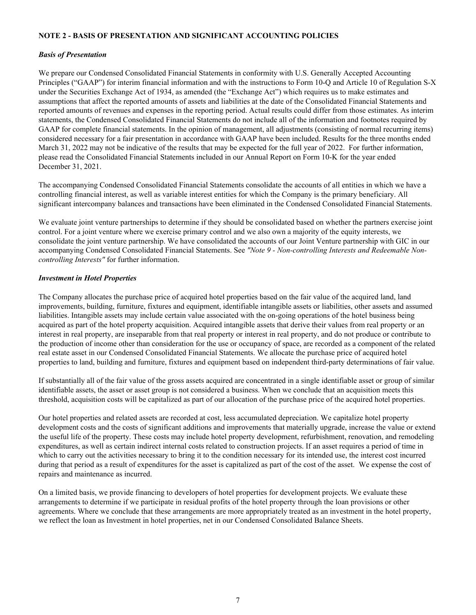## **NOTE 2 - BASIS OF PRESENTATION AND SIGNIFICANT ACCOUNTING POLICIES**

#### *Basis of Presentation*

We prepare our Condensed Consolidated Financial Statements in conformity with U.S. Generally Accepted Accounting Principles ("GAAP") for interim financial information and with the instructions to Form 10-Q and Article 10 of Regulation S-X under the Securities Exchange Act of 1934, as amended (the "Exchange Act") which requires us to make estimates and assumptions that affect the reported amounts of assets and liabilities at the date of the Consolidated Financial Statements and reported amounts of revenues and expenses in the reporting period. Actual results could differ from those estimates. As interim statements, the Condensed Consolidated Financial Statements do not include all of the information and footnotes required by GAAP for complete financial statements. In the opinion of management, all adjustments (consisting of normal recurring items) considered necessary for a fair presentation in accordance with GAAP have been included. Results for the three months ended March 31, 2022 may not be indicative of the results that may be expected for the full year of 2022. For further information, please read the Consolidated Financial Statements included in our Annual Report on Form 10-K for the year ended December 31, 2021.

The accompanying Condensed Consolidated Financial Statements consolidate the accounts of all entities in which we have a controlling financial interest, as well as variable interest entities for which the Company is the primary beneficiary. All significant intercompany balances and transactions have been eliminated in the Condensed Consolidated Financial Statements.

We evaluate joint venture partnerships to determine if they should be consolidated based on whether the partners exercise joint control. For a joint venture where we exercise primary control and we also own a majority of the equity interests, we consolidate the joint venture partnership. We have consolidated the accounts of our Joint Venture partnership with GIC in our accompanying Condensed Consolidated Financial Statements. See *"Note 9 - Non-controlling Interests and Redeemable Noncontrolling Interests"* for further information.

#### *Investment in Hotel Properties*

The Company allocates the purchase price of acquired hotel properties based on the fair value of the acquired land, land improvements, building, furniture, fixtures and equipment, identifiable intangible assets or liabilities, other assets and assumed liabilities. Intangible assets may include certain value associated with the on-going operations of the hotel business being acquired as part of the hotel property acquisition. Acquired intangible assets that derive their values from real property or an interest in real property, are inseparable from that real property or interest in real property, and do not produce or contribute to the production of income other than consideration for the use or occupancy of space, are recorded as a component of the related real estate asset in our Condensed Consolidated Financial Statements. We allocate the purchase price of acquired hotel properties to land, building and furniture, fixtures and equipment based on independent third-party determinations of fair value.

If substantially all of the fair value of the gross assets acquired are concentrated in a single identifiable asset or group of similar identifiable assets, the asset or asset group is not considered a business. When we conclude that an acquisition meets this threshold, acquisition costs will be capitalized as part of our allocation of the purchase price of the acquired hotel properties.

Our hotel properties and related assets are recorded at cost, less accumulated depreciation. We capitalize hotel property development costs and the costs of significant additions and improvements that materially upgrade, increase the value or extend the useful life of the property. These costs may include hotel property development, refurbishment, renovation, and remodeling expenditures, as well as certain indirect internal costs related to construction projects. If an asset requires a period of time in which to carry out the activities necessary to bring it to the condition necessary for its intended use, the interest cost incurred during that period as a result of expenditures for the asset is capitalized as part of the cost of the asset. We expense the cost of repairs and maintenance as incurred.

On a limited basis, we provide financing to developers of hotel properties for development projects. We evaluate these arrangements to determine if we participate in residual profits of the hotel property through the loan provisions or other agreements. Where we conclude that these arrangements are more appropriately treated as an investment in the hotel property, we reflect the loan as Investment in hotel properties, net in our Condensed Consolidated Balance Sheets.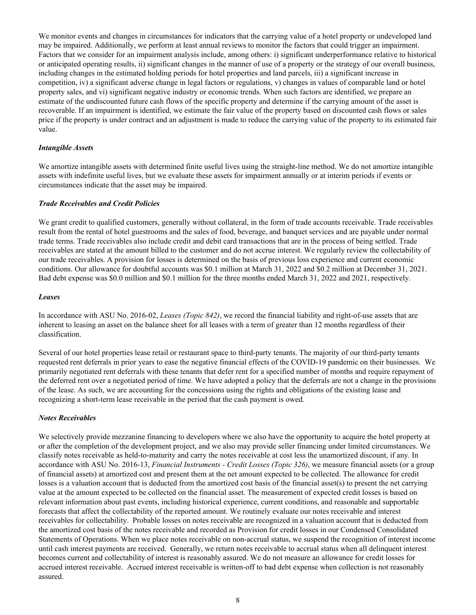We monitor events and changes in circumstances for indicators that the carrying value of a hotel property or undeveloped land may be impaired. Additionally, we perform at least annual reviews to monitor the factors that could trigger an impairment. Factors that we consider for an impairment analysis include, among others: i) significant underperformance relative to historical or anticipated operating results, ii) significant changes in the manner of use of a property or the strategy of our overall business, including changes in the estimated holding periods for hotel properties and land parcels, iii) a significant increase in competition, iv) a significant adverse change in legal factors or regulations, v) changes in values of comparable land or hotel property sales, and vi) significant negative industry or economic trends. When such factors are identified, we prepare an estimate of the undiscounted future cash flows of the specific property and determine if the carrying amount of the asset is recoverable. If an impairment is identified, we estimate the fair value of the property based on discounted cash flows or sales price if the property is under contract and an adjustment is made to reduce the carrying value of the property to its estimated fair value.

#### *Intangible Assets*

We amortize intangible assets with determined finite useful lives using the straight-line method. We do not amortize intangible assets with indefinite useful lives, but we evaluate these assets for impairment annually or at interim periods if events or circumstances indicate that the asset may be impaired.

#### *Trade Receivables and Credit Policies*

We grant credit to qualified customers, generally without collateral, in the form of trade accounts receivable. Trade receivables result from the rental of hotel guestrooms and the sales of food, beverage, and banquet services and are payable under normal trade terms. Trade receivables also include credit and debit card transactions that are in the process of being settled. Trade receivables are stated at the amount billed to the customer and do not accrue interest. We regularly review the collectability of our trade receivables. A provision for losses is determined on the basis of previous loss experience and current economic conditions. Our allowance for doubtful accounts was \$0.1 million at March 31, 2022 and \$0.2 million at December 31, 2021. Bad debt expense was \$0.0 million and \$0.1 million for the three months ended March 31, 2022 and 2021, respectively.

#### *Leases*

In accordance with ASU No. 2016-02, *Leases (Topic 842)*, we record the financial liability and right-of-use assets that are inherent to leasing an asset on the balance sheet for all leases with a term of greater than 12 months regardless of their classification.

Several of our hotel properties lease retail or restaurant space to third-party tenants. The majority of our third-party tenants requested rent deferrals in prior years to ease the negative financial effects of the COVID-19 pandemic on their businesses. We primarily negotiated rent deferrals with these tenants that defer rent for a specified number of months and require repayment of the deferred rent over a negotiated period of time. We have adopted a policy that the deferrals are not a change in the provisions of the lease. As such, we are accounting for the concessions using the rights and obligations of the existing lease and recognizing a short-term lease receivable in the period that the cash payment is owed.

## *Notes Receivables*

We selectively provide mezzanine financing to developers where we also have the opportunity to acquire the hotel property at or after the completion of the development project, and we also may provide seller financing under limited circumstances. We classify notes receivable as held-to-maturity and carry the notes receivable at cost less the unamortized discount, if any. In accordance with ASU No. 2016-13, *Financial Instruments - Credit Losses (Topic 326)*, we measure financial assets (or a group of financial assets) at amortized cost and present them at the net amount expected to be collected. The allowance for credit losses is a valuation account that is deducted from the amortized cost basis of the financial asset(s) to present the net carrying value at the amount expected to be collected on the financial asset. The measurement of expected credit losses is based on relevant information about past events, including historical experience, current conditions, and reasonable and supportable forecasts that affect the collectability of the reported amount. We routinely evaluate our notes receivable and interest receivables for collectability. Probable losses on notes receivable are recognized in a valuation account that is deducted from the amortized cost basis of the notes receivable and recorded as Provision for credit losses in our Condensed Consolidated Statements of Operations. When we place notes receivable on non-accrual status, we suspend the recognition of interest income until cash interest payments are received. Generally, we return notes receivable to accrual status when all delinquent interest becomes current and collectability of interest is reasonably assured. We do not measure an allowance for credit losses for accrued interest receivable. Accrued interest receivable is written-off to bad debt expense when collection is not reasonably assured.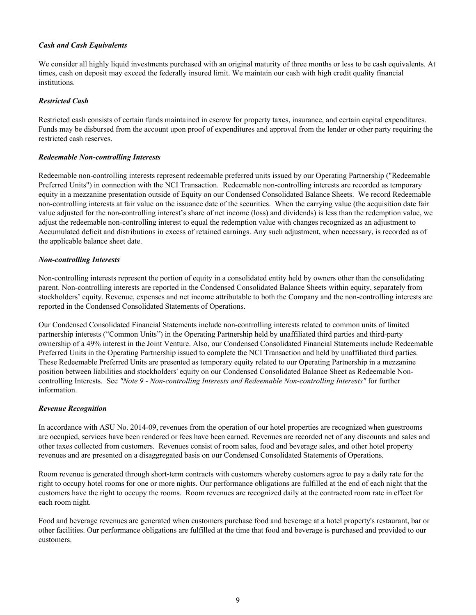## *Cash and Cash Equivalents*

We consider all highly liquid investments purchased with an original maturity of three months or less to be cash equivalents. At times, cash on deposit may exceed the federally insured limit. We maintain our cash with high credit quality financial institutions.

#### *Restricted Cash*

Restricted cash consists of certain funds maintained in escrow for property taxes, insurance, and certain capital expenditures. Funds may be disbursed from the account upon proof of expenditures and approval from the lender or other party requiring the restricted cash reserves.

#### *Redeemable Non-controlling Interests*

Redeemable non-controlling interests represent redeemable preferred units issued by our Operating Partnership ("Redeemable Preferred Units") in connection with the NCI Transaction. Redeemable non-controlling interests are recorded as temporary equity in a mezzanine presentation outside of Equity on our Condensed Consolidated Balance Sheets. We record Redeemable non-controlling interests at fair value on the issuance date of the securities. When the carrying value (the acquisition date fair value adjusted for the non-controlling interest's share of net income (loss) and dividends) is less than the redemption value, we adjust the redeemable non-controlling interest to equal the redemption value with changes recognized as an adjustment to Accumulated deficit and distributions in excess of retained earnings. Any such adjustment, when necessary, is recorded as of the applicable balance sheet date.

#### *Non-controlling Interests*

Non-controlling interests represent the portion of equity in a consolidated entity held by owners other than the consolidating parent. Non-controlling interests are reported in the Condensed Consolidated Balance Sheets within equity, separately from stockholders' equity. Revenue, expenses and net income attributable to both the Company and the non-controlling interests are reported in the Condensed Consolidated Statements of Operations.

Our Condensed Consolidated Financial Statements include non-controlling interests related to common units of limited partnership interests ("Common Units") in the Operating Partnership held by unaffiliated third parties and third-party ownership of a 49% interest in the Joint Venture. Also, our Condensed Consolidated Financial Statements include Redeemable Preferred Units in the Operating Partnership issued to complete the NCI Transaction and held by unaffiliated third parties. These Redeemable Preferred Units are presented as temporary equity related to our Operating Partnership in a mezzanine position between liabilities and stockholders' equity on our Condensed Consolidated Balance Sheet as Redeemable Noncontrolling Interests. See *"Note 9 - Non-controlling Interests and Redeemable Non-controlling Interests"* for further information.

## *Revenue Recognition*

In accordance with ASU No. 2014-09, revenues from the operation of our hotel properties are recognized when guestrooms are occupied, services have been rendered or fees have been earned. Revenues are recorded net of any discounts and sales and other taxes collected from customers. Revenues consist of room sales, food and beverage sales, and other hotel property revenues and are presented on a disaggregated basis on our Condensed Consolidated Statements of Operations.

Room revenue is generated through short-term contracts with customers whereby customers agree to pay a daily rate for the right to occupy hotel rooms for one or more nights. Our performance obligations are fulfilled at the end of each night that the customers have the right to occupy the rooms. Room revenues are recognized daily at the contracted room rate in effect for each room night.

Food and beverage revenues are generated when customers purchase food and beverage at a hotel property's restaurant, bar or other facilities. Our performance obligations are fulfilled at the time that food and beverage is purchased and provided to our customers.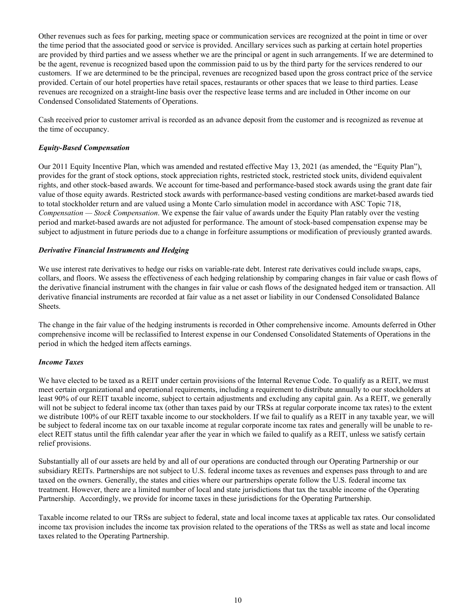Other revenues such as fees for parking, meeting space or communication services are recognized at the point in time or over the time period that the associated good or service is provided. Ancillary services such as parking at certain hotel properties are provided by third parties and we assess whether we are the principal or agent in such arrangements. If we are determined to be the agent, revenue is recognized based upon the commission paid to us by the third party for the services rendered to our customers. If we are determined to be the principal, revenues are recognized based upon the gross contract price of the service provided. Certain of our hotel properties have retail spaces, restaurants or other spaces that we lease to third parties. Lease revenues are recognized on a straight-line basis over the respective lease terms and are included in Other income on our Condensed Consolidated Statements of Operations.

Cash received prior to customer arrival is recorded as an advance deposit from the customer and is recognized as revenue at the time of occupancy.

## *Equity-Based Compensation*

Our 2011 Equity Incentive Plan, which was amended and restated effective May 13, 2021 (as amended, the "Equity Plan"), provides for the grant of stock options, stock appreciation rights, restricted stock, restricted stock units, dividend equivalent rights, and other stock-based awards. We account for time-based and performance-based stock awards using the grant date fair value of those equity awards. Restricted stock awards with performance-based vesting conditions are market-based awards tied to total stockholder return and are valued using a Monte Carlo simulation model in accordance with ASC Topic 718, *Compensation — Stock Compensation*. We expense the fair value of awards under the Equity Plan ratably over the vesting period and market-based awards are not adjusted for performance. The amount of stock-based compensation expense may be subject to adjustment in future periods due to a change in forfeiture assumptions or modification of previously granted awards.

## *Derivative Financial Instruments and Hedging*

We use interest rate derivatives to hedge our risks on variable-rate debt. Interest rate derivatives could include swaps, caps, collars, and floors. We assess the effectiveness of each hedging relationship by comparing changes in fair value or cash flows of the derivative financial instrument with the changes in fair value or cash flows of the designated hedged item or transaction. All derivative financial instruments are recorded at fair value as a net asset or liability in our Condensed Consolidated Balance Sheets.

The change in the fair value of the hedging instruments is recorded in Other comprehensive income. Amounts deferred in Other comprehensive income will be reclassified to Interest expense in our Condensed Consolidated Statements of Operations in the period in which the hedged item affects earnings.

#### *Income Taxes*

We have elected to be taxed as a REIT under certain provisions of the Internal Revenue Code. To qualify as a REIT, we must meet certain organizational and operational requirements, including a requirement to distribute annually to our stockholders at least 90% of our REIT taxable income, subject to certain adjustments and excluding any capital gain. As a REIT, we generally will not be subject to federal income tax (other than taxes paid by our TRSs at regular corporate income tax rates) to the extent we distribute 100% of our REIT taxable income to our stockholders. If we fail to qualify as a REIT in any taxable year, we will be subject to federal income tax on our taxable income at regular corporate income tax rates and generally will be unable to reelect REIT status until the fifth calendar year after the year in which we failed to qualify as a REIT, unless we satisfy certain relief provisions.

Substantially all of our assets are held by and all of our operations are conducted through our Operating Partnership or our subsidiary REITs. Partnerships are not subject to U.S. federal income taxes as revenues and expenses pass through to and are taxed on the owners. Generally, the states and cities where our partnerships operate follow the U.S. federal income tax treatment. However, there are a limited number of local and state jurisdictions that tax the taxable income of the Operating Partnership. Accordingly, we provide for income taxes in these jurisdictions for the Operating Partnership.

Taxable income related to our TRSs are subject to federal, state and local income taxes at applicable tax rates. Our consolidated income tax provision includes the income tax provision related to the operations of the TRSs as well as state and local income taxes related to the Operating Partnership.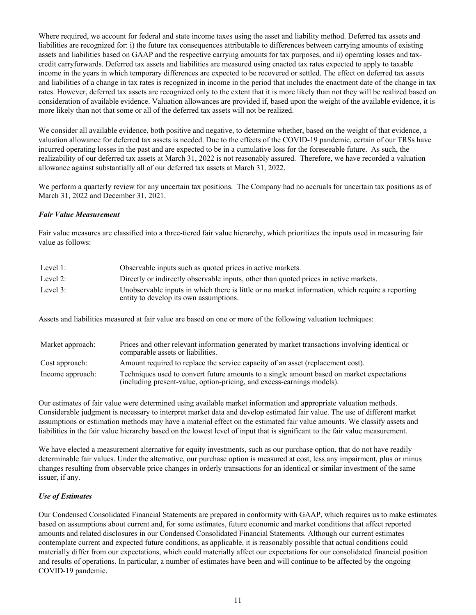Where required, we account for federal and state income taxes using the asset and liability method. Deferred tax assets and liabilities are recognized for: i) the future tax consequences attributable to differences between carrying amounts of existing assets and liabilities based on GAAP and the respective carrying amounts for tax purposes, and ii) operating losses and taxcredit carryforwards. Deferred tax assets and liabilities are measured using enacted tax rates expected to apply to taxable income in the years in which temporary differences are expected to be recovered or settled. The effect on deferred tax assets and liabilities of a change in tax rates is recognized in income in the period that includes the enactment date of the change in tax rates. However, deferred tax assets are recognized only to the extent that it is more likely than not they will be realized based on consideration of available evidence. Valuation allowances are provided if, based upon the weight of the available evidence, it is more likely than not that some or all of the deferred tax assets will not be realized.

We consider all available evidence, both positive and negative, to determine whether, based on the weight of that evidence, a valuation allowance for deferred tax assets is needed. Due to the effects of the COVID-19 pandemic, certain of our TRSs have incurred operating losses in the past and are expected to be in a cumulative loss for the foreseeable future. As such, the realizability of our deferred tax assets at March 31, 2022 is not reasonably assured. Therefore, we have recorded a valuation allowance against substantially all of our deferred tax assets at March 31, 2022.

We perform a quarterly review for any uncertain tax positions. The Company had no accruals for uncertain tax positions as of March 31, 2022 and December 31, 2021.

## *Fair Value Measurement*

Fair value measures are classified into a three-tiered fair value hierarchy, which prioritizes the inputs used in measuring fair value as follows:

| Level 1: | Observable inputs such as quoted prices in active markets.                                                                                 |
|----------|--------------------------------------------------------------------------------------------------------------------------------------------|
| Level 2: | Directly or indirectly observable inputs, other than quoted prices in active markets.                                                      |
| Level 3: | Unobservable inputs in which there is little or no market information, which require a reporting<br>entity to develop its own assumptions. |

Assets and liabilities measured at fair value are based on one or more of the following valuation techniques:

| Market approach: | Prices and other relevant information generated by market transactions involving identical or<br>comparable assets or liabilities.                                  |
|------------------|---------------------------------------------------------------------------------------------------------------------------------------------------------------------|
| Cost approach:   | Amount required to replace the service capacity of an asset (replacement cost).                                                                                     |
| Income approach: | Techniques used to convert future amounts to a single amount based on market expectations<br>(including present-value, option-pricing, and excess-earnings models). |

Our estimates of fair value were determined using available market information and appropriate valuation methods. Considerable judgment is necessary to interpret market data and develop estimated fair value. The use of different market assumptions or estimation methods may have a material effect on the estimated fair value amounts. We classify assets and liabilities in the fair value hierarchy based on the lowest level of input that is significant to the fair value measurement.

We have elected a measurement alternative for equity investments, such as our purchase option, that do not have readily determinable fair values. Under the alternative, our purchase option is measured at cost, less any impairment, plus or minus changes resulting from observable price changes in orderly transactions for an identical or similar investment of the same issuer, if any.

## *Use of Estimates*

Our Condensed Consolidated Financial Statements are prepared in conformity with GAAP, which requires us to make estimates based on assumptions about current and, for some estimates, future economic and market conditions that affect reported amounts and related disclosures in our Condensed Consolidated Financial Statements. Although our current estimates contemplate current and expected future conditions, as applicable, it is reasonably possible that actual conditions could materially differ from our expectations, which could materially affect our expectations for our consolidated financial position and results of operations. In particular, a number of estimates have been and will continue to be affected by the ongoing COVID-19 pandemic.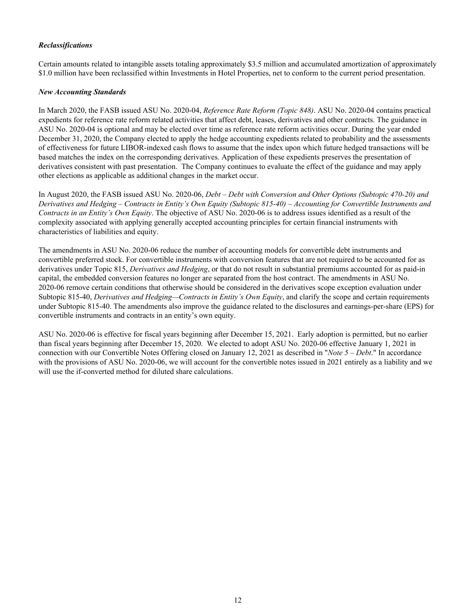# *Reclassifications*

Certain amounts related to intangible assets totaling approximately \$3.5 million and accumulated amortization of approximately \$1.0 million have been reclassified within Investments in Hotel Properties, net to conform to the current period presentation.

#### *New Accounting Standards*

In March 2020, the FASB issued ASU No. 2020-04, *Reference Rate Reform (Topic 848)*. ASU No. 2020-04 contains practical expedients for reference rate reform related activities that affect debt, leases, derivatives and other contracts. The guidance in ASU No. 2020-04 is optional and may be elected over time as reference rate reform activities occur. During the year ended December 31, 2020, the Company elected to apply the hedge accounting expedients related to probability and the assessments of effectiveness for future LIBOR-indexed cash flows to assume that the index upon which future hedged transactions will be based matches the index on the corresponding derivatives. Application of these expedients preserves the presentation of derivatives consistent with past presentation. The Company continues to evaluate the effect of the guidance and may apply other elections as applicable as additional changes in the market occur.

In August 2020, the FASB issued ASU No. 2020-06, *Debt – Debt with Conversion and Other Options (Subtopic 470-20) and Derivatives and Hedging – Contracts in Entity's Own Equity (Subtopic 815-40) – Accounting for Convertible Instruments and Contracts in an Entity's Own Equity*. The objective of ASU No. 2020-06 is to address issues identified as a result of the complexity associated with applying generally accepted accounting principles for certain financial instruments with characteristics of liabilities and equity.

The amendments in ASU No. 2020-06 reduce the number of accounting models for convertible debt instruments and convertible preferred stock. For convertible instruments with conversion features that are not required to be accounted for as derivatives under Topic 815, *Derivatives and Hedging*, or that do not result in substantial premiums accounted for as paid-in capital, the embedded conversion features no longer are separated from the host contract. The amendments in ASU No. 2020-06 remove certain conditions that otherwise should be considered in the derivatives scope exception evaluation under Subtopic 815-40, *Derivatives and Hedging—Contracts in Entity's Own Equity*, and clarify the scope and certain requirements under Subtopic 815-40. The amendments also improve the guidance related to the disclosures and earnings-per-share (EPS) for convertible instruments and contracts in an entity's own equity.

ASU No. 2020-06 is effective for fiscal years beginning after December 15, 2021. Early adoption is permitted, but no earlier than fiscal years beginning after December 15, 2020. We elected to adopt ASU No. 2020-06 effective January 1, 2021 in connection with our Convertible Notes Offering closed on January 12, 2021 as described in "*Note 5 – Debt*." In accordance with the provisions of ASU No. 2020-06, we will account for the convertible notes issued in 2021 entirely as a liability and we will use the if-converted method for diluted share calculations.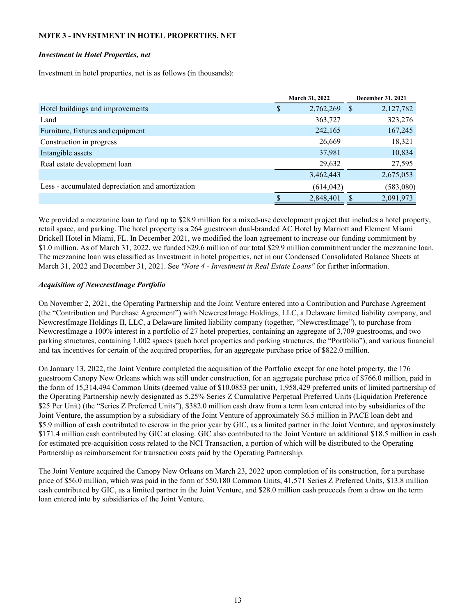## **NOTE 3 - INVESTMENT IN HOTEL PROPERTIES, NET**

#### *Investment in Hotel Properties, net*

Investment in hotel properties, net is as follows (in thousands):

|                                                  |   | March 31, 2022 |              | December 31, 2021 |
|--------------------------------------------------|---|----------------|--------------|-------------------|
| Hotel buildings and improvements                 | S | 2,762,269      | <sup>S</sup> | 2,127,782         |
| Land                                             |   | 363,727        |              | 323,276           |
| Furniture, fixtures and equipment                |   | 242,165        |              | 167,245           |
| Construction in progress                         |   | 26,669         |              | 18,321            |
| Intangible assets                                |   | 37,981         |              | 10,834            |
| Real estate development loan                     |   | 29,632         |              | 27,595            |
|                                                  |   | 3,462,443      |              | 2,675,053         |
| Less - accumulated depreciation and amortization |   | (614, 042)     |              | (583,080)         |
|                                                  |   | 2,848,401      |              | 2,091,973         |

We provided a mezzanine loan to fund up to \$28.9 million for a mixed-use development project that includes a hotel property, retail space, and parking. The hotel property is a 264 guestroom dual-branded AC Hotel by Marriott and Element Miami Brickell Hotel in Miami, FL. In December 2021, we modified the loan agreement to increase our funding commitment by \$1.0 million. As of March 31, 2022, we funded \$29.6 million of our total \$29.9 million commitment under the mezzanine loan. The mezzanine loan was classified as Investment in hotel properties, net in our Condensed Consolidated Balance Sheets at March 31, 2022 and December 31, 2021. See *"Note 4 - Investment in Real Estate Loans"* for further information.

## *Acquisition of NewcrestImage Portfolio*

On November 2, 2021, the Operating Partnership and the Joint Venture entered into a Contribution and Purchase Agreement (the "Contribution and Purchase Agreement") with NewcrestImage Holdings, LLC, a Delaware limited liability company, and NewcrestImage Holdings II, LLC, a Delaware limited liability company (together, "NewcrestImage"), to purchase from NewcrestImage a 100% interest in a portfolio of 27 hotel properties, containing an aggregate of 3,709 guestrooms, and two parking structures, containing 1,002 spaces (such hotel properties and parking structures, the "Portfolio"), and various financial and tax incentives for certain of the acquired properties, for an aggregate purchase price of \$822.0 million.

On January 13, 2022, the Joint Venture completed the acquisition of the Portfolio except for one hotel property, the 176 guestroom Canopy New Orleans which was still under construction, for an aggregate purchase price of \$766.0 million, paid in the form of 15,314,494 Common Units (deemed value of \$10.0853 per unit), 1,958,429 preferred units of limited partnership of the Operating Partnership newly designated as 5.25% Series Z Cumulative Perpetual Preferred Units (Liquidation Preference \$25 Per Unit) (the "Series Z Preferred Units"), \$382.0 million cash draw from a term loan entered into by subsidiaries of the Joint Venture, the assumption by a subsidiary of the Joint Venture of approximately \$6.5 million in PACE loan debt and \$5.9 million of cash contributed to escrow in the prior year by GIC, as a limited partner in the Joint Venture, and approximately \$171.4 million cash contributed by GIC at closing. GIC also contributed to the Joint Venture an additional \$18.5 million in cash for estimated pre-acquisition costs related to the NCI Transaction, a portion of which will be distributed to the Operating Partnership as reimbursement for transaction costs paid by the Operating Partnership.

The Joint Venture acquired the Canopy New Orleans on March 23, 2022 upon completion of its construction, for a purchase price of \$56.0 million, which was paid in the form of 550,180 Common Units, 41,571 Series Z Preferred Units, \$13.8 million cash contributed by GIC, as a limited partner in the Joint Venture, and \$28.0 million cash proceeds from a draw on the term loan entered into by subsidiaries of the Joint Venture.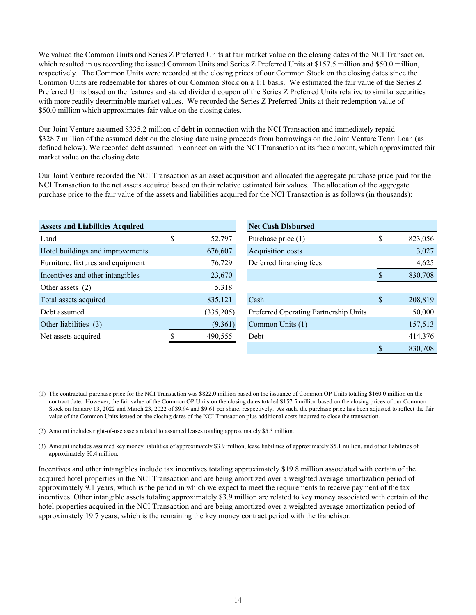We valued the Common Units and Series Z Preferred Units at fair market value on the closing dates of the NCI Transaction, which resulted in us recording the issued Common Units and Series Z Preferred Units at \$157.5 million and \$50.0 million, respectively. The Common Units were recorded at the closing prices of our Common Stock on the closing dates since the Common Units are redeemable for shares of our Common Stock on a 1:1 basis. We estimated the fair value of the Series Z Preferred Units based on the features and stated dividend coupon of the Series Z Preferred Units relative to similar securities with more readily determinable market values. We recorded the Series Z Preferred Units at their redemption value of \$50.0 million which approximates fair value on the closing dates.

Our Joint Venture assumed \$335.2 million of debt in connection with the NCI Transaction and immediately repaid \$328.7 million of the assumed debt on the closing date using proceeds from borrowings on the Joint Venture Term Loan (as defined below). We recorded debt assumed in connection with the NCI Transaction at its face amount, which approximated fair market value on the closing date.

Our Joint Venture recorded the NCI Transaction as an asset acquisition and allocated the aggregate purchase price paid for the NCI Transaction to the net assets acquired based on their relative estimated fair values. The allocation of the aggregate purchase price to the fair value of the assets and liabilities acquired for the NCI Transaction is as follows (in thousands):

| <b>Assets and Liabilities Acquired</b> |              | <b>Net Cash Disbursed</b>             |               |
|----------------------------------------|--------------|---------------------------------------|---------------|
| Land                                   | \$<br>52,797 | Purchase price (1)                    | \$<br>823,056 |
| Hotel buildings and improvements       | 676,607      | Acquisition costs                     | 3,027         |
| Furniture, fixtures and equipment      | 76,729       | Deferred financing fees               | 4,625         |
| Incentives and other intangibles       | 23,670       |                                       | 830,708       |
| Other assets $(2)$                     | 5,318        |                                       |               |
| Total assets acquired                  | 835,121      | Cash                                  | \$<br>208,819 |
| Debt assumed                           | (335, 205)   | Preferred Operating Partnership Units | 50,000        |
| Other liabilities (3)                  | (9,361)      | Common Units (1)                      | 157,513       |
| Net assets acquired                    | 490,555      | Debt                                  | 414,376       |
|                                        |              |                                       | 830,708       |

(1) The contractual purchase price for the NCI Transaction was \$822.0 million based on the issuance of Common OP Units totaling \$160.0 million on the contract date. However, the fair value of the Common OP Units on the closing dates totaled \$157.5 million based on the closing prices of our Common Stock on January 13, 2022 and March 23, 2022 of \$9.94 and \$9.61 per share, respectively. As such, the purchase price has been adjusted to reflect the fair value of the Common Units issued on the closing dates of the NCI Transaction plus additional costs incurred to close the transaction.

(2) Amount includes right-of-use assets related to assumed leases totaling approximately \$5.3 million.

(3) Amount includes assumed key money liabilities of approximately \$3.9 million, lease liabilities of approximately \$5.1 million, and other liabilities of approximately \$0.4 million.

Incentives and other intangibles include tax incentives totaling approximately \$19.8 million associated with certain of the acquired hotel properties in the NCI Transaction and are being amortized over a weighted average amortization period of approximately 9.1 years, which is the period in which we expect to meet the requirements to receive payment of the tax incentives. Other intangible assets totaling approximately \$3.9 million are related to key money associated with certain of the hotel properties acquired in the NCI Transaction and are being amortized over a weighted average amortization period of approximately 19.7 years, which is the remaining the key money contract period with the franchisor.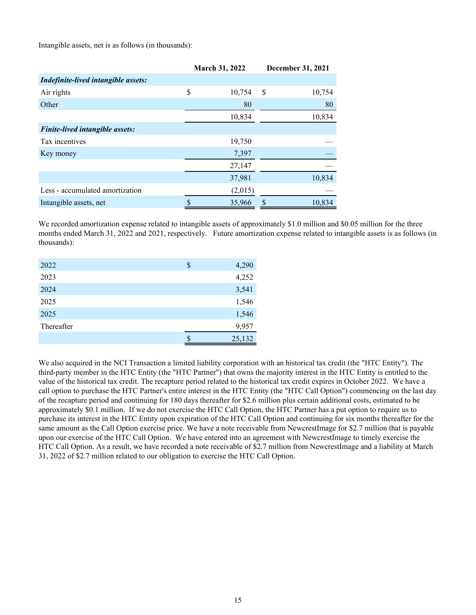Intangible assets, net is as follows (in thousands):

|                                     |    | March 31, 2022 | <b>December 31, 2021</b> |        |  |  |
|-------------------------------------|----|----------------|--------------------------|--------|--|--|
| Indefinite-lived intangible assets: |    |                |                          |        |  |  |
| Air rights                          | S  | 10,754         | \$                       | 10,754 |  |  |
| Other                               |    | 80             |                          | 80     |  |  |
|                                     |    | 10,834         |                          | 10,834 |  |  |
| Finite-lived intangible assets:     |    |                |                          |        |  |  |
| Tax incentives                      |    | 19,750         |                          |        |  |  |
| Key money                           |    | 7,397          |                          |        |  |  |
|                                     |    | 27,147         |                          |        |  |  |
|                                     |    | 37,981         |                          | 10,834 |  |  |
| Less - accumulated amortization     |    | (2,015)        |                          |        |  |  |
| Intangible assets, net              | \$ | 35,966         | S                        | 10,834 |  |  |

We recorded amortization expense related to intangible assets of approximately \$1.0 million and \$0.05 million for the three months ended March 31, 2022 and 2021, respectively. Future amortization expense related to intangible assets is as follows (in thousands):

| 2022       | \$<br>4,290 |
|------------|-------------|
| 2023       | 4,252       |
| 2024       | 3,541       |
| 2025       | 1,546       |
| 2025       | 1,546       |
| Thereafter | 9,957       |
|            | 25,132      |

We also acquired in the NCI Transaction a limited liability corporation with an historical tax credit (the "HTC Entity"). The third-party member in the HTC Entity (the "HTC Partner") that owns the majority interest in the HTC Entity is entitled to the value of the historical tax credit. The recapture period related to the historical tax credit expires in October 2022. We have a call option to purchase the HTC Partner's entire interest in the HTC Entity (the "HTC Call Option") commencing on the last day of the recapture period and continuing for 180 days thereafter for \$2.6 million plus certain additional costs, estimated to be approximately \$0.1 million. If we do not exercise the HTC Call Option, the HTC Partner has a put option to require us to purchase its interest in the HTC Entity upon expiration of the HTC Call Option and continuing for six months thereafter for the same amount as the Call Option exercise price. We have a note receivable from NewcrestImage for \$2.7 million that is payable upon our exercise of the HTC Call Option. We have entered into an agreement with NewcrestImage to timely exercise the HTC Call Option. As a result, we have recorded a note receivable of \$2.7 million from NewcrestImage and a liability at March 31, 2022 of \$2.7 million related to our obligation to exercise the HTC Call Option.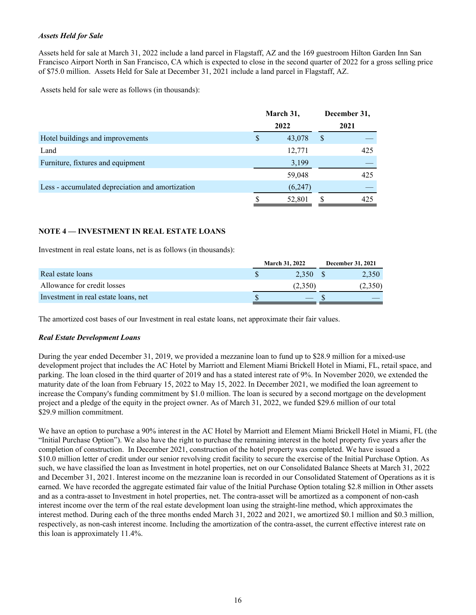#### *Assets Held for Sale*

Assets held for sale at March 31, 2022 include a land parcel in Flagstaff, AZ and the 169 guestroom Hilton Garden Inn San Francisco Airport North in San Francisco, CA which is expected to close in the second quarter of 2022 for a gross selling price of \$75.0 million. Assets Held for Sale at December 31, 2021 include a land parcel in Flagstaff, AZ.

Assets held for sale were as follows (in thousands):

|                                                  |   | March 31,<br>2022 | December 31,<br>2021 |     |  |  |
|--------------------------------------------------|---|-------------------|----------------------|-----|--|--|
| Hotel buildings and improvements                 | S | 43,078            | S                    |     |  |  |
| Land                                             |   | 12,771            |                      | 425 |  |  |
| Furniture, fixtures and equipment                |   | 3,199             |                      |     |  |  |
|                                                  |   | 59,048            |                      | 425 |  |  |
| Less - accumulated depreciation and amortization |   | (6,247)           |                      |     |  |  |
|                                                  |   | 52,801            |                      | 425 |  |  |

## **NOTE 4 — INVESTMENT IN REAL ESTATE LOANS**

Investment in real estate loans, net is as follows (in thousands):

|                                      | <b>March 31, 2022</b> |         | <b>December 31, 2021</b> |         |
|--------------------------------------|-----------------------|---------|--------------------------|---------|
| Real estate loans                    |                       | 2.350   |                          | 2,350   |
| Allowance for credit losses          |                       | (2,350) |                          | (2.350) |
| Investment in real estate loans, net |                       |         |                          |         |

The amortized cost bases of our Investment in real estate loans, net approximate their fair values.

#### *Real Estate Development Loans*

During the year ended December 31, 2019, we provided a mezzanine loan to fund up to \$28.9 million for a mixed-use development project that includes the AC Hotel by Marriott and Element Miami Brickell Hotel in Miami, FL, retail space, and parking. The loan closed in the third quarter of 2019 and has a stated interest rate of 9%. In November 2020, we extended the maturity date of the loan from February 15, 2022 to May 15, 2022. In December 2021, we modified the loan agreement to increase the Company's funding commitment by \$1.0 million. The loan is secured by a second mortgage on the development project and a pledge of the equity in the project owner. As of March 31, 2022, we funded \$29.6 million of our total \$29.9 million commitment.

We have an option to purchase a 90% interest in the AC Hotel by Marriott and Element Miami Brickell Hotel in Miami, FL (the "Initial Purchase Option"). We also have the right to purchase the remaining interest in the hotel property five years after the completion of construction. In December 2021, construction of the hotel property was completed. We have issued a \$10.0 million letter of credit under our senior revolving credit facility to secure the exercise of the Initial Purchase Option. As such, we have classified the loan as Investment in hotel properties, net on our Consolidated Balance Sheets at March 31, 2022 and December 31, 2021. Interest income on the mezzanine loan is recorded in our Consolidated Statement of Operations as it is earned. We have recorded the aggregate estimated fair value of the Initial Purchase Option totaling \$2.8 million in Other assets and as a contra-asset to Investment in hotel properties, net. The contra-asset will be amortized as a component of non-cash interest income over the term of the real estate development loan using the straight-line method, which approximates the interest method. During each of the three months ended March 31, 2022 and 2021, we amortized \$0.1 million and \$0.3 million, respectively, as non-cash interest income. Including the amortization of the contra-asset, the current effective interest rate on this loan is approximately 11.4%.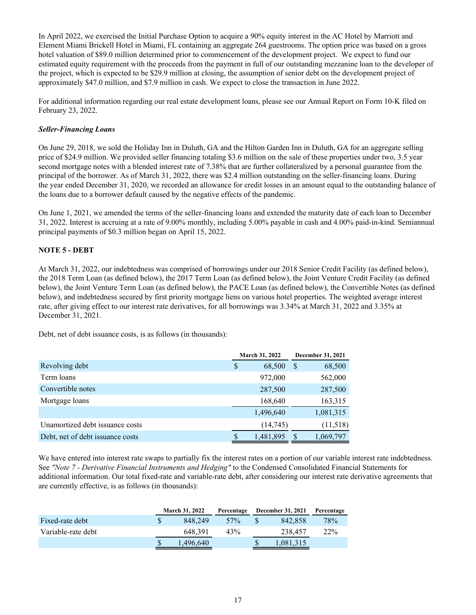In April 2022, we exercised the Initial Purchase Option to acquire a 90% equity interest in the AC Hotel by Marriott and Element Miami Brickell Hotel in Miami, FL containing an aggregate 264 guestrooms. The option price was based on a gross hotel valuation of \$89.0 million determined prior to commencement of the development project. We expect to fund our estimated equity requirement with the proceeds from the payment in full of our outstanding mezzanine loan to the developer of the project, which is expected to be \$29.9 million at closing, the assumption of senior debt on the development project of approximately \$47.0 million, and \$7.9 million in cash. We expect to close the transaction in June 2022.

For additional information regarding our real estate development loans, please see our Annual Report on Form 10-K filed on February 23, 2022.

## *Seller-Financing Loans*

On June 29, 2018, we sold the Holiday Inn in Duluth, GA and the Hilton Garden Inn in Duluth, GA for an aggregate selling price of \$24.9 million. We provided seller financing totaling \$3.6 million on the sale of these properties under two, 3.5 year second mortgage notes with a blended interest rate of 7.38% that are further collateralized by a personal guarantee from the principal of the borrower. As of March 31, 2022, there was \$2.4 million outstanding on the seller-financing loans. During the year ended December 31, 2020, we recorded an allowance for credit losses in an amount equal to the outstanding balance of the loans due to a borrower default caused by the negative effects of the pandemic.

On June 1, 2021, we amended the terms of the seller-financing loans and extended the maturity date of each loan to December 31, 2022. Interest is accruing at a rate of 9.00% monthly, including 5.00% payable in cash and 4.00% paid-in-kind. Semiannual principal payments of \$0.3 million began on April 15, 2022.

# **NOTE 5 - DEBT**

At March 31, 2022, our indebtedness was comprised of borrowings under our 2018 Senior Credit Facility (as defined below), the 2018 Term Loan (as defined below), the 2017 Term Loan (as defined below), the Joint Venture Credit Facility (as defined below), the Joint Venture Term Loan (as defined below), the PACE Loan (as defined below), the Convertible Notes (as defined below), and indebtedness secured by first priority mortgage liens on various hotel properties. The weighted average interest rate, after giving effect to our interest rate derivatives, for all borrowings was 3.34% at March 31, 2022 and 3.35% at December 31, 2021.

Debt, net of debt issuance costs, is as follows (in thousands):

|                                  |    | March 31, 2022 |              | December 31, 2021 |
|----------------------------------|----|----------------|--------------|-------------------|
| Revolving debt                   | \$ | 68,500         | <sup>S</sup> | 68,500            |
| Term loans                       |    | 972,000        |              | 562,000           |
| Convertible notes                |    | 287,500        |              | 287,500           |
| Mortgage loans                   |    | 168,640        |              | 163,315           |
|                                  |    | 1,496,640      |              | 1,081,315         |
| Unamortized debt issuance costs  |    | (14, 745)      |              | (11,518)          |
| Debt, net of debt issuance costs | S  | 1,481,895      |              | 1,069,797         |

We have entered into interest rate swaps to partially fix the interest rates on a portion of our variable interest rate indebtedness. See *"Note 7 - Derivative Financial Instruments and Hedging"* to the Condensed Consolidated Financial Statements for additional information. Our total fixed-rate and variable-rate debt, after considering our interest rate derivative agreements that are currently effective, is as follows (in thousands):

|                    | <b>March 31, 2022</b> |           | Percentage | <b>December 31, 2021</b> | Percentage |
|--------------------|-----------------------|-----------|------------|--------------------------|------------|
| Fixed-rate debt    |                       | 848.249   | 57%        | 842,858                  | 78%        |
| Variable-rate debt |                       | 648.391   | 43%        | 238,457                  | 22%        |
|                    |                       | 1,496,640 |            | .081.315                 |            |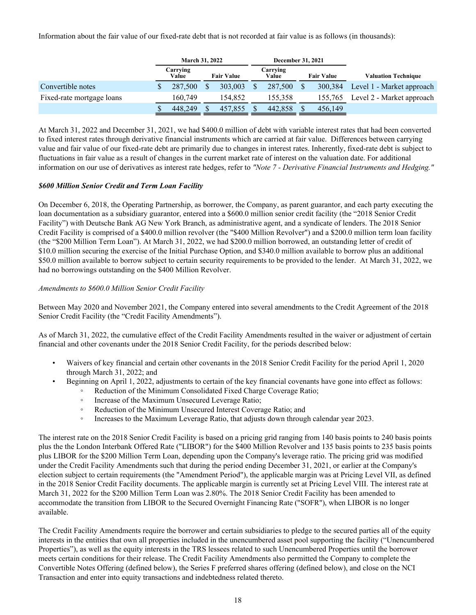Information about the fair value of our fixed-rate debt that is not recorded at fair value is as follows (in thousands):

|                           |                   | <b>March 31, 2022</b> |                   |         | December 31, 2021                      |         |                            |         |                           |
|---------------------------|-------------------|-----------------------|-------------------|---------|----------------------------------------|---------|----------------------------|---------|---------------------------|
|                           | Carrying<br>Value |                       | <b>Fair Value</b> |         | Carrying<br><b>Fair Value</b><br>Value |         | <b>Valuation Technique</b> |         |                           |
| Convertible notes         |                   | 287.500               |                   | 303,003 |                                        | 287,500 |                            | 300.384 | Level 1 - Market approach |
| Fixed-rate mortgage loans |                   | 160.749               |                   | 154.852 |                                        | 155.358 |                            | 155.765 | Level 2 - Market approach |
|                           |                   | 448.249               |                   | 457.855 |                                        | 442,858 |                            | 456,149 |                           |

At March 31, 2022 and December 31, 2021, we had \$400.0 million of debt with variable interest rates that had been converted to fixed interest rates through derivative financial instruments which are carried at fair value. Differences between carrying value and fair value of our fixed-rate debt are primarily due to changes in interest rates. Inherently, fixed-rate debt is subject to fluctuations in fair value as a result of changes in the current market rate of interest on the valuation date. For additional information on our use of derivatives as interest rate hedges, refer to *"Note 7 - Derivative Financial Instruments and Hedging."*

## *\$600 Million Senior Credit and Term Loan Facility*

On December 6, 2018, the Operating Partnership, as borrower, the Company, as parent guarantor, and each party executing the loan documentation as a subsidiary guarantor, entered into a \$600.0 million senior credit facility (the "2018 Senior Credit Facility") with Deutsche Bank AG New York Branch, as administrative agent, and a syndicate of lenders. The 2018 Senior Credit Facility is comprised of a \$400.0 million revolver (the "\$400 Million Revolver") and a \$200.0 million term loan facility (the "\$200 Million Term Loan"). At March 31, 2022, we had \$200.0 million borrowed, an outstanding letter of credit of \$10.0 million securing the exercise of the Initial Purchase Option, and \$340.0 million available to borrow plus an additional \$50.0 million available to borrow subject to certain security requirements to be provided to the lender. At March 31, 2022, we had no borrowings outstanding on the \$400 Million Revolver.

# *Amendments to \$600.0 Million Senior Credit Facility*

Between May 2020 and November 2021, the Company entered into several amendments to the Credit Agreement of the 2018 Senior Credit Facility (the "Credit Facility Amendments").

As of March 31, 2022, the cumulative effect of the Credit Facility Amendments resulted in the waiver or adjustment of certain financial and other covenants under the 2018 Senior Credit Facility, for the periods described below:

- Waivers of key financial and certain other covenants in the 2018 Senior Credit Facility for the period April 1, 2020 through March 31, 2022; and
	- Beginning on April 1, 2022, adjustments to certain of the key financial covenants have gone into effect as follows:
		- Reduction of the Minimum Consolidated Fixed Charge Coverage Ratio;
		- Increase of the Maximum Unsecured Leverage Ratio;
		- Reduction of the Minimum Unsecured Interest Coverage Ratio; and
		- Increases to the Maximum Leverage Ratio, that adjusts down through calendar year 2023.

The interest rate on the 2018 Senior Credit Facility is based on a pricing grid ranging from 140 basis points to 240 basis points plus the the London Interbank Offered Rate ("LIBOR") for the \$400 Million Revolver and 135 basis points to 235 basis points plus LIBOR for the \$200 Million Term Loan, depending upon the Company's leverage ratio. The pricing grid was modified under the Credit Facility Amendments such that during the period ending December 31, 2021, or earlier at the Company's election subject to certain requirements (the "Amendment Period"), the applicable margin was at Pricing Level VII, as defined in the 2018 Senior Credit Facility documents. The applicable margin is currently set at Pricing Level VIII. The interest rate at March 31, 2022 for the \$200 Million Term Loan was 2.80%. The 2018 Senior Credit Facility has been amended to accommodate the transition from LIBOR to the Secured Overnight Financing Rate ("SOFR"), when LIBOR is no longer available.

The Credit Facility Amendments require the borrower and certain subsidiaries to pledge to the secured parties all of the equity interests in the entities that own all properties included in the unencumbered asset pool supporting the facility ("Unencumbered Properties"), as well as the equity interests in the TRS lessees related to such Unencumbered Properties until the borrower meets certain conditions for their release. The Credit Facility Amendments also permitted the Company to complete the Convertible Notes Offering (defined below), the Series F preferred shares offering (defined below), and close on the NCI Transaction and enter into equity transactions and indebtedness related thereto.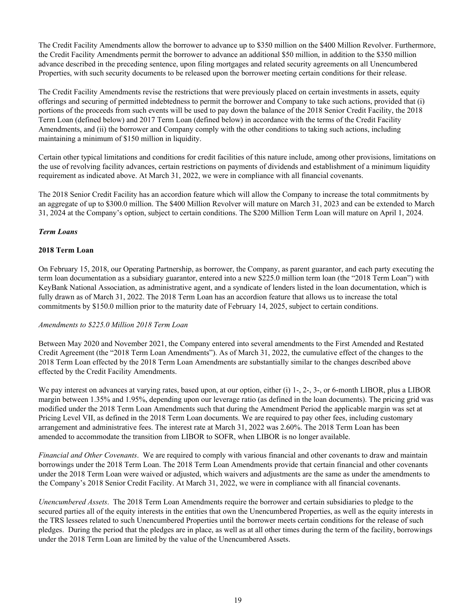The Credit Facility Amendments allow the borrower to advance up to \$350 million on the \$400 Million Revolver. Furthermore, the Credit Facility Amendments permit the borrower to advance an additional \$50 million, in addition to the \$350 million advance described in the preceding sentence, upon filing mortgages and related security agreements on all Unencumbered Properties, with such security documents to be released upon the borrower meeting certain conditions for their release.

The Credit Facility Amendments revise the restrictions that were previously placed on certain investments in assets, equity offerings and securing of permitted indebtedness to permit the borrower and Company to take such actions, provided that (i) portions of the proceeds from such events will be used to pay down the balance of the 2018 Senior Credit Facility, the 2018 Term Loan (defined below) and 2017 Term Loan (defined below) in accordance with the terms of the Credit Facility Amendments, and (ii) the borrower and Company comply with the other conditions to taking such actions, including maintaining a minimum of \$150 million in liquidity.

Certain other typical limitations and conditions for credit facilities of this nature include, among other provisions, limitations on the use of revolving facility advances, certain restrictions on payments of dividends and establishment of a minimum liquidity requirement as indicated above. At March 31, 2022, we were in compliance with all financial covenants.

The 2018 Senior Credit Facility has an accordion feature which will allow the Company to increase the total commitments by an aggregate of up to \$300.0 million. The \$400 Million Revolver will mature on March 31, 2023 and can be extended to March 31, 2024 at the Company's option, subject to certain conditions. The \$200 Million Term Loan will mature on April 1, 2024.

# *Term Loans*

# **2018 Term Loan**

On February 15, 2018, our Operating Partnership, as borrower, the Company, as parent guarantor, and each party executing the term loan documentation as a subsidiary guarantor, entered into a new \$225.0 million term loan (the "2018 Term Loan") with KeyBank National Association, as administrative agent, and a syndicate of lenders listed in the loan documentation, which is fully drawn as of March 31, 2022. The 2018 Term Loan has an accordion feature that allows us to increase the total commitments by \$150.0 million prior to the maturity date of February 14, 2025, subject to certain conditions.

## *Amendments to \$225.0 Million 2018 Term Loan*

Between May 2020 and November 2021, the Company entered into several amendments to the First Amended and Restated Credit Agreement (the "2018 Term Loan Amendments"). As of March 31, 2022, the cumulative effect of the changes to the 2018 Term Loan effected by the 2018 Term Loan Amendments are substantially similar to the changes described above effected by the Credit Facility Amendments.

We pay interest on advances at varying rates, based upon, at our option, either (i) 1-, 2-, 3-, or 6-month LIBOR, plus a LIBOR margin between 1.35% and 1.95%, depending upon our leverage ratio (as defined in the loan documents). The pricing grid was modified under the 2018 Term Loan Amendments such that during the Amendment Period the applicable margin was set at Pricing Level VII, as defined in the 2018 Term Loan documents. We are required to pay other fees, including customary arrangement and administrative fees. The interest rate at March 31, 2022 was 2.60%. The 2018 Term Loan has been amended to accommodate the transition from LIBOR to SOFR, when LIBOR is no longer available.

*Financial and Other Covenants*. We are required to comply with various financial and other covenants to draw and maintain borrowings under the 2018 Term Loan. The 2018 Term Loan Amendments provide that certain financial and other covenants under the 2018 Term Loan were waived or adjusted, which waivers and adjustments are the same as under the amendments to the Company's 2018 Senior Credit Facility. At March 31, 2022, we were in compliance with all financial covenants.

*Unencumbered Assets*. The 2018 Term Loan Amendments require the borrower and certain subsidiaries to pledge to the secured parties all of the equity interests in the entities that own the Unencumbered Properties, as well as the equity interests in the TRS lessees related to such Unencumbered Properties until the borrower meets certain conditions for the release of such pledges. During the period that the pledges are in place, as well as at all other times during the term of the facility, borrowings under the 2018 Term Loan are limited by the value of the Unencumbered Assets.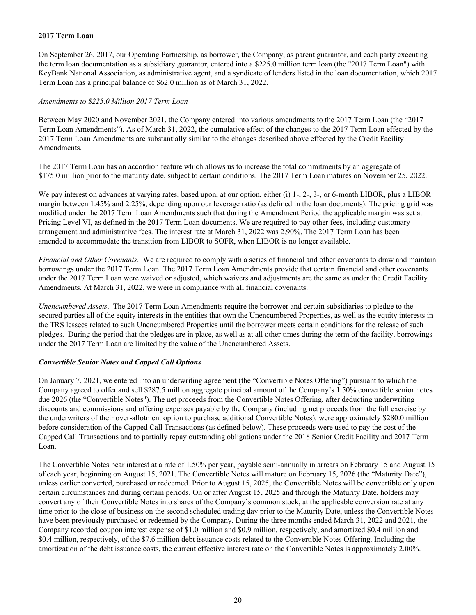#### **2017 Term Loan**

On September 26, 2017, our Operating Partnership, as borrower, the Company, as parent guarantor, and each party executing the term loan documentation as a subsidiary guarantor, entered into a \$225.0 million term loan (the "2017 Term Loan") with KeyBank National Association, as administrative agent, and a syndicate of lenders listed in the loan documentation, which 2017 Term Loan has a principal balance of \$62.0 million as of March 31, 2022.

#### *Amendments to \$225.0 Million 2017 Term Loan*

Between May 2020 and November 2021, the Company entered into various amendments to the 2017 Term Loan (the "2017 Term Loan Amendments"). As of March 31, 2022, the cumulative effect of the changes to the 2017 Term Loan effected by the 2017 Term Loan Amendments are substantially similar to the changes described above effected by the Credit Facility Amendments.

The 2017 Term Loan has an accordion feature which allows us to increase the total commitments by an aggregate of \$175.0 million prior to the maturity date, subject to certain conditions. The 2017 Term Loan matures on November 25, 2022.

We pay interest on advances at varying rates, based upon, at our option, either (i) 1-, 2-, 3-, or 6-month LIBOR, plus a LIBOR margin between 1.45% and 2.25%, depending upon our leverage ratio (as defined in the loan documents). The pricing grid was modified under the 2017 Term Loan Amendments such that during the Amendment Period the applicable margin was set at Pricing Level VI, as defined in the 2017 Term Loan documents. We are required to pay other fees, including customary arrangement and administrative fees. The interest rate at March 31, 2022 was 2.90%. The 2017 Term Loan has been amended to accommodate the transition from LIBOR to SOFR, when LIBOR is no longer available.

*Financial and Other Covenants*. We are required to comply with a series of financial and other covenants to draw and maintain borrowings under the 2017 Term Loan. The 2017 Term Loan Amendments provide that certain financial and other covenants under the 2017 Term Loan were waived or adjusted, which waivers and adjustments are the same as under the Credit Facility Amendments. At March 31, 2022, we were in compliance with all financial covenants.

*Unencumbered Assets*. The 2017 Term Loan Amendments require the borrower and certain subsidiaries to pledge to the secured parties all of the equity interests in the entities that own the Unencumbered Properties, as well as the equity interests in the TRS lessees related to such Unencumbered Properties until the borrower meets certain conditions for the release of such pledges. During the period that the pledges are in place, as well as at all other times during the term of the facility, borrowings under the 2017 Term Loan are limited by the value of the Unencumbered Assets.

## *Convertible Senior Notes and Capped Call Options*

On January 7, 2021, we entered into an underwriting agreement (the "Convertible Notes Offering") pursuant to which the Company agreed to offer and sell \$287.5 million aggregate principal amount of the Company's 1.50% convertible senior notes due 2026 (the "Convertible Notes"). The net proceeds from the Convertible Notes Offering, after deducting underwriting discounts and commissions and offering expenses payable by the Company (including net proceeds from the full exercise by the underwriters of their over-allotment option to purchase additional Convertible Notes), were approximately \$280.0 million before consideration of the Capped Call Transactions (as defined below). These proceeds were used to pay the cost of the Capped Call Transactions and to partially repay outstanding obligations under the 2018 Senior Credit Facility and 2017 Term Loan.

The Convertible Notes bear interest at a rate of 1.50% per year, payable semi-annually in arrears on February 15 and August 15 of each year, beginning on August 15, 2021. The Convertible Notes will mature on February 15, 2026 (the "Maturity Date"), unless earlier converted, purchased or redeemed. Prior to August 15, 2025, the Convertible Notes will be convertible only upon certain circumstances and during certain periods. On or after August 15, 2025 and through the Maturity Date, holders may convert any of their Convertible Notes into shares of the Company's common stock, at the applicable conversion rate at any time prior to the close of business on the second scheduled trading day prior to the Maturity Date, unless the Convertible Notes have been previously purchased or redeemed by the Company. During the three months ended March 31, 2022 and 2021, the Company recorded coupon interest expense of \$1.0 million and \$0.9 million, respectively, and amortized \$0.4 million and \$0.4 million, respectively, of the \$7.6 million debt issuance costs related to the Convertible Notes Offering. Including the amortization of the debt issuance costs, the current effective interest rate on the Convertible Notes is approximately 2.00%.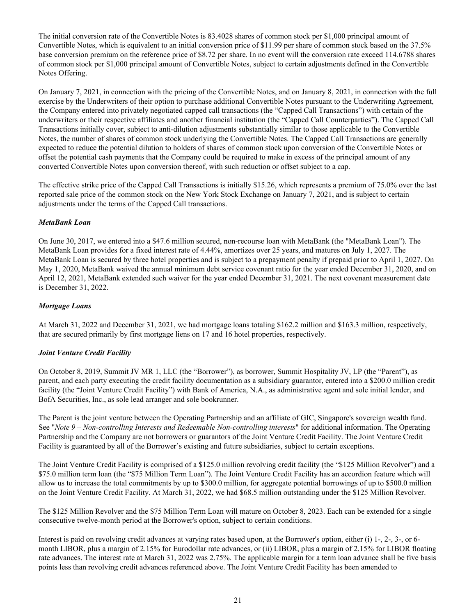The initial conversion rate of the Convertible Notes is 83.4028 shares of common stock per \$1,000 principal amount of Convertible Notes, which is equivalent to an initial conversion price of \$11.99 per share of common stock based on the 37.5% base conversion premium on the reference price of \$8.72 per share. In no event will the conversion rate exceed 114.6788 shares of common stock per \$1,000 principal amount of Convertible Notes, subject to certain adjustments defined in the Convertible Notes Offering.

On January 7, 2021, in connection with the pricing of the Convertible Notes, and on January 8, 2021, in connection with the full exercise by the Underwriters of their option to purchase additional Convertible Notes pursuant to the Underwriting Agreement, the Company entered into privately negotiated capped call transactions (the "Capped Call Transactions") with certain of the underwriters or their respective affiliates and another financial institution (the "Capped Call Counterparties"). The Capped Call Transactions initially cover, subject to anti-dilution adjustments substantially similar to those applicable to the Convertible Notes, the number of shares of common stock underlying the Convertible Notes. The Capped Call Transactions are generally expected to reduce the potential dilution to holders of shares of common stock upon conversion of the Convertible Notes or offset the potential cash payments that the Company could be required to make in excess of the principal amount of any converted Convertible Notes upon conversion thereof, with such reduction or offset subject to a cap.

The effective strike price of the Capped Call Transactions is initially \$15.26, which represents a premium of 75.0% over the last reported sale price of the common stock on the New York Stock Exchange on January 7, 2021, and is subject to certain adjustments under the terms of the Capped Call transactions.

# *MetaBank Loan*

On June 30, 2017, we entered into a \$47.6 million secured, non-recourse loan with MetaBank (the "MetaBank Loan"). The MetaBank Loan provides for a fixed interest rate of 4.44%, amortizes over 25 years, and matures on July 1, 2027. The MetaBank Loan is secured by three hotel properties and is subject to a prepayment penalty if prepaid prior to April 1, 2027. On May 1, 2020, MetaBank waived the annual minimum debt service covenant ratio for the year ended December 31, 2020, and on April 12, 2021, MetaBank extended such waiver for the year ended December 31, 2021. The next covenant measurement date is December 31, 2022.

## *Mortgage Loans*

At March 31, 2022 and December 31, 2021, we had mortgage loans totaling \$162.2 million and \$163.3 million, respectively, that are secured primarily by first mortgage liens on 17 and 16 hotel properties, respectively.

## *Joint Venture Credit Facility*

On October 8, 2019, Summit JV MR 1, LLC (the "Borrower"), as borrower, Summit Hospitality JV, LP (the "Parent"), as parent, and each party executing the credit facility documentation as a subsidiary guarantor, entered into a \$200.0 million credit facility (the "Joint Venture Credit Facility") with Bank of America, N.A., as administrative agent and sole initial lender, and BofA Securities, Inc., as sole lead arranger and sole bookrunner.

The Parent is the joint venture between the Operating Partnership and an affiliate of GIC, Singapore's sovereign wealth fund. See "*Note 9 – Non-controlling Interests and Redeemable Non-controlling interests*" for additional information. The Operating Partnership and the Company are not borrowers or guarantors of the Joint Venture Credit Facility. The Joint Venture Credit Facility is guaranteed by all of the Borrower's existing and future subsidiaries, subject to certain exceptions.

The Joint Venture Credit Facility is comprised of a \$125.0 million revolving credit facility (the "\$125 Million Revolver") and a \$75.0 million term loan (the "\$75 Million Term Loan"). The Joint Venture Credit Facility has an accordion feature which will allow us to increase the total commitments by up to \$300.0 million, for aggregate potential borrowings of up to \$500.0 million on the Joint Venture Credit Facility. At March 31, 2022, we had \$68.5 million outstanding under the \$125 Million Revolver.

The \$125 Million Revolver and the \$75 Million Term Loan will mature on October 8, 2023. Each can be extended for a single consecutive twelve-month period at the Borrower's option, subject to certain conditions.

Interest is paid on revolving credit advances at varying rates based upon, at the Borrower's option, either (i) 1-, 2-, 3-, or 6 month LIBOR, plus a margin of 2.15% for Eurodollar rate advances, or (ii) LIBOR, plus a margin of 2.15% for LIBOR floating rate advances. The interest rate at March 31, 2022 was 2.75%. The applicable margin for a term loan advance shall be five basis points less than revolving credit advances referenced above. The Joint Venture Credit Facility has been amended to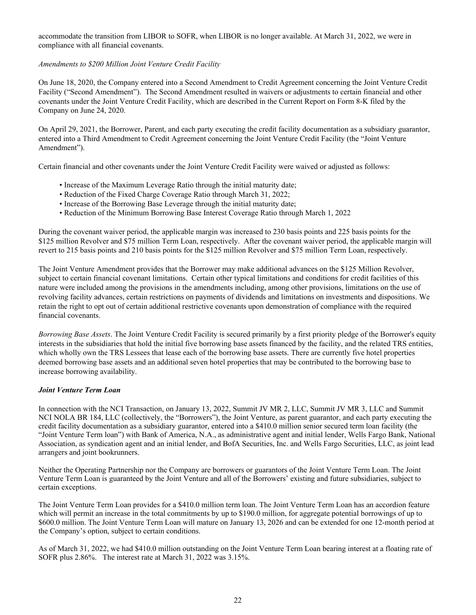accommodate the transition from LIBOR to SOFR, when LIBOR is no longer available. At March 31, 2022, we were in compliance with all financial covenants.

## *Amendments to \$200 Million Joint Venture Credit Facility*

On June 18, 2020, the Company entered into a Second Amendment to Credit Agreement concerning the Joint Venture Credit Facility ("Second Amendment"). The Second Amendment resulted in waivers or adjustments to certain financial and other covenants under the Joint Venture Credit Facility, which are described in the Current Report on Form 8-K filed by the Company on June 24, 2020.

On April 29, 2021, the Borrower, Parent, and each party executing the credit facility documentation as a subsidiary guarantor, entered into a Third Amendment to Credit Agreement concerning the Joint Venture Credit Facility (the "Joint Venture Amendment").

Certain financial and other covenants under the Joint Venture Credit Facility were waived or adjusted as follows:

- Increase of the Maximum Leverage Ratio through the initial maturity date;
- Reduction of the Fixed Charge Coverage Ratio through March 31, 2022;
- Increase of the Borrowing Base Leverage through the initial maturity date;
- Reduction of the Minimum Borrowing Base Interest Coverage Ratio through March 1, 2022

During the covenant waiver period, the applicable margin was increased to 230 basis points and 225 basis points for the \$125 million Revolver and \$75 million Term Loan, respectively. After the covenant waiver period, the applicable margin will revert to 215 basis points and 210 basis points for the \$125 million Revolver and \$75 million Term Loan, respectively.

The Joint Venture Amendment provides that the Borrower may make additional advances on the \$125 Million Revolver, subject to certain financial covenant limitations. Certain other typical limitations and conditions for credit facilities of this nature were included among the provisions in the amendments including, among other provisions, limitations on the use of revolving facility advances, certain restrictions on payments of dividends and limitations on investments and dispositions. We retain the right to opt out of certain additional restrictive covenants upon demonstration of compliance with the required financial covenants.

*Borrowing Base Assets*. The Joint Venture Credit Facility is secured primarily by a first priority pledge of the Borrower's equity interests in the subsidiaries that hold the initial five borrowing base assets financed by the facility, and the related TRS entities, which wholly own the TRS Lessees that lease each of the borrowing base assets. There are currently five hotel properties deemed borrowing base assets and an additional seven hotel properties that may be contributed to the borrowing base to increase borrowing availability.

#### *Joint Venture Term Loan*

In connection with the NCI Transaction, on January 13, 2022, Summit JV MR 2, LLC, Summit JV MR 3, LLC and Summit NCI NOLA BR 184, LLC (collectively, the "Borrowers"), the Joint Venture, as parent guarantor, and each party executing the credit facility documentation as a subsidiary guarantor, entered into a \$410.0 million senior secured term loan facility (the "Joint Venture Term loan") with Bank of America, N.A., as administrative agent and initial lender, Wells Fargo Bank, National Association, as syndication agent and an initial lender, and BofA Securities, Inc. and Wells Fargo Securities, LLC, as joint lead arrangers and joint bookrunners.

Neither the Operating Partnership nor the Company are borrowers or guarantors of the Joint Venture Term Loan. The Joint Venture Term Loan is guaranteed by the Joint Venture and all of the Borrowers' existing and future subsidiaries, subject to certain exceptions.

The Joint Venture Term Loan provides for a \$410.0 million term loan. The Joint Venture Term Loan has an accordion feature which will permit an increase in the total commitments by up to \$190.0 million, for aggregate potential borrowings of up to \$600.0 million. The Joint Venture Term Loan will mature on January 13, 2026 and can be extended for one 12-month period at the Company's option, subject to certain conditions.

As of March 31, 2022, we had \$410.0 million outstanding on the Joint Venture Term Loan bearing interest at a floating rate of SOFR plus 2.86%. The interest rate at March 31, 2022 was 3.15%.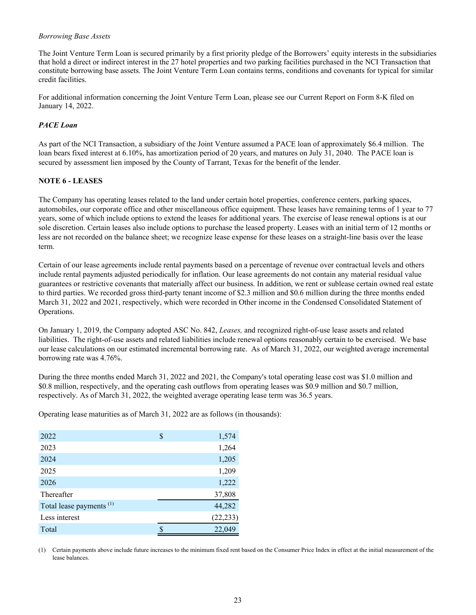#### *Borrowing Base Assets*

The Joint Venture Term Loan is secured primarily by a first priority pledge of the Borrowers' equity interests in the subsidiaries that hold a direct or indirect interest in the 27 hotel properties and two parking facilities purchased in the NCI Transaction that constitute borrowing base assets. The Joint Venture Term Loan contains terms, conditions and covenants for typical for similar credit facilities.

For additional information concerning the Joint Venture Term Loan, please see our Current Report on Form 8-K filed on January 14, 2022.

## *PACE Loan*

As part of the NCI Transaction, a subsidiary of the Joint Venture assumed a PACE loan of approximately \$6.4 million. The loan bears fixed interest at 6.10%, has amortization period of 20 years, and matures on July 31, 2040. The PACE loan is secured by assessment lien imposed by the County of Tarrant, Texas for the benefit of the lender.

## **NOTE 6 - LEASES**

The Company has operating leases related to the land under certain hotel properties, conference centers, parking spaces, automobiles, our corporate office and other miscellaneous office equipment. These leases have remaining terms of 1 year to 77 years, some of which include options to extend the leases for additional years. The exercise of lease renewal options is at our sole discretion. Certain leases also include options to purchase the leased property. Leases with an initial term of 12 months or less are not recorded on the balance sheet; we recognize lease expense for these leases on a straight-line basis over the lease term.

Certain of our lease agreements include rental payments based on a percentage of revenue over contractual levels and others include rental payments adjusted periodically for inflation. Our lease agreements do not contain any material residual value guarantees or restrictive covenants that materially affect our business. In addition, we rent or sublease certain owned real estate to third parties. We recorded gross third-party tenant income of \$2.3 million and \$0.6 million during the three months ended March 31, 2022 and 2021, respectively, which were recorded in Other income in the Condensed Consolidated Statement of Operations.

On January 1, 2019, the Company adopted ASC No. 842, *Leases,* and recognized right-of-use lease assets and related liabilities. The right-of-use assets and related liabilities include renewal options reasonably certain to be exercised. We base our lease calculations on our estimated incremental borrowing rate. As of March 31, 2022, our weighted average incremental borrowing rate was 4.76%.

During the three months ended March 31, 2022 and 2021, the Company's total operating lease cost was \$1.0 million and \$0.8 million, respectively, and the operating cash outflows from operating leases was \$0.9 million and \$0.7 million, respectively. As of March 31, 2022, the weighted average operating lease term was 36.5 years.

Operating lease maturities as of March 31, 2022 are as follows (in thousands):

| 2022                                | \$<br>1,574 |
|-------------------------------------|-------------|
| 2023                                | 1,264       |
| 2024                                | 1,205       |
| 2025                                | 1,209       |
| 2026                                | 1,222       |
| Thereafter                          | 37,808      |
| Total lease payments <sup>(1)</sup> | 44,282      |
| Less interest                       | (22, 233)   |
| Total                               | 22,049      |

(1) Certain payments above include future increases to the minimum fixed rent based on the Consumer Price Index in effect at the initial measurement of the lease balances.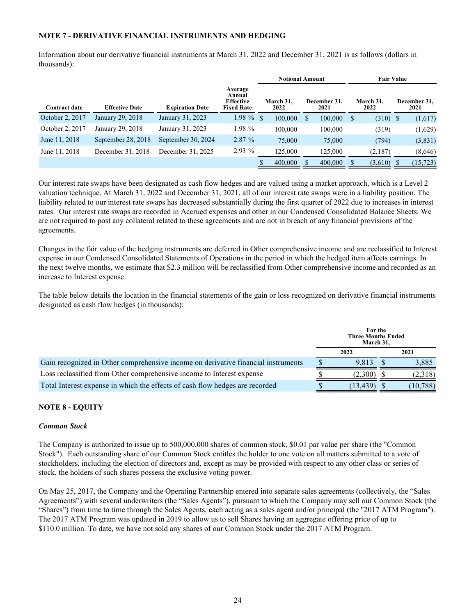## **NOTE 7 - DERIVATIVE FINANCIAL INSTRUMENTS AND HEDGING**

Information about our derivative financial instruments at March 31, 2022 and December 31, 2021 is as follows (dollars in thousands):

|                      |                       |                        |                                                            | <b>Notional Amount</b> |                                           |             | <b>Fair Value</b> |                      |           |  |
|----------------------|-----------------------|------------------------|------------------------------------------------------------|------------------------|-------------------------------------------|-------------|-------------------|----------------------|-----------|--|
| <b>Contract date</b> | <b>Effective Date</b> | <b>Expiration Date</b> | Average<br>Annual<br><b>Effective</b><br><b>Fixed Rate</b> |                        | March 31,<br>December 31.<br>2022<br>2021 |             | March 31,<br>2022 | December 31,<br>2021 |           |  |
| October 2, 2017      | January 29, 2018      | January 31, 2023       | $1.98 \%$ \$                                               |                        | 100,000                                   | $\mathbf S$ | 100,000           | $(310)$ \$           | (1,617)   |  |
| October 2, 2017      | January 29, 2018      | January 31, 2023       | 1.98 %                                                     |                        | 100.000                                   |             | 100.000           | (319)                | (1,629)   |  |
| June 11, 2018        | September 28, 2018    | September 30, 2024     | 2.87%                                                      |                        | 75,000                                    |             | 75,000            | (794)                | (3,831)   |  |
| June 11, 2018        | December 31, 2018     | December 31, 2025      | $2.93\%$                                                   |                        | 125,000                                   |             | 125,000           | (2,187)              | (8,646)   |  |
|                      |                       |                        |                                                            |                        | 400,000                                   |             | 400,000           | (3,610)              | (15, 723) |  |

Our interest rate swaps have been designated as cash flow hedges and are valued using a market approach, which is a Level 2 valuation technique. At March 31, 2022 and December 31, 2021, all of our interest rate swaps were in a liability position. The liability related to our interest rate swaps has decreased substantially during the first quarter of 2022 due to increases in interest rates. Our interest rate swaps are recorded in Accrued expenses and other in our Condensed Consolidated Balance Sheets. We are not required to post any collateral related to these agreements and are not in breach of any financial provisions of the agreements.

Changes in the fair value of the hedging instruments are deferred in Other comprehensive income and are reclassified to Interest expense in our Condensed Consolidated Statements of Operations in the period in which the hedged item affects earnings. In the next twelve months, we estimate that \$2.3 million will be reclassified from Other comprehensive income and recorded as an increase to Interest expense.

The table below details the location in the financial statements of the gain or loss recognized on derivative financial instruments designated as cash flow hedges (in thousands):

|                                                                                   | For the<br><b>Three Months Ended</b><br>March 31. |           |  |           |  |
|-----------------------------------------------------------------------------------|---------------------------------------------------|-----------|--|-----------|--|
|                                                                                   | 2022                                              |           |  | 2021      |  |
| Gain recognized in Other comprehensive income on derivative financial instruments |                                                   | 9.813     |  | 3,885     |  |
| Loss reclassified from Other comprehensive income to Interest expense             |                                                   | (2,300)   |  | (2.318)   |  |
| Total Interest expense in which the effects of cash flow hedges are recorded      |                                                   | (13, 439) |  | (10, 788) |  |

# **NOTE 8 - EQUITY**

## *Common Stock*

The Company is authorized to issue up to 500,000,000 shares of common stock, \$0.01 par value per share (the "Common Stock"). Each outstanding share of our Common Stock entitles the holder to one vote on all matters submitted to a vote of stockholders, including the election of directors and, except as may be provided with respect to any other class or series of stock, the holders of such shares possess the exclusive voting power.

On May 25, 2017, the Company and the Operating Partnership entered into separate sales agreements (collectively, the "Sales Agreements") with several underwriters (the "Sales Agents"), pursuant to which the Company may sell our Common Stock (the "Shares") from time to time through the Sales Agents, each acting as a sales agent and/or principal (the "2017 ATM Program"). The 2017 ATM Program was updated in 2019 to allow us to sell Shares having an aggregate offering price of up to \$110.0 million. To date, we have not sold any shares of our Common Stock under the 2017 ATM Program.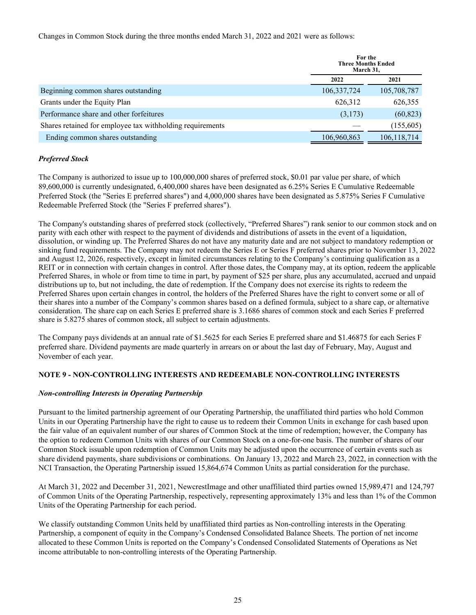Changes in Common Stock during the three months ended March 31, 2022 and 2021 were as follows:

|                                                           | For the<br><b>Three Months Ended</b><br>March 31, |             |  |
|-----------------------------------------------------------|---------------------------------------------------|-------------|--|
|                                                           | 2022                                              | 2021        |  |
| Beginning common shares outstanding                       | 106,337,724                                       | 105,708,787 |  |
| Grants under the Equity Plan                              | 626,312                                           | 626,355     |  |
| Performance share and other forfeitures                   | (3,173)                                           | (60, 823)   |  |
| Shares retained for employee tax withholding requirements |                                                   | (155, 605)  |  |
| Ending common shares outstanding                          | 106,960,863                                       | 106,118,714 |  |

# *Preferred Stock*

The Company is authorized to issue up to 100,000,000 shares of preferred stock, \$0.01 par value per share, of which 89,600,000 is currently undesignated, 6,400,000 shares have been designated as 6.25% Series E Cumulative Redeemable Preferred Stock (the "Series E preferred shares") and 4,000,000 shares have been designated as 5.875% Series F Cumulative Redeemable Preferred Stock (the "Series F preferred shares").

The Company's outstanding shares of preferred stock (collectively, "Preferred Shares") rank senior to our common stock and on parity with each other with respect to the payment of dividends and distributions of assets in the event of a liquidation, dissolution, or winding up. The Preferred Shares do not have any maturity date and are not subject to mandatory redemption or sinking fund requirements. The Company may not redeem the Series E or Series F preferred shares prior to November 13, 2022 and August 12, 2026, respectively, except in limited circumstances relating to the Company's continuing qualification as a REIT or in connection with certain changes in control. After those dates, the Company may, at its option, redeem the applicable Preferred Shares, in whole or from time to time in part, by payment of \$25 per share, plus any accumulated, accrued and unpaid distributions up to, but not including, the date of redemption. If the Company does not exercise its rights to redeem the Preferred Shares upon certain changes in control, the holders of the Preferred Shares have the right to convert some or all of their shares into a number of the Company's common shares based on a defined formula, subject to a share cap, or alternative consideration. The share cap on each Series E preferred share is 3.1686 shares of common stock and each Series F preferred share is 5.8275 shares of common stock, all subject to certain adjustments.

The Company pays dividends at an annual rate of \$1.5625 for each Series E preferred share and \$1.46875 for each Series F preferred share. Dividend payments are made quarterly in arrears on or about the last day of February, May, August and November of each year.

## **NOTE 9 - NON-CONTROLLING INTERESTS AND REDEEMABLE NON-CONTROLLING INTERESTS**

## *Non-controlling Interests in Operating Partnership*

Pursuant to the limited partnership agreement of our Operating Partnership, the unaffiliated third parties who hold Common Units in our Operating Partnership have the right to cause us to redeem their Common Units in exchange for cash based upon the fair value of an equivalent number of our shares of Common Stock at the time of redemption; however, the Company has the option to redeem Common Units with shares of our Common Stock on a one-for-one basis. The number of shares of our Common Stock issuable upon redemption of Common Units may be adjusted upon the occurrence of certain events such as share dividend payments, share subdivisions or combinations. On January 13, 2022 and March 23, 2022, in connection with the NCI Transaction, the Operating Partnership issued 15,864,674 Common Units as partial consideration for the purchase.

At March 31, 2022 and December 31, 2021, NewcrestImage and other unaffiliated third parties owned 15,989,471 and 124,797 of Common Units of the Operating Partnership, respectively, representing approximately 13% and less than 1% of the Common Units of the Operating Partnership for each period.

We classify outstanding Common Units held by unaffiliated third parties as Non-controlling interests in the Operating Partnership, a component of equity in the Company's Condensed Consolidated Balance Sheets. The portion of net income allocated to these Common Units is reported on the Company's Condensed Consolidated Statements of Operations as Net income attributable to non-controlling interests of the Operating Partnership.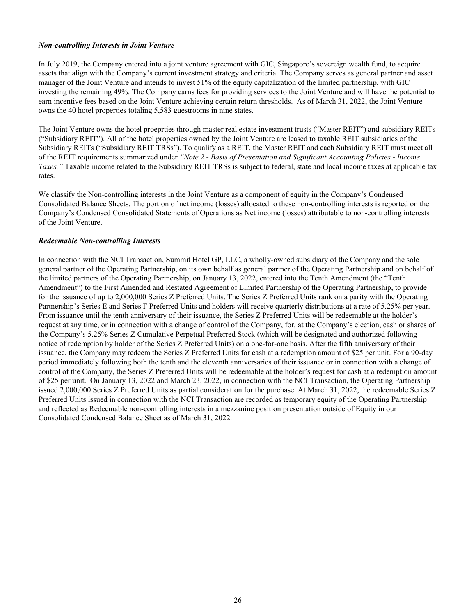#### *Non-controlling Interests in Joint Venture*

In July 2019, the Company entered into a joint venture agreement with GIC, Singapore's sovereign wealth fund, to acquire assets that align with the Company's current investment strategy and criteria. The Company serves as general partner and asset manager of the Joint Venture and intends to invest 51% of the equity capitalization of the limited partnership, with GIC investing the remaining 49%. The Company earns fees for providing services to the Joint Venture and will have the potential to earn incentive fees based on the Joint Venture achieving certain return thresholds. As of March 31, 2022, the Joint Venture owns the 40 hotel properties totaling 5,583 guestrooms in nine states.

The Joint Venture owns the hotel proeprties through master real estate investment trusts ("Master REIT") and subsidiary REITs ("Subsidiary REIT"). All of the hotel properties owned by the Joint Venture are leased to taxable REIT subsidiaries of the Subsidiary REITs ("Subsidiary REIT TRSs"). To qualify as a REIT, the Master REIT and each Subsidiary REIT must meet all of the REIT requirements summarized under *"Note 2 - Basis of Presentation and Significant Accounting Policies - Income Taxes."* Taxable income related to the Subsidiary REIT TRSs is subject to federal, state and local income taxes at applicable tax rates.

We classify the Non-controlling interests in the Joint Venture as a component of equity in the Company's Condensed Consolidated Balance Sheets. The portion of net income (losses) allocated to these non-controlling interests is reported on the Company's Condensed Consolidated Statements of Operations as Net income (losses) attributable to non-controlling interests of the Joint Venture.

## *Redeemable Non-controlling Interests*

In connection with the NCI Transaction, Summit Hotel GP, LLC, a wholly-owned subsidiary of the Company and the sole general partner of the Operating Partnership, on its own behalf as general partner of the Operating Partnership and on behalf of the limited partners of the Operating Partnership, on January 13, 2022, entered into the Tenth Amendment (the "Tenth Amendment") to the First Amended and Restated Agreement of Limited Partnership of the Operating Partnership, to provide for the issuance of up to 2,000,000 Series Z Preferred Units. The Series Z Preferred Units rank on a parity with the Operating Partnership's Series E and Series F Preferred Units and holders will receive quarterly distributions at a rate of 5.25% per year. From issuance until the tenth anniversary of their issuance, the Series Z Preferred Units will be redeemable at the holder's request at any time, or in connection with a change of control of the Company, for, at the Company's election, cash or shares of the Company's 5.25% Series Z Cumulative Perpetual Preferred Stock (which will be designated and authorized following notice of redemption by holder of the Series Z Preferred Units) on a one-for-one basis. After the fifth anniversary of their issuance, the Company may redeem the Series Z Preferred Units for cash at a redemption amount of \$25 per unit. For a 90-day period immediately following both the tenth and the eleventh anniversaries of their issuance or in connection with a change of control of the Company, the Series Z Preferred Units will be redeemable at the holder's request for cash at a redemption amount of \$25 per unit. On January 13, 2022 and March 23, 2022, in connection with the NCI Transaction, the Operating Partnership issued 2,000,000 Series Z Preferred Units as partial consideration for the purchase. At March 31, 2022, the redeemable Series Z Preferred Units issued in connection with the NCI Transaction are recorded as temporary equity of the Operating Partnership and reflected as Redeemable non-controlling interests in a mezzanine position presentation outside of Equity in our Consolidated Condensed Balance Sheet as of March 31, 2022.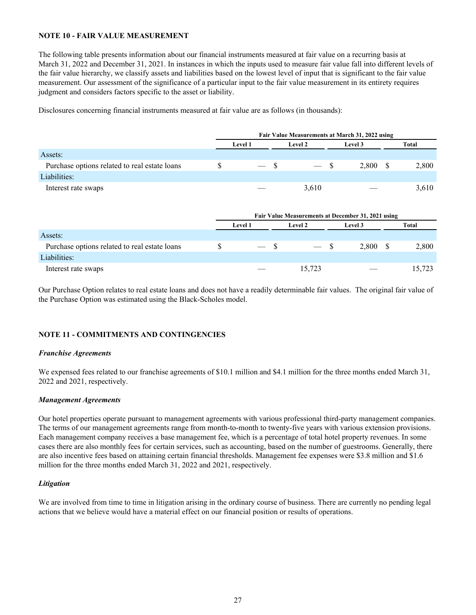## **NOTE 10 - FAIR VALUE MEASUREMENT**

The following table presents information about our financial instruments measured at fair value on a recurring basis at March 31, 2022 and December 31, 2021. In instances in which the inputs used to measure fair value fall into different levels of the fair value hierarchy, we classify assets and liabilities based on the lowest level of input that is significant to the fair value measurement. Our assessment of the significance of a particular input to the fair value measurement in its entirety requires judgment and considers factors specific to the asset or liability.

Disclosures concerning financial instruments measured at fair value are as follows (in thousands):

|                                               | Fair Value Measurements at March 31, 2022 using |  |                          |  |         |  |       |  |  |  |  |  |
|-----------------------------------------------|-------------------------------------------------|--|--------------------------|--|---------|--|-------|--|--|--|--|--|
|                                               | <b>Level 1</b>                                  |  | Level 2                  |  | Level 3 |  | Total |  |  |  |  |  |
| Assets:                                       |                                                 |  |                          |  |         |  |       |  |  |  |  |  |
| Purchase options related to real estate loans | $-$ S                                           |  | $\overline{\phantom{a}}$ |  | 2.800   |  | 2.800 |  |  |  |  |  |
| Liabilities:                                  |                                                 |  |                          |  |         |  |       |  |  |  |  |  |
| Interest rate swaps                           |                                                 |  | 3,610                    |  |         |  | 3,610 |  |  |  |  |  |

|                                               | Fair Value Measurements at December 31, 2021 using |  |                |  |         |  |        |  |  |  |  |
|-----------------------------------------------|----------------------------------------------------|--|----------------|--|---------|--|--------|--|--|--|--|
|                                               | <b>Level 1</b>                                     |  | <b>Level 2</b> |  | Level 3 |  | Total  |  |  |  |  |
| Assets:                                       |                                                    |  |                |  |         |  |        |  |  |  |  |
| Purchase options related to real estate loans | $-$ S                                              |  | $-$ S          |  | 2.800   |  | 2,800  |  |  |  |  |
| Liabilities:                                  |                                                    |  |                |  |         |  |        |  |  |  |  |
| Interest rate swaps                           |                                                    |  | 15,723         |  |         |  | 15,723 |  |  |  |  |

Our Purchase Option relates to real estate loans and does not have a readily determinable fair values. The original fair value of the Purchase Option was estimated using the Black-Scholes model.

## **NOTE 11 - COMMITMENTS AND CONTINGENCIES**

## *Franchise Agreements*

We expensed fees related to our franchise agreements of \$10.1 million and \$4.1 million for the three months ended March 31, 2022 and 2021, respectively.

## *Management Agreements*

Our hotel properties operate pursuant to management agreements with various professional third-party management companies. The terms of our management agreements range from month-to-month to twenty-five years with various extension provisions. Each management company receives a base management fee, which is a percentage of total hotel property revenues. In some cases there are also monthly fees for certain services, such as accounting, based on the number of guestrooms. Generally, there are also incentive fees based on attaining certain financial thresholds. Management fee expenses were \$3.8 million and \$1.6 million for the three months ended March 31, 2022 and 2021, respectively.

## *Litigation*

We are involved from time to time in litigation arising in the ordinary course of business. There are currently no pending legal actions that we believe would have a material effect on our financial position or results of operations.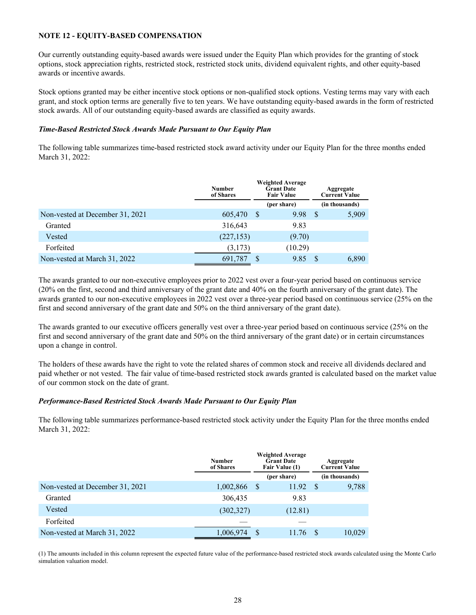## **NOTE 12 - EQUITY-BASED COMPENSATION**

Our currently outstanding equity-based awards were issued under the Equity Plan which provides for the granting of stock options, stock appreciation rights, restricted stock, restricted stock units, dividend equivalent rights, and other equity-based awards or incentive awards.

Stock options granted may be either incentive stock options or non-qualified stock options. Vesting terms may vary with each grant, and stock option terms are generally five to ten years. We have outstanding equity-based awards in the form of restricted stock awards. All of our outstanding equity-based awards are classified as equity awards.

#### *Time-Based Restricted Stock Awards Made Pursuant to Our Equity Plan*

The following table summarizes time-based restricted stock award activity under our Equity Plan for the three months ended March 31, 2022:

|                                 | <b>Number</b><br>of Shares |   | <b>Weighted Average</b><br><b>Grant Date</b><br><b>Fair Value</b> | Aggregate<br><b>Current Value</b> |                |  |
|---------------------------------|----------------------------|---|-------------------------------------------------------------------|-----------------------------------|----------------|--|
|                                 |                            |   | (per share)                                                       |                                   | (in thousands) |  |
| Non-vested at December 31, 2021 | 605,470                    | S | 9.98                                                              | <sup>S</sup>                      | 5,909          |  |
| Granted                         | 316,643                    |   | 9.83                                                              |                                   |                |  |
| Vested                          | (227, 153)                 |   | (9.70)                                                            |                                   |                |  |
| Forfeited                       | (3,173)                    |   | (10.29)                                                           |                                   |                |  |
| Non-vested at March 31, 2022    | 691.787                    |   | 9.85                                                              |                                   | 6,890          |  |

The awards granted to our non-executive employees prior to 2022 vest over a four-year period based on continuous service (20% on the first, second and third anniversary of the grant date and 40% on the fourth anniversary of the grant date). The awards granted to our non-executive employees in 2022 vest over a three-year period based on continuous service (25% on the first and second anniversary of the grant date and 50% on the third anniversary of the grant date).

The awards granted to our executive officers generally vest over a three-year period based on continuous service (25% on the first and second anniversary of the grant date and 50% on the third anniversary of the grant date) or in certain circumstances upon a change in control.

The holders of these awards have the right to vote the related shares of common stock and receive all dividends declared and paid whether or not vested. The fair value of time-based restricted stock awards granted is calculated based on the market value of our common stock on the date of grant.

## *Performance-Based Restricted Stock Awards Made Pursuant to Our Equity Plan*

The following table summarizes performance-based restricted stock activity under the Equity Plan for the three months ended March 31, 2022:

|                                 | <b>Number</b><br>of Shares |   | <b>Weighted Average</b><br><b>Grant Date</b><br>Fair Value (1) | Aggregate<br><b>Current Value</b> |
|---------------------------------|----------------------------|---|----------------------------------------------------------------|-----------------------------------|
|                                 |                            |   | (per share)                                                    | (in thousands)                    |
| Non-vested at December 31, 2021 | 1,002,866                  |   | 11.92                                                          | 9,788                             |
| Granted                         | 306,435                    |   | 9.83                                                           |                                   |
| Vested                          | (302, 327)                 |   | (12.81)                                                        |                                   |
| Forfeited                       |                            |   |                                                                |                                   |
| Non-vested at March 31, 2022    | 1,006,974                  | S | 11.76                                                          | 10,029                            |

(1) The amounts included in this column represent the expected future value of the performance-based restricted stock awards calculated using the Monte Carlo simulation valuation model.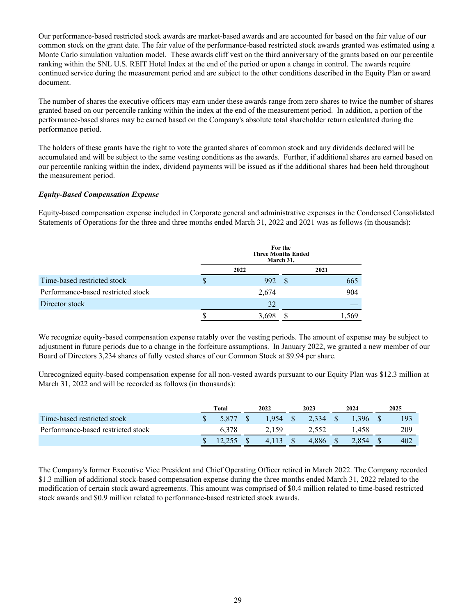Our performance-based restricted stock awards are market-based awards and are accounted for based on the fair value of our common stock on the grant date. The fair value of the performance-based restricted stock awards granted was estimated using a Monte Carlo simulation valuation model. These awards cliff vest on the third anniversary of the grants based on our percentile ranking within the SNL U.S. REIT Hotel Index at the end of the period or upon a change in control. The awards require continued service during the measurement period and are subject to the other conditions described in the Equity Plan or award document.

The number of shares the executive officers may earn under these awards range from zero shares to twice the number of shares granted based on our percentile ranking within the index at the end of the measurement period. In addition, a portion of the performance-based shares may be earned based on the Company's absolute total shareholder return calculated during the performance period.

The holders of these grants have the right to vote the granted shares of common stock and any dividends declared will be accumulated and will be subject to the same vesting conditions as the awards. Further, if additional shares are earned based on our percentile ranking within the index, dividend payments will be issued as if the additional shares had been held throughout the measurement period.

# *Equity-Based Compensation Expense*

Equity-based compensation expense included in Corporate general and administrative expenses in the Condensed Consolidated Statements of Operations for the three and three months ended March 31, 2022 and 2021 was as follows (in thousands):

|                                    |   | <b>Three Months Ended</b> | For the<br>March 31, |      |
|------------------------------------|---|---------------------------|----------------------|------|
|                                    |   | 2022                      |                      | 2021 |
| Time-based restricted stock        | S | 992                       | -8                   | 665  |
| Performance-based restricted stock |   | 2,674                     |                      | 904  |
| Director stock                     |   | 32                        |                      |      |
|                                    |   |                           |                      |      |

We recognize equity-based compensation expense ratably over the vesting periods. The amount of expense may be subject to adjustment in future periods due to a change in the forfeiture assumptions. In January 2022, we granted a new member of our Board of Directors 3,234 shares of fully vested shares of our Common Stock at \$9.94 per share.

Unrecognized equity-based compensation expense for all non-vested awards pursuant to our Equity Plan was \$12.3 million at March 31, 2022 and will be recorded as follows (in thousands):

|                                    | Total | 2022  |              | 2023  | 2024  | 2025 |
|------------------------------------|-------|-------|--------------|-------|-------|------|
| Time-based restricted stock        | 5.877 | 1.954 | <sup>S</sup> | 2.334 | 1.396 | 193  |
| Performance-based restricted stock | 6.378 | 2.159 |              | 2.552 | .458  | 209  |
|                                    |       | 4.113 |              | 4.886 |       | 402  |

The Company's former Executive Vice President and Chief Operating Officer retired in March 2022. The Company recorded \$1.3 million of additional stock-based compensation expense during the three months ended March 31, 2022 related to the modification of certain stock award agreements. This amount was comprised of \$0.4 million related to time-based restricted stock awards and \$0.9 million related to performance-based restricted stock awards.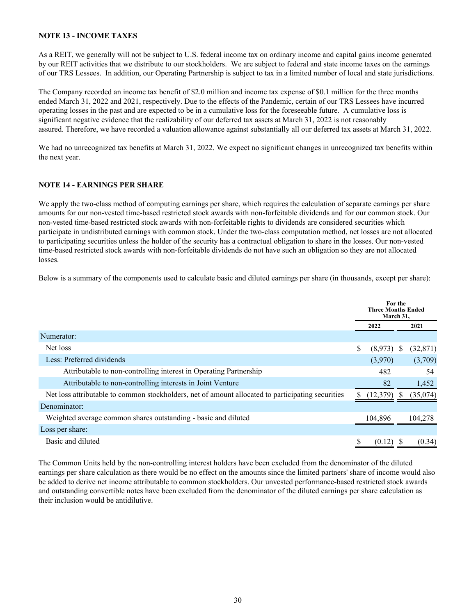## **NOTE 13 - INCOME TAXES**

As a REIT, we generally will not be subject to U.S. federal income tax on ordinary income and capital gains income generated by our REIT activities that we distribute to our stockholders. We are subject to federal and state income taxes on the earnings of our TRS Lessees. In addition, our Operating Partnership is subject to tax in a limited number of local and state jurisdictions.

The Company recorded an income tax benefit of \$2.0 million and income tax expense of \$0.1 million for the three months ended March 31, 2022 and 2021, respectively. Due to the effects of the Pandemic, certain of our TRS Lessees have incurred operating losses in the past and are expected to be in a cumulative loss for the foreseeable future. A cumulative loss is significant negative evidence that the realizability of our deferred tax assets at March 31, 2022 is not reasonably assured. Therefore, we have recorded a valuation allowance against substantially all our deferred tax assets at March 31, 2022.

We had no unrecognized tax benefits at March 31, 2022. We expect no significant changes in unrecognized tax benefits within the next year.

## **NOTE 14 - EARNINGS PER SHARE**

We apply the two-class method of computing earnings per share, which requires the calculation of separate earnings per share amounts for our non-vested time-based restricted stock awards with non-forfeitable dividends and for our common stock. Our non-vested time-based restricted stock awards with non-forfeitable rights to dividends are considered securities which participate in undistributed earnings with common stock. Under the two-class computation method, net losses are not allocated to participating securities unless the holder of the security has a contractual obligation to share in the losses. Our non-vested time-based restricted stock awards with non-forfeitable dividends do not have such an obligation so they are not allocated losses.

Below is a summary of the components used to calculate basic and diluted earnings per share (in thousands, except per share):

|                                                                                                   | For the<br><b>Three Months Ended</b><br>March 31, |           |
|---------------------------------------------------------------------------------------------------|---------------------------------------------------|-----------|
|                                                                                                   | 2022                                              | 2021      |
| Numerator:                                                                                        |                                                   |           |
| Net loss                                                                                          | \$<br>(8,973)                                     | (32, 871) |
| Less: Preferred dividends                                                                         | (3,970)                                           | (3,709)   |
| Attributable to non-controlling interest in Operating Partnership                                 | 482                                               | 54        |
| Attributable to non-controlling interests in Joint Venture                                        | 82                                                | 1,452     |
| Net loss attributable to common stockholders, net of amount allocated to participating securities | (12, 379)                                         | (35,074)  |
| Denominator:                                                                                      |                                                   |           |
| Weighted average common shares outstanding - basic and diluted                                    | 104.896                                           | 104.278   |
| Loss per share:                                                                                   |                                                   |           |
| Basic and diluted                                                                                 | (0.12)                                            | (0.34)    |

The Common Units held by the non-controlling interest holders have been excluded from the denominator of the diluted earnings per share calculation as there would be no effect on the amounts since the limited partners' share of income would also be added to derive net income attributable to common stockholders. Our unvested performance-based restricted stock awards and outstanding convertible notes have been excluded from the denominator of the diluted earnings per share calculation as their inclusion would be antidilutive.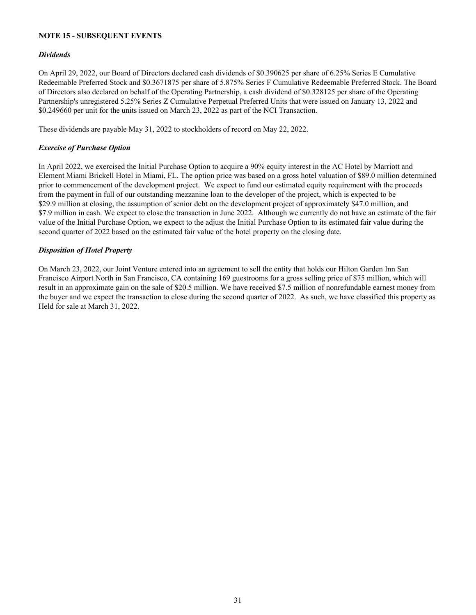# **NOTE 15 - SUBSEQUENT EVENTS**

#### *Dividends*

On April 29, 2022, our Board of Directors declared cash dividends of \$0.390625 per share of 6.25% Series E Cumulative Redeemable Preferred Stock and \$0.3671875 per share of 5.875% Series F Cumulative Redeemable Preferred Stock. The Board of Directors also declared on behalf of the Operating Partnership, a cash dividend of \$0.328125 per share of the Operating Partnership's unregistered 5.25% Series Z Cumulative Perpetual Preferred Units that were issued on January 13, 2022 and \$0.249660 per unit for the units issued on March 23, 2022 as part of the NCI Transaction.

These dividends are payable May 31, 2022 to stockholders of record on May 22, 2022.

#### *Exercise of Purchase Option*

In April 2022, we exercised the Initial Purchase Option to acquire a 90% equity interest in the AC Hotel by Marriott and Element Miami Brickell Hotel in Miami, FL. The option price was based on a gross hotel valuation of \$89.0 million determined prior to commencement of the development project. We expect to fund our estimated equity requirement with the proceeds from the payment in full of our outstanding mezzanine loan to the developer of the project, which is expected to be \$29.9 million at closing, the assumption of senior debt on the development project of approximately \$47.0 million, and \$7.9 million in cash. We expect to close the transaction in June 2022. Although we currently do not have an estimate of the fair value of the Initial Purchase Option, we expect to the adjust the Initial Purchase Option to its estimated fair value during the second quarter of 2022 based on the estimated fair value of the hotel property on the closing date.

## *Disposition of Hotel Property*

On March 23, 2022, our Joint Venture entered into an agreement to sell the entity that holds our Hilton Garden Inn San Francisco Airport North in San Francisco, CA containing 169 guestrooms for a gross selling price of \$75 million, which will result in an approximate gain on the sale of \$20.5 million. We have received \$7.5 million of nonrefundable earnest money from the buyer and we expect the transaction to close during the second quarter of 2022. As such, we have classified this property as Held for sale at March 31, 2022.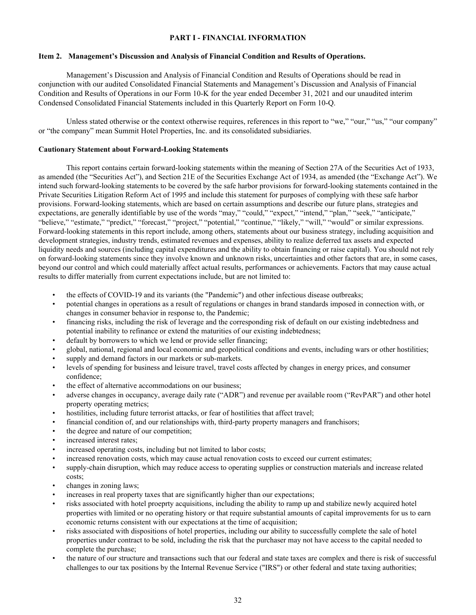#### **PART I - FINANCIAL INFORMATION**

#### <span id="page-34-0"></span>**Item 2. Management's Discussion and Analysis of Financial Condition and Results of Operations.**

Management's Discussion and Analysis of Financial Condition and Results of Operations should be read in conjunction with our audited Consolidated Financial Statements and Management's Discussion and Analysis of Financial Condition and Results of Operations in our Form 10-K for the year ended December 31, 2021 and our unaudited interim Condensed Consolidated Financial Statements included in this Quarterly Report on Form 10-Q.

Unless stated otherwise or the context otherwise requires, references in this report to "we," "our," "us," "our company" or "the company" mean Summit Hotel Properties, Inc. and its consolidated subsidiaries.

#### **Cautionary Statement about Forward-Looking Statements**

This report contains certain forward-looking statements within the meaning of Section 27A of the Securities Act of 1933, as amended (the "Securities Act"), and Section 21E of the Securities Exchange Act of 1934, as amended (the "Exchange Act"). We intend such forward-looking statements to be covered by the safe harbor provisions for forward-looking statements contained in the Private Securities Litigation Reform Act of 1995 and include this statement for purposes of complying with these safe harbor provisions. Forward-looking statements, which are based on certain assumptions and describe our future plans, strategies and expectations, are generally identifiable by use of the words "may," "could," "expect," "intend," "plan," "seek," "anticipate," "believe," "estimate," "predict," "forecast," "project," "potential," "continue," "likely," "will," "would" or similar expressions. Forward-looking statements in this report include, among others, statements about our business strategy, including acquisition and development strategies, industry trends, estimated revenues and expenses, ability to realize deferred tax assets and expected liquidity needs and sources (including capital expenditures and the ability to obtain financing or raise capital). You should not rely on forward-looking statements since they involve known and unknown risks, uncertainties and other factors that are, in some cases, beyond our control and which could materially affect actual results, performances or achievements. Factors that may cause actual results to differ materially from current expectations include, but are not limited to:

- the effects of COVID-19 and its variants (the "Pandemic") and other infectious disease outbreaks;
- potential changes in operations as a result of regulations or changes in brand standards imposed in connection with, or changes in consumer behavior in response to, the Pandemic;
- financing risks, including the risk of leverage and the corresponding risk of default on our existing indebtedness and potential inability to refinance or extend the maturities of our existing indebtedness;
- default by borrowers to which we lend or provide seller financing;
- global, national, regional and local economic and geopolitical conditions and events, including wars or other hostilities;
- supply and demand factors in our markets or sub-markets.
- levels of spending for business and leisure travel, travel costs affected by changes in energy prices, and consumer confidence;
- the effect of alternative accommodations on our business;
- adverse changes in occupancy, average daily rate ("ADR") and revenue per available room ("RevPAR") and other hotel property operating metrics;
- hostilities, including future terrorist attacks, or fear of hostilities that affect travel;
- financial condition of, and our relationships with, third-party property managers and franchisors;
- the degree and nature of our competition;
- increased interest rates;
- increased operating costs, including but not limited to labor costs;
- increased renovation costs, which may cause actual renovation costs to exceed our current estimates;
- supply-chain disruption, which may reduce access to operating supplies or construction materials and increase related costs;
- changes in zoning laws;
- increases in real property taxes that are significantly higher than our expectations;
- risks associated with hotel proeprty acquisitions, including the ability to ramp up and stabilize newly acquired hotel properties with limited or no operating history or that require substantial amounts of capital improvements for us to earn economic returns consistent with our expectations at the time of acquisition;
- risks associated with dispositions of hotel properties, including our ability to successfully complete the sale of hotel properties under contract to be sold, including the risk that the purchaser may not have access to the capital needed to complete the purchase;
- the nature of our structure and transactions such that our federal and state taxes are complex and there is risk of successful challenges to our tax positions by the Internal Revenue Service ("IRS") or other federal and state taxing authorities;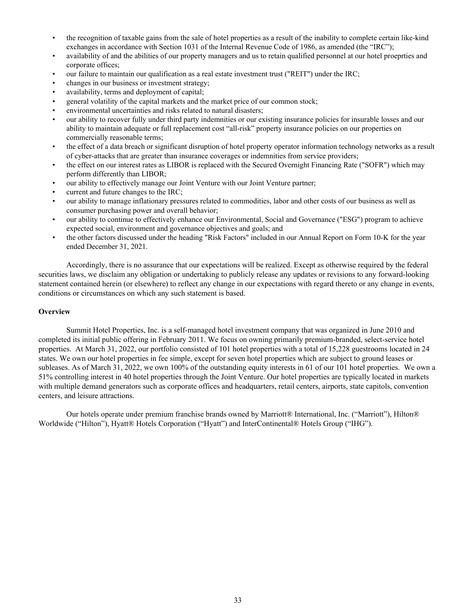- the recognition of taxable gains from the sale of hotel properties as a result of the inability to complete certain like-kind exchanges in accordance with Section 1031 of the Internal Revenue Code of 1986, as amended (the "IRC");
- availability of and the abilities of our property managers and us to retain qualified personnel at our hotel proeprties and corporate offices;
- our failure to maintain our qualification as a real estate investment trust ("REIT") under the IRC;
- changes in our business or investment strategy;
- availability, terms and deployment of capital;
- general volatility of the capital markets and the market price of our common stock;
- environmental uncertainties and risks related to natural disasters;
- our ability to recover fully under third party indemnities or our existing insurance policies for insurable losses and our ability to maintain adequate or full replacement cost "all-risk" property insurance policies on our properties on commercially reasonable terms;
- the effect of a data breach or significant disruption of hotel property operator information technology networks as a result of cyber-attacks that are greater than insurance coverages or indemnities from service providers;
- the effect on our interest rates as LIBOR is replaced with the Secured Overnight Financing Rate ("SOFR") which may perform differently than LIBOR;
- our ability to effectively manage our Joint Venture with our Joint Venture partner;
- current and future changes to the IRC;
- our ability to manage inflationary pressures related to commodities, labor and other costs of our business as well as consumer purchasing power and overall behavior;
- our ability to continue to effectively enhance our Environmental, Social and Governance ("ESG") program to achieve expected social, environment and governance objectives and goals; and
- the other factors discussed under the heading "Risk Factors" included in our Annual Report on Form 10-K for the year ended December 31, 2021.

Accordingly, there is no assurance that our expectations will be realized. Except as otherwise required by the federal securities laws, we disclaim any obligation or undertaking to publicly release any updates or revisions to any forward-looking statement contained herein (or elsewhere) to reflect any change in our expectations with regard thereto or any change in events, conditions or circumstances on which any such statement is based.

#### **Overview**

Summit Hotel Properties, Inc. is a self-managed hotel investment company that was organized in June 2010 and completed its initial public offering in February 2011. We focus on owning primarily premium-branded, select-service hotel properties. At March 31, 2022, our portfolio consisted of 101 hotel properties with a total of 15,228 guestrooms located in 24 states. We own our hotel properties in fee simple, except for seven hotel properties which are subject to ground leases or subleases. As of March 31, 2022, we own 100% of the outstanding equity interests in 61 of our 101 hotel properties. We own a 51% controlling interest in 40 hotel properties through the Joint Venture. Our hotel properties are typically located in markets with multiple demand generators such as corporate offices and headquarters, retail centers, airports, state capitols, convention centers, and leisure attractions.

Our hotels operate under premium franchise brands owned by Marriott® International, Inc. ("Marriott"), Hilton® Worldwide ("Hilton"), Hyatt® Hotels Corporation ("Hyatt") and InterContinental® Hotels Group ("IHG").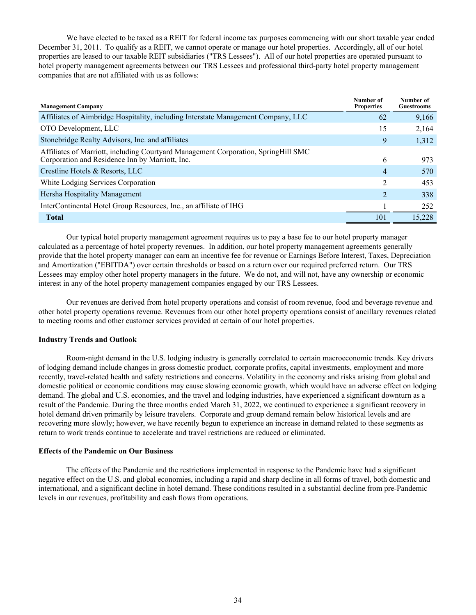We have elected to be taxed as a REIT for federal income tax purposes commencing with our short taxable year ended December 31, 2011. To qualify as a REIT, we cannot operate or manage our hotel properties. Accordingly, all of our hotel properties are leased to our taxable REIT subsidiaries ("TRS Lessees"). All of our hotel properties are operated pursuant to hotel property management agreements between our TRS Lessees and professional third-party hotel property management companies that are not affiliated with us as follows:

| <b>Management Company</b>                                                                                                             | Number of<br><b>Properties</b> | Number of<br><b>Guestrooms</b> |
|---------------------------------------------------------------------------------------------------------------------------------------|--------------------------------|--------------------------------|
| Affiliates of Aimbridge Hospitality, including Interstate Management Company, LLC                                                     | 62                             | 9,166                          |
| OTO Development, LLC                                                                                                                  | 15                             | 2,164                          |
| Stonebridge Realty Advisors, Inc. and affiliates                                                                                      | 9                              | 1,312                          |
| Affiliates of Marriott, including Courtyard Management Corporation, SpringHill SMC<br>Corporation and Residence Inn by Marriott, Inc. | 6                              | 973                            |
| Crestline Hotels & Resorts, LLC                                                                                                       | 4                              | 570                            |
| White Lodging Services Corporation                                                                                                    | 2                              | 453                            |
| Hersha Hospitality Management                                                                                                         | 2                              | 338                            |
| InterContinental Hotel Group Resources, Inc., an affiliate of IHG                                                                     |                                | 252                            |
| <b>Total</b>                                                                                                                          | 101                            | 15.228                         |

Our typical hotel property management agreement requires us to pay a base fee to our hotel property manager calculated as a percentage of hotel property revenues. In addition, our hotel property management agreements generally provide that the hotel property manager can earn an incentive fee for revenue or Earnings Before Interest, Taxes, Depreciation and Amortization ("EBITDA") over certain thresholds or based on a return over our required preferred return. Our TRS Lessees may employ other hotel property managers in the future. We do not, and will not, have any ownership or economic interest in any of the hotel property management companies engaged by our TRS Lessees.

Our revenues are derived from hotel property operations and consist of room revenue, food and beverage revenue and other hotel property operations revenue. Revenues from our other hotel property operations consist of ancillary revenues related to meeting rooms and other customer services provided at certain of our hotel properties.

#### **Industry Trends and Outlook**

Room-night demand in the U.S. lodging industry is generally correlated to certain macroeconomic trends. Key drivers of lodging demand include changes in gross domestic product, corporate profits, capital investments, employment and more recently, travel-related health and safety restrictions and concerns. Volatility in the economy and risks arising from global and domestic political or economic conditions may cause slowing economic growth, which would have an adverse effect on lodging demand. The global and U.S. economies, and the travel and lodging industries, have experienced a significant downturn as a result of the Pandemic. During the three months ended March 31, 2022, we continued to experience a significant recovery in hotel demand driven primarily by leisure travelers. Corporate and group demand remain below historical levels and are recovering more slowly; however, we have recently begun to experience an increase in demand related to these segments as return to work trends continue to accelerate and travel restrictions are reduced or eliminated.

#### **Effects of the Pandemic on Our Business**

The effects of the Pandemic and the restrictions implemented in response to the Pandemic have had a significant negative effect on the U.S. and global economies, including a rapid and sharp decline in all forms of travel, both domestic and international, and a significant decline in hotel demand. These conditions resulted in a substantial decline from pre-Pandemic levels in our revenues, profitability and cash flows from operations.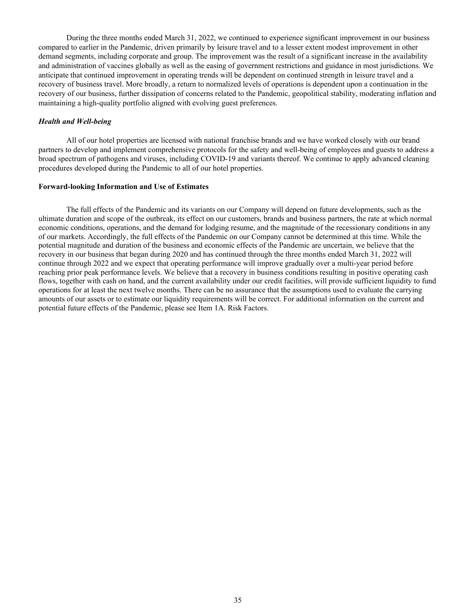During the three months ended March 31, 2022, we continued to experience significant improvement in our business compared to earlier in the Pandemic, driven primarily by leisure travel and to a lesser extent modest improvement in other demand segments, including corporate and group. The improvement was the result of a significant increase in the availability and administration of vaccines globally as well as the easing of government restrictions and guidance in most jurisdictions. We anticipate that continued improvement in operating trends will be dependent on continued strength in leisure travel and a recovery of business travel. More broadly, a return to normalized levels of operations is dependent upon a continuation in the recovery of our business, further dissipation of concerns related to the Pandemic, geopolitical stability, moderating inflation and maintaining a high-quality portfolio aligned with evolving guest preferences.

#### *Health and Well-being*

All of our hotel properties are licensed with national franchise brands and we have worked closely with our brand partners to develop and implement comprehensive protocols for the safety and well-being of employees and guests to address a broad spectrum of pathogens and viruses, including COVID-19 and variants thereof. We continue to apply advanced cleaning procedures developed during the Pandemic to all of our hotel properties.

#### **Forward-looking Information and Use of Estimates**

The full effects of the Pandemic and its variants on our Company will depend on future developments, such as the ultimate duration and scope of the outbreak, its effect on our customers, brands and business partners, the rate at which normal economic conditions, operations, and the demand for lodging resume, and the magnitude of the recessionary conditions in any of our markets. Accordingly, the full effects of the Pandemic on our Company cannot be determined at this time. While the potential magnitude and duration of the business and economic effects of the Pandemic are uncertain, we believe that the recovery in our business that began during 2020 and has continued through the three months ended March 31, 2022 will continue through 2022 and we expect that operating performance will improve gradually over a multi-year period before reaching prior peak performance levels. We believe that a recovery in business conditions resulting in positive operating cash flows, together with cash on hand, and the current availability under our credit facilities, will provide sufficient liquidity to fund operations for at least the next twelve months. There can be no assurance that the assumptions used to evaluate the carrying amounts of our assets or to estimate our liquidity requirements will be correct. For additional information on the current and potential future effects of the Pandemic, please see Item 1A. Risk Factors.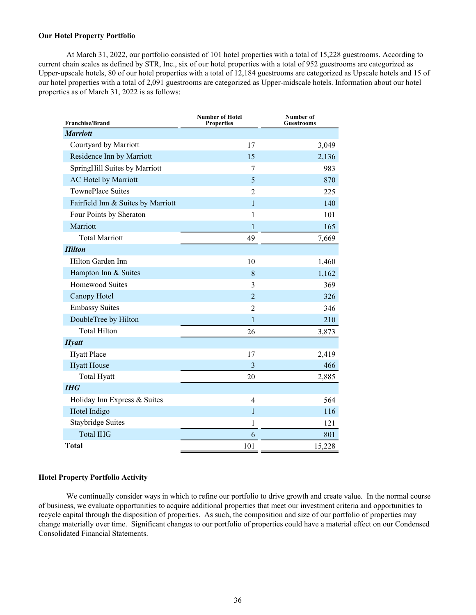#### **Our Hotel Property Portfolio**

At March 31, 2022, our portfolio consisted of 101 hotel properties with a total of 15,228 guestrooms. According to current chain scales as defined by STR, Inc., six of our hotel properties with a total of 952 guestrooms are categorized as Upper-upscale hotels, 80 of our hotel properties with a total of 12,184 guestrooms are categorized as Upscale hotels and 15 of our hotel properties with a total of 2,091 guestrooms are categorized as Upper-midscale hotels. Information about our hotel properties as of March 31, 2022 is as follows:

| <b>Franchise/Brand</b>             | <b>Number of Hotel</b><br><b>Properties</b> | Number of<br>Guestrooms |
|------------------------------------|---------------------------------------------|-------------------------|
| <b>Marriott</b>                    |                                             |                         |
| Courtyard by Marriott              | 17                                          | 3,049                   |
| Residence Inn by Marriott          | 15                                          | 2,136                   |
| SpringHill Suites by Marriott      | 7                                           | 983                     |
| AC Hotel by Marriott               | 5                                           | 870                     |
| <b>TownePlace Suites</b>           | $\overline{2}$                              | 225                     |
| Fairfield Inn & Suites by Marriott | $\mathbf{1}$                                | 140                     |
| Four Points by Sheraton            | 1                                           | 101                     |
| Marriott                           | $\mathbf{1}$                                | 165                     |
| <b>Total Marriott</b>              | 49                                          | 7,669                   |
| <b>Hilton</b>                      |                                             |                         |
| Hilton Garden Inn                  | 10                                          | 1,460                   |
| Hampton Inn & Suites               | 8                                           | 1,162                   |
| <b>Homewood Suites</b>             | 3                                           | 369                     |
| Canopy Hotel                       | $\overline{2}$                              | 326                     |
| <b>Embassy Suites</b>              | $\overline{2}$                              | 346                     |
| DoubleTree by Hilton               | $\mathbf{1}$                                | 210                     |
| <b>Total Hilton</b>                | 26                                          | 3,873                   |
| <b>Hyatt</b>                       |                                             |                         |
| <b>Hyatt Place</b>                 | 17                                          | 2,419                   |
| <b>Hyatt House</b>                 | 3                                           | 466                     |
| <b>Total Hyatt</b>                 | 20                                          | 2,885                   |
| <b>IHG</b>                         |                                             |                         |
| Holiday Inn Express & Suites       | $\overline{4}$                              | 564                     |
| Hotel Indigo                       | 1                                           | 116                     |
| <b>Staybridge Suites</b>           | $\mathbf{1}$                                | 121                     |
| <b>Total IHG</b>                   | 6                                           | 801                     |
| <b>Total</b>                       | 101                                         | 15,228                  |

## **Hotel Property Portfolio Activity**

We continually consider ways in which to refine our portfolio to drive growth and create value. In the normal course of business, we evaluate opportunities to acquire additional properties that meet our investment criteria and opportunities to recycle capital through the disposition of properties. As such, the composition and size of our portfolio of properties may change materially over time. Significant changes to our portfolio of properties could have a material effect on our Condensed Consolidated Financial Statements.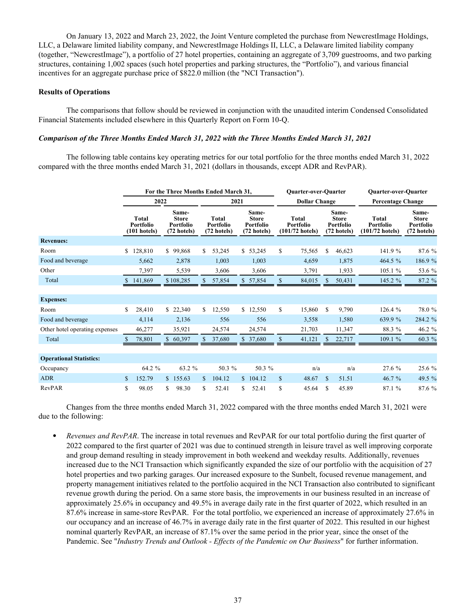On January 13, 2022 and March 23, 2022, the Joint Venture completed the purchase from NewcrestImage Holdings, LLC, a Delaware limited liability company, and NewcrestImage Holdings II, LLC, a Delaware limited liability company (together, "NewcrestImage"), a portfolio of 27 hotel properties, containing an aggregate of 3,709 guestrooms, and two parking structures, containing 1,002 spaces (such hotel properties and parking structures, the "Portfolio"), and various financial incentives for an aggregate purchase price of \$822.0 million (the "NCI Transaction").

#### **Results of Operations**

The comparisons that follow should be reviewed in conjunction with the unaudited interim Condensed Consolidated Financial Statements included elsewhere in this Quarterly Report on Form 10-Q.

## *Comparison of the Three Months Ended March 31, 2022 with the Three Months Ended March 31, 2021*

The following table contains key operating metrics for our total portfolio for the three months ended March 31, 2022 compared with the three months ended March 31, 2021 (dollars in thousands, except ADR and RevPAR).

|                                |    |                                             |    |                                                          |     | For the Three Months Ended March 31,     |    |                                                   |    | <b>Ouarter-over-Ouarter</b>                           |               |                                                     | <b>Ouarter-over-Ouarter</b>                    |                                                   |  |  |
|--------------------------------|----|---------------------------------------------|----|----------------------------------------------------------|-----|------------------------------------------|----|---------------------------------------------------|----|-------------------------------------------------------|---------------|-----------------------------------------------------|------------------------------------------------|---------------------------------------------------|--|--|
|                                |    | 2022                                        |    |                                                          |     | 2021                                     |    |                                                   |    | <b>Dollar Change</b>                                  |               |                                                     | <b>Percentage Change</b>                       |                                                   |  |  |
|                                |    | Total<br><b>Portfolio</b><br>$(101$ hotels) |    | Same-<br><b>Store</b><br><b>Portfolio</b><br>(72 hotels) |     | Total<br><b>Portfolio</b><br>(72 hotels) |    | Same-<br><b>Store</b><br>Portfolio<br>(72 hotels) |    | <b>Total</b><br>Portfolio<br>$(101/72 \text{ hotes})$ |               | Same-<br><b>Store</b><br>Portfolio<br>$(72$ hotels) | Total<br><b>Portfolio</b><br>$(101/72$ hotels) | Same-<br><b>Store</b><br>Portfolio<br>(72 hotels) |  |  |
| <b>Revenues:</b>               |    |                                             |    |                                                          |     |                                          |    |                                                   |    |                                                       |               |                                                     |                                                |                                                   |  |  |
| Room                           |    | \$128,810                                   |    | \$99,868                                                 | \$  | 53,245                                   |    | \$53,245                                          | \$ | 75,565                                                | \$            | 46,623                                              | 141.9 %                                        | 87.6 %                                            |  |  |
| Food and beverage              |    | 5,662                                       |    | 2,878                                                    |     | 1,003                                    |    | 1,003                                             |    | 4,659                                                 |               | 1,875                                               | 464.5 %                                        | 186.9 %                                           |  |  |
| Other                          |    | 7,397                                       |    | 5,539                                                    |     | 3,606                                    |    | 3,606                                             |    | 3,791                                                 |               | 1,933                                               | 105.1 %                                        | 53.6 %                                            |  |  |
| Total                          |    | 141,869                                     |    | \$108,285                                                | S.  | 57,854                                   |    | \$57,854                                          | S. | 84,015                                                |               | 50,431                                              | 145.2 %                                        | 87.2 %                                            |  |  |
| <b>Expenses:</b>               |    |                                             |    |                                                          |     |                                          |    |                                                   |    |                                                       |               |                                                     |                                                |                                                   |  |  |
| Room                           | S  | 28,410                                      |    | \$22,340                                                 | S.  | 12,550                                   |    | \$12,550                                          | S  | 15,860                                                | S             | 9,790                                               | 126.4 %                                        | 78.0 %                                            |  |  |
| Food and beverage              |    | 4,114                                       |    | 2,136                                                    |     | 556                                      |    | 556                                               |    | 3,558                                                 |               | 1,580                                               | 639.9 %                                        | 284.2 %                                           |  |  |
| Other hotel operating expenses |    | 46,277                                      |    | 35,921                                                   |     | 24,574                                   |    | 24,574                                            |    | 21,703                                                |               | 11,347                                              | 88.3 %                                         | 46.2 %                                            |  |  |
| Total                          |    | 78,801                                      | \$ | 60,397                                                   |     | 37,680                                   |    | \$37,680                                          |    | 41,121                                                |               | 22,717                                              | 109.1 %                                        | 60.3 %                                            |  |  |
| <b>Operational Statistics:</b> |    |                                             |    |                                                          |     |                                          |    |                                                   |    |                                                       |               |                                                     |                                                |                                                   |  |  |
| Occupancy                      |    | 64.2 %                                      |    | 63.2 %                                                   |     | 50.3 %                                   |    | 50.3 %                                            |    | n/a                                                   |               | n/a                                                 | 27.6 %                                         | 25.6 %                                            |  |  |
| <b>ADR</b>                     | \$ | 152.79                                      |    | \$155.63                                                 | \$. | 104.12                                   |    | \$104.12                                          | \$ | 48.67                                                 | <sup>\$</sup> | 51.51                                               | 46.7 %                                         | 49.5 %                                            |  |  |
| RevPAR                         | \$ | 98.05                                       | \$ | 98.30                                                    | \$  | 52.41                                    | \$ | 52.41                                             | \$ | 45.64                                                 | S             | 45.89                                               | 87.1 %                                         | 87.6 %                                            |  |  |

Changes from the three months ended March 31, 2022 compared with the three months ended March 31, 2021 were due to the following:

• *Revenues and RevPAR*. The increase in total revenues and RevPAR for our total portfolio during the first quarter of 2022 compared to the first quarter of 2021 was due to continued strength in leisure travel as well improving corporate and group demand resulting in steady improvement in both weekend and weekday results. Additionally, revenues increased due to the NCI Transaction which significantly expanded the size of our portfolio with the acquisition of 27 hotel properties and two parking garages. Our increased exposure to the Sunbelt, focused revenue management, and property management initiatives related to the portfolio acquired in the NCI Transaction also contributed to significant revenue growth during the period. On a same store basis, the improvements in our business resulted in an increase of approximately 25.6% in occupancy and 49.5% in average daily rate in the first quarter of 2022, which resulted in an 87.6% increase in same-store RevPAR. For the total portfolio, we experienced an increase of approximately 27.6% in our occupancy and an increase of 46.7% in average daily rate in the first quarter of 2022. This resulted in our highest nominal quarterly RevPAR, an increase of 87.1% over the same period in the prior year, since the onset of the Pandemic. See "*Industry Trends and Outlook - Effects of the Pandemic on Our Business*" for further information.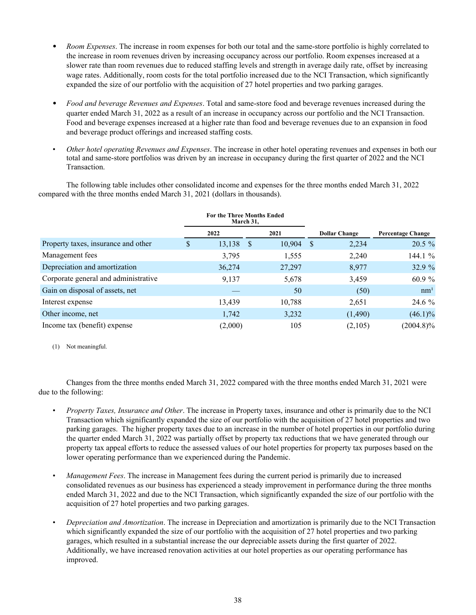- *Room Expenses*. The increase in room expenses for both our total and the same-store portfolio is highly correlated to the increase in room revenues driven by increasing occupancy across our portfolio. Room expenses increased at a slower rate than room revenues due to reduced staffing levels and strength in average daily rate, offset by increasing wage rates. Additionally, room costs for the total portfolio increased due to the NCI Transaction, which significantly expanded the size of our portfolio with the acquisition of 27 hotel properties and two parking garages.
- *Food and beverage Revenues and Expenses*. Total and same-store food and beverage revenues increased during the quarter ended March 31, 2022 as a result of an increase in occupancy across our portfolio and the NCI Transaction. Food and beverage expenses increased at a higher rate than food and beverage revenues due to an expansion in food and beverage product offerings and increased staffing costs.
- *• Other hotel operating Revenues and Expenses*. The increase in other hotel operating revenues and expenses in both our total and same-store portfolios was driven by an increase in occupancy during the first quarter of 2022 and the NCI Transaction.

The following table includes other consolidated income and expenses for the three months ended March 31, 2022 compared with the three months ended March 31, 2021 (dollars in thousands).

|                                      |    | <b>For the Three Months Ended</b> | March 31, |        |      |                      |                          |
|--------------------------------------|----|-----------------------------------|-----------|--------|------|----------------------|--------------------------|
|                                      |    | 2022                              |           | 2021   |      | <b>Dollar Change</b> | <b>Percentage Change</b> |
| Property taxes, insurance and other  | S. | 13,138                            | - S       | 10,904 | - \$ | 2,234                | 20.5 %                   |
| Management fees                      |    | 3,795                             |           | 1,555  |      | 2,240                | 144.1 %                  |
| Depreciation and amortization        |    | 36,274                            |           | 27,297 |      | 8,977                | 32.9 %                   |
| Corporate general and administrative |    | 9,137                             |           | 5,678  |      | 3,459                | 60.9 %                   |
| Gain on disposal of assets, net      |    |                                   |           | 50     |      | (50)                 | nm <sup>1</sup>          |
| Interest expense                     |    | 13,439                            |           | 10,788 |      | 2,651                | 24.6 %                   |
| Other income, net                    |    | 1,742                             |           | 3,232  |      | (1,490)              | $(46.1)\%$               |
| Income tax (benefit) expense         |    | (2,000)                           |           | 105    |      | (2,105)              | $(2004.8)\%$             |

(1) Not meaningful.

Changes from the three months ended March 31, 2022 compared with the three months ended March 31, 2021 were due to the following:

- *• Property Taxes, Insurance and Other*. The increase in Property taxes, insurance and other is primarily due to the NCI Transaction which significantly expanded the size of our portfolio with the acquisition of 27 hotel properties and two parking garages. The higher property taxes due to an increase in the number of hotel properties in our portfolio during the quarter ended March 31, 2022 was partially offset by property tax reductions that we have generated through our property tax appeal efforts to reduce the assessed values of our hotel properties for property tax purposes based on the lower operating performance than we experienced during the Pandemic.
- *• Management Fees*. The increase in Management fees during the current period is primarily due to increased consolidated revenues as our business has experienced a steady improvement in performance during the three months ended March 31, 2022 and due to the NCI Transaction, which significantly expanded the size of our portfolio with the acquisition of 27 hotel properties and two parking garages.
- *• Depreciation and Amortization*. The increase in Depreciation and amortization is primarily due to the NCI Transaction which significantly expanded the size of our portfolio with the acquisition of 27 hotel properties and two parking garages, which resulted in a substantial increase the our depreciable assets during the first quarter of 2022. Additionally, we have increased renovation activities at our hotel properties as our operating performance has improved.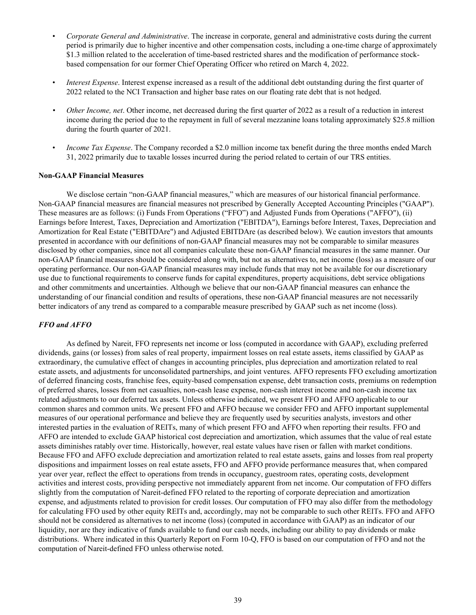- *Corporate General and Administrative*. The increase in corporate, general and administrative costs during the current period is primarily due to higher incentive and other compensation costs, including a one-time charge of approximately \$1.3 million related to the acceleration of time-based restricted shares and the modification of performance stockbased compensation for our former Chief Operating Officer who retired on March 4, 2022.
- *Interest Expense*. Interest expense increased as a result of the additional debt outstanding during the first quarter of 2022 related to the NCI Transaction and higher base rates on our floating rate debt that is not hedged.
- *Other Income, net.* Other income, net decreased during the first quarter of 2022 as a result of a reduction in interest income during the period due to the repayment in full of several mezzanine loans totaling approximately \$25.8 million during the fourth quarter of 2021.
- *Income Tax Expense*. The Company recorded a \$2.0 million income tax benefit during the three months ended March 31, 2022 primarily due to taxable losses incurred during the period related to certain of our TRS entities.

#### **Non-GAAP Financial Measures**

We disclose certain "non-GAAP financial measures," which are measures of our historical financial performance. Non-GAAP financial measures are financial measures not prescribed by Generally Accepted Accounting Principles ("GAAP"). These measures are as follows: (i) Funds From Operations ("FFO") and Adjusted Funds from Operations ("AFFO"), (ii) Earnings before Interest, Taxes, Depreciation and Amortization ("EBITDA"), Earnings before Interest, Taxes, Depreciation and Amortization for Real Estate ("EBITDAre") and Adjusted EBITDAre (as described below). We caution investors that amounts presented in accordance with our definitions of non-GAAP financial measures may not be comparable to similar measures disclosed by other companies, since not all companies calculate these non-GAAP financial measures in the same manner. Our non-GAAP financial measures should be considered along with, but not as alternatives to, net income (loss) as a measure of our operating performance. Our non-GAAP financial measures may include funds that may not be available for our discretionary use due to functional requirements to conserve funds for capital expenditures, property acquisitions, debt service obligations and other commitments and uncertainties. Although we believe that our non-GAAP financial measures can enhance the understanding of our financial condition and results of operations, these non-GAAP financial measures are not necessarily better indicators of any trend as compared to a comparable measure prescribed by GAAP such as net income (loss).

#### *FFO and AFFO*

As defined by Nareit, FFO represents net income or loss (computed in accordance with GAAP), excluding preferred dividends, gains (or losses) from sales of real property, impairment losses on real estate assets, items classified by GAAP as extraordinary, the cumulative effect of changes in accounting principles, plus depreciation and amortization related to real estate assets, and adjustments for unconsolidated partnerships, and joint ventures. AFFO represents FFO excluding amortization of deferred financing costs, franchise fees, equity-based compensation expense, debt transaction costs, premiums on redemption of preferred shares, losses from net casualties, non-cash lease expense, non-cash interest income and non-cash income tax related adjustments to our deferred tax assets. Unless otherwise indicated, we present FFO and AFFO applicable to our common shares and common units. We present FFO and AFFO because we consider FFO and AFFO important supplemental measures of our operational performance and believe they are frequently used by securities analysts, investors and other interested parties in the evaluation of REITs, many of which present FFO and AFFO when reporting their results. FFO and AFFO are intended to exclude GAAP historical cost depreciation and amortization, which assumes that the value of real estate assets diminishes ratably over time. Historically, however, real estate values have risen or fallen with market conditions. Because FFO and AFFO exclude depreciation and amortization related to real estate assets, gains and losses from real property dispositions and impairment losses on real estate assets, FFO and AFFO provide performance measures that, when compared year over year, reflect the effect to operations from trends in occupancy, guestroom rates, operating costs, development activities and interest costs, providing perspective not immediately apparent from net income. Our computation of FFO differs slightly from the computation of Nareit-defined FFO related to the reporting of corporate depreciation and amortization expense, and adjustments related to provision for credit losses. Our computation of FFO may also differ from the methodology for calculating FFO used by other equity REITs and, accordingly, may not be comparable to such other REITs. FFO and AFFO should not be considered as alternatives to net income (loss) (computed in accordance with GAAP) as an indicator of our liquidity, nor are they indicative of funds available to fund our cash needs, including our ability to pay dividends or make distributions. Where indicated in this Quarterly Report on Form 10-Q, FFO is based on our computation of FFO and not the computation of Nareit-defined FFO unless otherwise noted.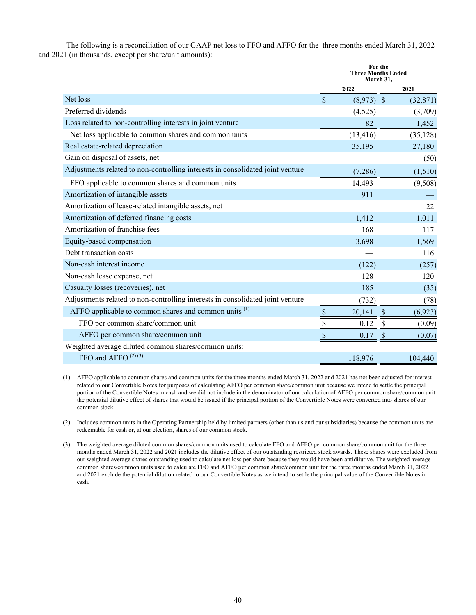The following is a reconciliation of our GAAP net loss to FFO and AFFO for the three months ended March 31, 2022 and 2021 (in thousands, except per share/unit amounts):

|                                                                                |                             | <b>Three Months Ended</b> | For the<br>March 31,      |           |
|--------------------------------------------------------------------------------|-----------------------------|---------------------------|---------------------------|-----------|
|                                                                                |                             | 2022                      |                           | 2021      |
| Net loss                                                                       | $\mathbf{\hat{S}}$          | $(8,973)$ \$              |                           | (32, 871) |
| Preferred dividends                                                            |                             | (4,525)                   |                           | (3,709)   |
| Loss related to non-controlling interests in joint venture                     |                             | 82                        |                           | 1,452     |
| Net loss applicable to common shares and common units                          |                             | (13, 416)                 |                           | (35, 128) |
| Real estate-related depreciation                                               |                             | 35,195                    |                           | 27,180    |
| Gain on disposal of assets, net                                                |                             |                           |                           | (50)      |
| Adjustments related to non-controlling interests in consolidated joint venture |                             | (7,286)                   |                           | (1,510)   |
| FFO applicable to common shares and common units                               |                             | 14,493                    |                           | (9,508)   |
| Amortization of intangible assets                                              |                             | 911                       |                           |           |
| Amortization of lease-related intangible assets, net                           |                             |                           |                           | 22        |
| Amortization of deferred financing costs                                       |                             | 1,412                     |                           | 1,011     |
| Amortization of franchise fees                                                 |                             | 168                       |                           | 117       |
| Equity-based compensation                                                      |                             | 3,698                     |                           | 1,569     |
| Debt transaction costs                                                         |                             |                           |                           | 116       |
| Non-cash interest income                                                       |                             | (122)                     |                           | (257)     |
| Non-cash lease expense, net                                                    |                             | 128                       |                           | 120       |
| Casualty losses (recoveries), net                                              |                             | 185                       |                           | (35)      |
| Adjustments related to non-controlling interests in consolidated joint venture |                             | (732)                     |                           | (78)      |
| AFFO applicable to common shares and common units (1)                          | $\frac{\text{S}}{\text{S}}$ | 20,141                    | $\boldsymbol{\mathsf{S}}$ | (6,923)   |
| FFO per common share/common unit                                               | \$                          | 0.12                      | S                         | (0.09)    |
| AFFO per common share/common unit                                              | \$                          | 0.17                      | \$                        | (0.07)    |
| Weighted average diluted common shares/common units:                           |                             |                           |                           |           |
| FFO and AFFO $(2)(3)$                                                          |                             | 118,976                   |                           | 104,440   |

(1) AFFO applicable to common shares and common units for the three months ended March 31, 2022 and 2021 has not been adjusted for interest related to our Convertible Notes for purposes of calculating AFFO per common share/common unit because we intend to settle the principal portion of the Convertible Notes in cash and we did not include in the denominator of our calculation of AFFO per common share/common unit the potential dilutive effect of shares that would be issued if the principal portion of the Convertible Notes were converted into shares of our common stock.

(2) Includes common units in the Operating Partnership held by limited partners (other than us and our subsidiaries) because the common units are redeemable for cash or, at our election, shares of our common stock.

(3) The weighted average diluted common shares/common units used to calculate FFO and AFFO per common share/common unit for the three months ended March 31, 2022 and 2021 includes the dilutive effect of our outstanding restricted stock awards. These shares were excluded from our weighted average shares outstanding used to calculate net loss per share because they would have been antidilutive. The weighted average common shares/common units used to calculate FFO and AFFO per common share/common unit for the three months ended March 31, 2022 and 2021 exclude the potential dilution related to our Convertible Notes as we intend to settle the principal value of the Convertible Notes in cash.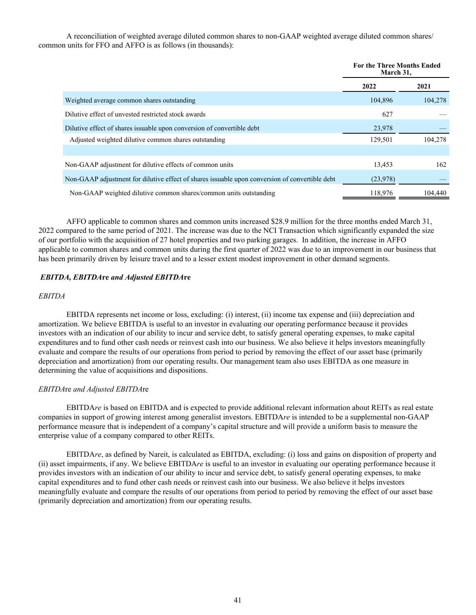A reconciliation of weighted average diluted common shares to non-GAAP weighted average diluted common shares/ common units for FFO and AFFO is as follows (in thousands):

|                                                                                                | <b>For the Three Months Ended</b><br>March 31, |         |
|------------------------------------------------------------------------------------------------|------------------------------------------------|---------|
|                                                                                                | 2022                                           | 2021    |
| Weighted average common shares outstanding                                                     | 104,896                                        | 104,278 |
| Dilutive effect of unvested restricted stock awards                                            | 627                                            |         |
| Dilutive effect of shares issuable upon conversion of convertible debt                         | 23,978                                         |         |
| Adjusted weighted dilutive common shares outstanding                                           | 129,501                                        | 104,278 |
|                                                                                                |                                                |         |
| Non-GAAP adjustment for dilutive effects of common units                                       | 13,453                                         | 162     |
| Non-GAAP adjustment for dilutive effect of shares issuable upon conversion of convertible debt | (23,978)                                       |         |
| Non-GAAP weighted dilutive common shares/common units outstanding                              | 118.976                                        | 104,440 |

AFFO applicable to common shares and common units increased \$28.9 million for the three months ended March 31, 2022 compared to the same period of 2021. The increase was due to the NCI Transaction which significantly expanded the size of our portfolio with the acquisition of 27 hotel properties and two parking garages. In addition, the increase in AFFO applicable to common shares and common units during the first quarter of 2022 was due to an improvement in our business that has been primarily driven by leisure travel and to a lesser extent modest improvement in other demand segments.

#### *EBITDA, EBITDA***re** *and Adjusted EBITDA***re**

#### *EBITDA*

EBITDA represents net income or loss, excluding: (i) interest, (ii) income tax expense and (iii) depreciation and amortization. We believe EBITDA is useful to an investor in evaluating our operating performance because it provides investors with an indication of our ability to incur and service debt, to satisfy general operating expenses, to make capital expenditures and to fund other cash needs or reinvest cash into our business. We also believe it helps investors meaningfully evaluate and compare the results of our operations from period to period by removing the effect of our asset base (primarily depreciation and amortization) from our operating results. Our management team also uses EBITDA as one measure in determining the value of acquisitions and dispositions.

#### *EBITDA*re *and Adjusted EBITDA*re

EBITDA*re* is based on EBITDA and is expected to provide additional relevant information about REITs as real estate companies in support of growing interest among generalist investors. EBITDA*re* is intended to be a supplemental non-GAAP performance measure that is independent of a company's capital structure and will provide a uniform basis to measure the enterprise value of a company compared to other REITs.

EBITDA*re*, as defined by Nareit, is calculated as EBITDA, excluding: (i) loss and gains on disposition of property and (ii) asset impairments, if any. We believe EBITDA*re* is useful to an investor in evaluating our operating performance because it provides investors with an indication of our ability to incur and service debt, to satisfy general operating expenses, to make capital expenditures and to fund other cash needs or reinvest cash into our business. We also believe it helps investors meaningfully evaluate and compare the results of our operations from period to period by removing the effect of our asset base (primarily depreciation and amortization) from our operating results.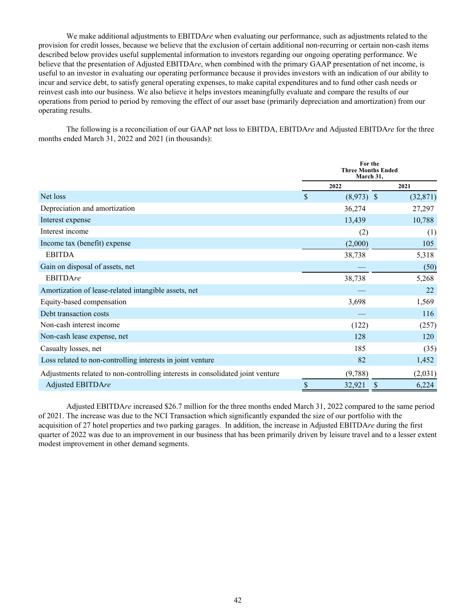We make additional adjustments to EBITDA*re* when evaluating our performance, such as adjustments related to the provision for credit losses, because we believe that the exclusion of certain additional non-recurring or certain non-cash items described below provides useful supplemental information to investors regarding our ongoing operating performance. We believe that the presentation of Adjusted EBITDA*re*, when combined with the primary GAAP presentation of net income, is useful to an investor in evaluating our operating performance because it provides investors with an indication of our ability to incur and service debt, to satisfy general operating expenses, to make capital expenditures and to fund other cash needs or reinvest cash into our business. We also believe it helps investors meaningfully evaluate and compare the results of our operations from period to period by removing the effect of our asset base (primarily depreciation and amortization) from our operating results.

The following is a reconciliation of our GAAP net loss to EBITDA, EBITDA*re* and Adjusted EBITDA*re* for the three months ended March 31, 2022 and 2021 (in thousands):

|                                                                                | For the<br><b>Three Months Ended</b><br>March 31, |              |    |           |
|--------------------------------------------------------------------------------|---------------------------------------------------|--------------|----|-----------|
|                                                                                |                                                   | 2022         |    | 2021      |
| Net loss                                                                       | \$                                                | $(8,973)$ \$ |    | (32, 871) |
| Depreciation and amortization                                                  |                                                   | 36,274       |    | 27,297    |
| Interest expense                                                               |                                                   | 13,439       |    | 10,788    |
| Interest income                                                                |                                                   | (2)          |    | (1)       |
| Income tax (benefit) expense                                                   |                                                   | (2,000)      |    | 105       |
| <b>EBITDA</b>                                                                  |                                                   | 38,738       |    | 5,318     |
| Gain on disposal of assets, net                                                |                                                   |              |    | (50)      |
| <b>EBITDAre</b>                                                                |                                                   | 38,738       |    | 5,268     |
| Amortization of lease-related intangible assets, net                           |                                                   |              |    | 22        |
| Equity-based compensation                                                      |                                                   | 3,698        |    | 1,569     |
| Debt transaction costs                                                         |                                                   |              |    | 116       |
| Non-cash interest income                                                       |                                                   | (122)        |    | (257)     |
| Non-cash lease expense, net                                                    |                                                   | 128          |    | 120       |
| Casualty losses, net                                                           |                                                   | 185          |    | (35)      |
| Loss related to non-controlling interests in joint venture                     |                                                   | 82           |    | 1,452     |
| Adjustments related to non-controlling interests in consolidated joint venture |                                                   | (9,788)      |    | (2,031)   |
| Adjusted EBITDAre                                                              | $\boldsymbol{\mathsf{S}}$                         | 32,921       | \$ | 6,224     |

Adjusted EBITDA*re* increased \$26.7 million for the three months ended March 31, 2022 compared to the same period of 2021. The increase was due to the NCI Transaction which significantly expanded the size of our portfolio with the acquisition of 27 hotel properties and two parking garages. In addition, the increase in Adjusted EBITDA*re* during the first quarter of 2022 was due to an improvement in our business that has been primarily driven by leisure travel and to a lesser extent modest improvement in other demand segments.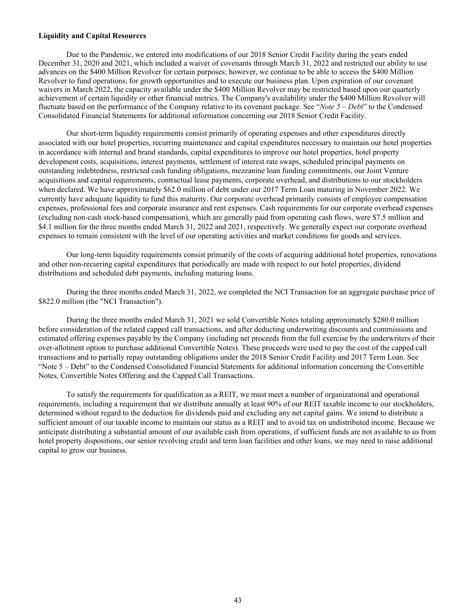#### **Liquidity and Capital Resources**

Due to the Pandemic, we entered into modifications of our 2018 Senior Credit Facility during the years ended December 31, 2020 and 2021, which included a waiver of covenants through March 31, 2022 and restricted our ability to use advances on the \$400 Million Revolver for certain purposes; however, we continue to be able to access the \$400 Million Revolver to fund operations, for growth opportunities and to execute our business plan. Upon expiration of our covenant waivers in March 2022, the capacity available under the \$400 Million Revolver may be restricted based upon our quarterly achievement of certain liquidity or other financial metrics. The Company's availability under the \$400 Million Revolver will fluctuate based on the performance of the Company relative to its covenant package. See "*Note 5 – Debt*" to the Condensed Consolidated Financial Statements for additional information concerning our 2018 Senior Credit Facility.

Our short-term liquidity requirements consist primarily of operating expenses and other expenditures directly associated with our hotel properties, recurring maintenance and capital expenditures necessary to maintain our hotel properties in accordance with internal and brand standards, capital expenditures to improve our hotel properties, hotel property development costs, acquisitions, interest payments, settlement of interest rate swaps, scheduled principal payments on outstanding indebtedness, restricted cash funding obligations, mezzanine loan funding commitments, our Joint Venture acquisitions and capital requirements, contractual lease payments, corporate overhead, and distributions to our stockholders when declared. We have approximately \$62.0 million of debt under our 2017 Term Loan maturing in November 2022. We currently have adequate liquidity to fund this maturity. Our corporate overhead primarily consists of employee compensation expenses, professional fees and corporate insurance and rent expenses. Cash requirements for our corporate overhead expenses (excluding non-cash stock-based compensation), which are generally paid from operating cash flows, were \$7.5 million and \$4.1 million for the three months ended March 31, 2022 and 2021, respectively. We generally expect our corporate overhead expenses to remain consistent with the level of our operating activities and market conditions for goods and services.

Our long-term liquidity requirements consist primarily of the costs of acquiring additional hotel properties, renovations and other non-recurring capital expenditures that periodically are made with respect to our hotel properties, dividend distributions and scheduled debt payments, including maturing loans.

During the three months ended March 31, 2022, we completed the NCI Transaction for an aggregate purchase price of \$822.0 million (the "NCI Transaction").

During the three months ended March 31, 2021 we sold Convertible Notes totaling approximately \$280.0 million before consideration of the related capped call transactions, and after deducting underwriting discounts and commissions and estimated offering expenses payable by the Company (including net proceeds from the full exercise by the underwriters of their over-allotment option to purchase additional Convertible Notes). These proceeds were used to pay the cost of the capped call transactions and to partially repay outstanding obligations under the 2018 Senior Credit Facility and 2017 Term Loan. See "Note 5 – Debt" to the Condensed Consolidated Financial Statements for additional information concerning the Convertible Notes, Convertible Notes Offering and the Capped Call Transactions.

To satisfy the requirements for qualification as a REIT, we must meet a number of organizational and operational requirements, including a requirement that we distribute annually at least 90% of our REIT taxable income to our stockholders, determined without regard to the deduction for dividends paid and excluding any net capital gains. We intend to distribute a sufficient amount of our taxable income to maintain our status as a REIT and to avoid tax on undistributed income. Because we anticipate distributing a substantial amount of our available cash from operations, if sufficient funds are not available to us from hotel property dispositions, our senior revolving credit and term loan facilities and other loans, we may need to raise additional capital to grow our business.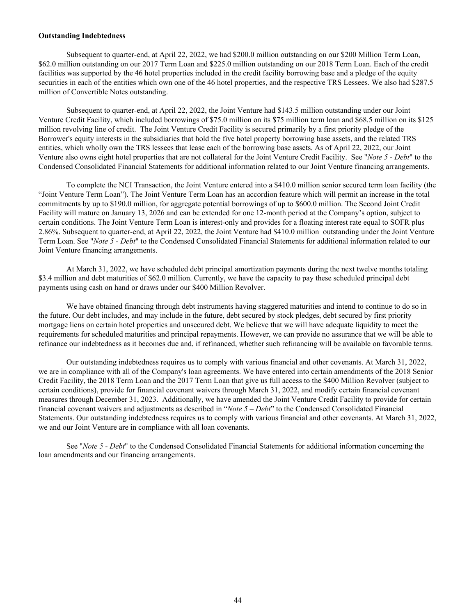#### **Outstanding Indebtedness**

Subsequent to quarter-end, at April 22, 2022, we had \$200.0 million outstanding on our \$200 Million Term Loan, \$62.0 million outstanding on our 2017 Term Loan and \$225.0 million outstanding on our 2018 Term Loan. Each of the credit facilities was supported by the 46 hotel properties included in the credit facility borrowing base and a pledge of the equity securities in each of the entities which own one of the 46 hotel properties, and the respective TRS Lessees. We also had \$287.5 million of Convertible Notes outstanding.

Subsequent to quarter-end, at April 22, 2022, the Joint Venture had \$143.5 million outstanding under our Joint Venture Credit Facility, which included borrowings of \$75.0 million on its \$75 million term loan and \$68.5 million on its \$125 million revolving line of credit. The Joint Venture Credit Facility is secured primarily by a first priority pledge of the Borrower's equity interests in the subsidiaries that hold the five hotel property borrowing base assets, and the related TRS entities, which wholly own the TRS lessees that lease each of the borrowing base assets. As of April 22, 2022, our Joint Venture also owns eight hotel properties that are not collateral for the Joint Venture Credit Facility. See "*Note 5 - Debt*" to the Condensed Consolidated Financial Statements for additional information related to our Joint Venture financing arrangements.

To complete the NCI Transaction, the Joint Venture entered into a \$410.0 million senior secured term loan facility (the "Joint Venture Term Loan"). The Joint Venture Term Loan has an accordion feature which will permit an increase in the total commitments by up to \$190.0 million, for aggregate potential borrowings of up to \$600.0 million. The Second Joint Credit Facility will mature on January 13, 2026 and can be extended for one 12-month period at the Company's option, subject to certain conditions. The Joint Venture Term Loan is interest-only and provides for a floating interest rate equal to SOFR plus 2.86%. Subsequent to quarter-end, at April 22, 2022, the Joint Venture had \$410.0 million outstanding under the Joint Venture Term Loan. See "*Note 5 - Debt*" to the Condensed Consolidated Financial Statements for additional information related to our Joint Venture financing arrangements.

At March 31, 2022, we have scheduled debt principal amortization payments during the next twelve months totaling \$3.4 million and debt maturities of \$62.0 million. Currently, we have the capacity to pay these scheduled principal debt payments using cash on hand or draws under our \$400 Million Revolver.

We have obtained financing through debt instruments having staggered maturities and intend to continue to do so in the future. Our debt includes, and may include in the future, debt secured by stock pledges, debt secured by first priority mortgage liens on certain hotel properties and unsecured debt. We believe that we will have adequate liquidity to meet the requirements for scheduled maturities and principal repayments. However, we can provide no assurance that we will be able to refinance our indebtedness as it becomes due and, if refinanced, whether such refinancing will be available on favorable terms.

Our outstanding indebtedness requires us to comply with various financial and other covenants. At March 31, 2022, we are in compliance with all of the Company's loan agreements. We have entered into certain amendments of the 2018 Senior Credit Facility, the 2018 Term Loan and the 2017 Term Loan that give us full access to the \$400 Million Revolver (subject to certain conditions), provide for financial covenant waivers through March 31, 2022, and modify certain financial covenant measures through December 31, 2023. Additionally, we have amended the Joint Venture Credit Facility to provide for certain financial covenant waivers and adjustments as described in "*Note 5 – Debt*" to the Condensed Consolidated Financial Statements. Our outstanding indebtedness requires us to comply with various financial and other covenants. At March 31, 2022, we and our Joint Venture are in compliance with all loan covenants.

See "*Note 5 - Debt*" to the Condensed Consolidated Financial Statements for additional information concerning the loan amendments and our financing arrangements.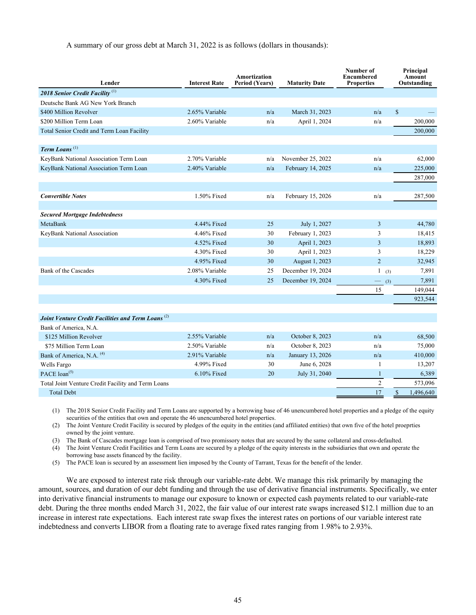A summary of our gross debt at March 31, 2022 is as follows (dollars in thousands):

| Lender                                                        | <b>Interest Rate</b> | <b>Amortization</b><br><b>Period (Years)</b> | <b>Maturity Date</b> | Number of<br>Principal<br><b>Encumbered</b><br>Amount<br><b>Properties</b><br>Outstanding |              |           |
|---------------------------------------------------------------|----------------------|----------------------------------------------|----------------------|-------------------------------------------------------------------------------------------|--------------|-----------|
| 2018 Senior Credit Facility <sup>(1)</sup>                    |                      |                                              |                      |                                                                                           |              |           |
| Deutsche Bank AG New York Branch                              |                      |                                              |                      |                                                                                           |              |           |
| \$400 Million Revolver                                        | 2.65% Variable       | n/a                                          | March 31, 2023       | n/a                                                                                       | \$           |           |
| \$200 Million Term Loan                                       | 2.60% Variable       | n/a                                          | April 1, 2024        | n/a                                                                                       |              | 200,000   |
| Total Senior Credit and Term Loan Facility                    |                      |                                              |                      |                                                                                           |              | 200,000   |
|                                                               |                      |                                              |                      |                                                                                           |              |           |
| Term Loans <sup>(1)</sup>                                     |                      |                                              |                      |                                                                                           |              |           |
| KeyBank National Association Term Loan                        | 2.70% Variable       | n/a                                          | November 25, 2022    | n/a                                                                                       |              | 62,000    |
| KeyBank National Association Term Loan                        | 2.40% Variable       | n/a                                          | February 14, 2025    | n/a                                                                                       |              | 225,000   |
|                                                               |                      |                                              |                      |                                                                                           |              | 287,000   |
|                                                               |                      |                                              |                      |                                                                                           |              |           |
| <b>Convertible Notes</b>                                      | 1.50% Fixed          | n/a                                          | February 15, 2026    | n/a                                                                                       |              | 287,500   |
|                                                               |                      |                                              |                      |                                                                                           |              |           |
| <b>Secured Mortgage Indebtedness</b>                          |                      |                                              |                      |                                                                                           |              |           |
| MetaBank                                                      | 4.44% Fixed          | 25                                           | July 1, 2027         | 3                                                                                         |              | 44,780    |
| KeyBank National Association                                  | 4.46% Fixed          | 30                                           | February 1, 2023     | 3                                                                                         |              | 18,415    |
|                                                               | 4.52% Fixed          | 30                                           | April 1, 2023        | 3                                                                                         |              | 18,893    |
|                                                               | 4.30% Fixed          | 30                                           | April 1, 2023        | 3                                                                                         |              | 18,229    |
|                                                               | 4.95% Fixed          | 30                                           | August 1, 2023       | $\overline{2}$                                                                            |              | 32,945    |
| Bank of the Cascades                                          | 2.08% Variable       | 25                                           | December 19, 2024    | (3)<br>1                                                                                  |              | 7,891     |
|                                                               | 4.30% Fixed          | 25                                           | December 19, 2024    | -<br>(3)                                                                                  |              | 7,891     |
|                                                               |                      |                                              |                      | 15                                                                                        |              | 149,044   |
|                                                               |                      |                                              |                      |                                                                                           |              | 923,544   |
| Joint Venture Credit Facilities and Term Loans <sup>(2)</sup> |                      |                                              |                      |                                                                                           |              |           |
| Bank of America, N.A.                                         |                      |                                              |                      |                                                                                           |              |           |
| \$125 Million Revolver                                        | 2.55% Variable       | n/a                                          | October 8, 2023      | n/a                                                                                       |              | 68,500    |
| \$75 Million Term Loan                                        | 2.50% Variable       | n/a                                          | October 8, 2023      | n/a                                                                                       |              | 75,000    |
| Bank of America, N.A. <sup>(4)</sup>                          | 2.91% Variable       | n/a                                          | January 13, 2026     | n/a                                                                                       |              | 410,000   |
| Wells Fargo                                                   | 4.99% Fixed          | 30                                           | June 6, 2028         | 1                                                                                         |              | 13,207    |
| PACE $\text{loan}^{(5)}$                                      | $6.10\%$ Fixed       | 20                                           | July 31, 2040        | $\mathbf{1}$                                                                              |              | 6,389     |
| Total Joint Venture Credit Facility and Term Loans            |                      |                                              |                      | $\boldsymbol{2}$                                                                          |              | 573,096   |
| <b>Total Debt</b>                                             |                      |                                              |                      | 17                                                                                        | $\mathbb{S}$ | 1,496,640 |

(1) The 2018 Senior Credit Facility and Term Loans are supported by a borrowing base of 46 unencumbered hotel properties and a pledge of the equity securities of the entities that own and operate the 46 unencumbered hotel properties.

(2) The Joint Venture Credit Facility is secured by pledges of the equity in the entities (and affiliated entities) that own five of the hotel proeprties owned by the joint venture.

(3) The Bank of Cascades mortgage loan is comprised of two promissory notes that are secured by the same collateral and cross-defaulted.

(4) The Joint Venture Credit Facilities and Term Loans are secured by a pledge of the equity interests in the subsidiaries that own and operate the borrowing base assets financed by the facility.

(5) The PACE loan is secured by an assessment lien imposed by the County of Tarrant, Texas for the benefit of the lender.

We are exposed to interest rate risk through our variable-rate debt. We manage this risk primarily by managing the amount, sources, and duration of our debt funding and through the use of derivative financial instruments. Specifically, we enter into derivative financial instruments to manage our exposure to known or expected cash payments related to our variable-rate debt. During the three months ended March 31, 2022, the fair value of our interest rate swaps increased \$12.1 million due to an increase in interest rate expectations. Each interest rate swap fixes the interest rates on portions of our variable interest rate indebtedness and converts LIBOR from a floating rate to average fixed rates ranging from 1.98% to 2.93%.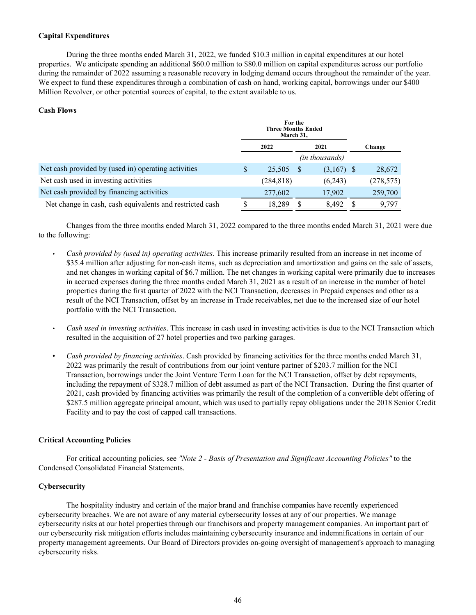#### **Capital Expenditures**

During the three months ended March 31, 2022, we funded \$10.3 million in capital expenditures at our hotel properties. We anticipate spending an additional \$60.0 million to \$80.0 million on capital expenditures across our portfolio during the remainder of 2022 assuming a reasonable recovery in lodging demand occurs throughout the remainder of the year. We expect to fund these expenditures through a combination of cash on hand, working capital, borrowings under our \$400 Million Revolver, or other potential sources of capital, to the extent available to us.

## **Cash Flows**

|                                                          | For the<br><b>Three Months Ended</b><br>March 31, |            |      |                |            |
|----------------------------------------------------------|---------------------------------------------------|------------|------|----------------|------------|
|                                                          | 2022                                              |            | 2021 |                | Change     |
|                                                          |                                                   |            |      | (in thousands) |            |
| Net cash provided by (used in) operating activities      | \$                                                | 25,505     |      | $(3,167)$ \$   | 28,672     |
| Net cash used in investing activities                    |                                                   | (284, 818) |      | (6,243)        | (278, 575) |
| Net cash provided by financing activities                |                                                   | 277,602    |      | 17,902         | 259,700    |
| Net change in cash, cash equivalents and restricted cash |                                                   | 18,289     |      | 8,492          | 9,797      |

Changes from the three months ended March 31, 2022 compared to the three months ended March 31, 2021 were due to the following:

- *• Cash provided by (used in) operating activities*. This increase primarily resulted from an increase in net income of \$35.4 million after adjusting for non-cash items, such as depreciation and amortization and gains on the sale of assets, and net changes in working capital of \$6.7 million. The net changes in working capital were primarily due to increases in accrued expenses during the three months ended March 31, 2021 as a result of an increase in the number of hotel properties during the first quarter of 2022 with the NCI Transaction, decreases in Prepaid expenses and other as a result of the NCI Transaction, offset by an increase in Trade receivables, net due to the increased size of our hotel portfolio with the NCI Transaction.
- *• Cash used in investing activities*. This increase in cash used in investing activities is due to the NCI Transaction which resulted in the acquisition of 27 hotel properties and two parking garages.
- *Cash provided by financing activities*. Cash provided by financing activities for the three months ended March 31, 2022 was primarily the result of contributions from our joint venture partner of \$203.7 million for the NCI Transaction, borrowings under the Joint Venture Term Loan for the NCI Transaction, offset by debt repayments, including the repayment of \$328.7 million of debt assumed as part of the NCI Transaction. During the first quarter of 2021, cash provided by financing activities was primarily the result of the completion of a convertible debt offering of \$287.5 million aggregate principal amount, which was used to partially repay obligations under the 2018 Senior Credit Facility and to pay the cost of capped call transactions.

## **Critical Accounting Policies**

For critical accounting policies, see *"Note 2 - Basis of Presentation and Significant Accounting Policies"* to the Condensed Consolidated Financial Statements.

#### **Cybersecurity**

The hospitality industry and certain of the major brand and franchise companies have recently experienced cybersecurity breaches. We are not aware of any material cybersecurity losses at any of our properties. We manage cybersecurity risks at our hotel properties through our franchisors and property management companies. An important part of our cybersecurity risk mitigation efforts includes maintaining cybersecurity insurance and indemnifications in certain of our property management agreements. Our Board of Directors provides on-going oversight of management's approach to managing cybersecurity risks.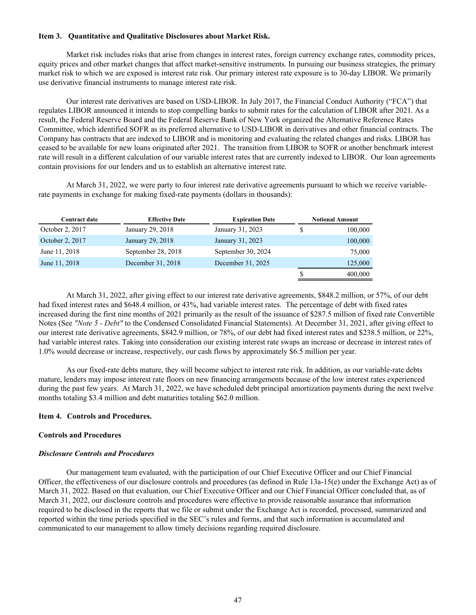#### <span id="page-49-0"></span>**Item 3. Quantitative and Qualitative Disclosures about Market Risk.**

Market risk includes risks that arise from changes in interest rates, foreign currency exchange rates, commodity prices, equity prices and other market changes that affect market-sensitive instruments. In pursuing our business strategies, the primary market risk to which we are exposed is interest rate risk. Our primary interest rate exposure is to 30-day LIBOR. We primarily use derivative financial instruments to manage interest rate risk.

Our interest rate derivatives are based on USD-LIBOR. In July 2017, the Financial Conduct Authority ("FCA") that regulates LIBOR announced it intends to stop compelling banks to submit rates for the calculation of LIBOR after 2021. As a result, the Federal Reserve Board and the Federal Reserve Bank of New York organized the Alternative Reference Rates Committee, which identified SOFR as its preferred alternative to USD-LIBOR in derivatives and other financial contracts. The Company has contracts that are indexed to LIBOR and is monitoring and evaluating the related changes and risks. LIBOR has ceased to be available for new loans originated after 2021. The transition from LIBOR to SOFR or another benchmark interest rate will result in a different calculation of our variable interest rates that are currently indexed to LIBOR. Our loan agreements contain provisions for our lenders and us to establish an alternative interest rate.

At March 31, 2022, we were party to four interest rate derivative agreements pursuant to which we receive variablerate payments in exchange for making fixed-rate payments (dollars in thousands):

| <b>Contract date</b> | <b>Effective Date</b> | <b>Expiration Date</b> | <b>Notional Amount</b> |
|----------------------|-----------------------|------------------------|------------------------|
| October 2, 2017      | January 29, 2018      | January 31, 2023       | 100,000                |
| October 2, 2017      | January 29, 2018      | January 31, 2023       | 100,000                |
| June 11, 2018        | September 28, 2018    | September 30, 2024     | 75,000                 |
| June 11, 2018        | December 31, 2018     | December 31, 2025      | 125,000                |
|                      |                       |                        | 400,000                |

At March 31, 2022, after giving effect to our interest rate derivative agreements, \$848.2 million, or 57%, of our debt had fixed interest rates and \$648.4 million, or 43%, had variable interest rates. The percentage of debt with fixed rates increased during the first nine months of 2021 primarily as the result of the issuance of \$287.5 million of fixed rate Convertible Notes (See *"Note 5 - Debt"* to the Condensed Consolidated Financial Statements). At December 31, 2021, after giving effect to our interest rate derivative agreements, \$842.9 million, or 78%, of our debt had fixed interest rates and \$238.5 million, or 22%, had variable interest rates. Taking into consideration our existing interest rate swaps an increase or decrease in interest rates of 1.0% would decrease or increase, respectively, our cash flows by approximately \$6.5 million per year.

As our fixed-rate debts mature, they will become subject to interest rate risk. In addition, as our variable-rate debts mature, lenders may impose interest rate floors on new financing arrangements because of the low interest rates experienced during the past few years. At March 31, 2022, we have scheduled debt principal amortization payments during the next twelve months totaling \$3.4 million and debt maturities totaling \$62.0 million.

#### **Item 4. Controls and Procedures.**

#### **Controls and Procedures**

#### *Disclosure Controls and Procedures*

Our management team evaluated, with the participation of our Chief Executive Officer and our Chief Financial Officer, the effectiveness of our disclosure controls and procedures (as defined in Rule 13a-15(e) under the Exchange Act) as of March 31, 2022. Based on that evaluation, our Chief Executive Officer and our Chief Financial Officer concluded that, as of March 31, 2022, our disclosure controls and procedures were effective to provide reasonable assurance that information required to be disclosed in the reports that we file or submit under the Exchange Act is recorded, processed, summarized and reported within the time periods specified in the SEC's rules and forms, and that such information is accumulated and communicated to our management to allow timely decisions regarding required disclosure.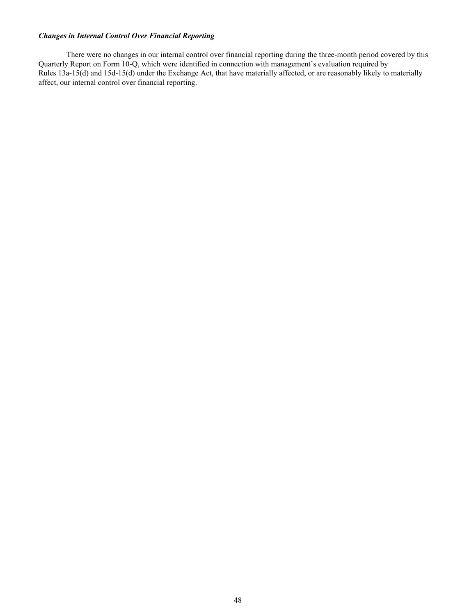# <span id="page-50-0"></span>*Changes in Internal Control Over Financial Reporting*

There were no changes in our internal control over financial reporting during the three-month period covered by this Quarterly Report on Form 10-Q, which were identified in connection with management's evaluation required by Rules 13a-15(d) and 15d-15(d) under the Exchange Act, that have materially affected, or are reasonably likely to materially affect, our internal control over financial reporting.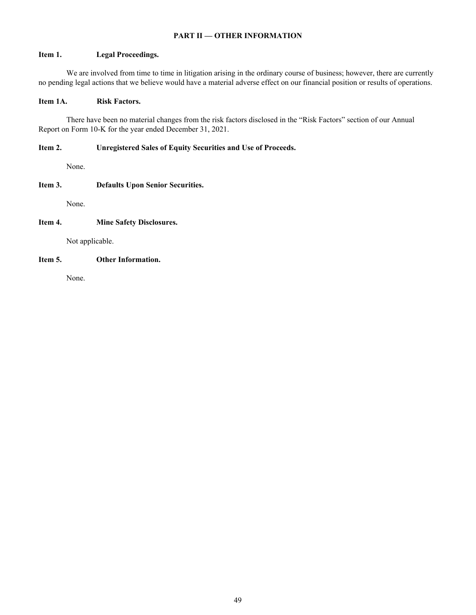## **PART II — OTHER INFORMATION**

# <span id="page-51-0"></span>**Item 1. Legal Proceedings.**

We are involved from time to time in litigation arising in the ordinary course of business; however, there are currently no pending legal actions that we believe would have a material adverse effect on our financial position or results of operations.

## **Item 1A. Risk Factors.**

There have been no material changes from the risk factors disclosed in the "Risk Factors" section of our Annual Report on Form 10-K for the year ended December 31, 2021.

## **Item 2. Unregistered Sales of Equity Securities and Use of Proceeds.**

None.

# **Item 3. Defaults Upon Senior Securities.**

None.

# **Item 4. Mine Safety Disclosures.**

Not applicable.

## **Item 5. Other Information.**

None.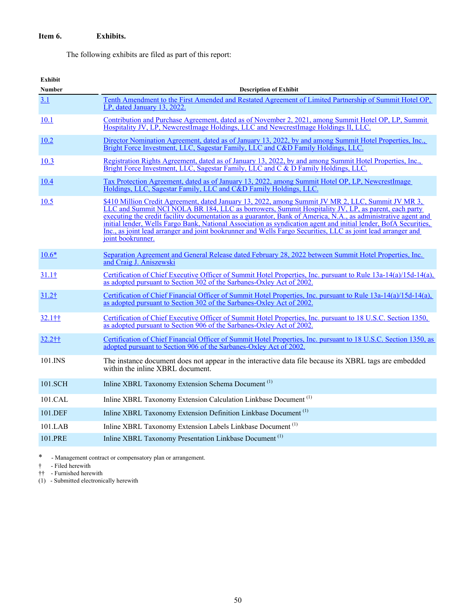#### <span id="page-52-0"></span>**Item 6. Exhibits.**

The following exhibits are filed as part of this report:

| Exhibit           |                                                                                                                                                                                                                                                                                                                                                                                                                                                                                                                                                                                     |
|-------------------|-------------------------------------------------------------------------------------------------------------------------------------------------------------------------------------------------------------------------------------------------------------------------------------------------------------------------------------------------------------------------------------------------------------------------------------------------------------------------------------------------------------------------------------------------------------------------------------|
| Number            | <b>Description of Exhibit</b>                                                                                                                                                                                                                                                                                                                                                                                                                                                                                                                                                       |
| 3.1               | Tenth Amendment to the First Amended and Restated Agreement of Limited Partnership of Summit Hotel OP,<br>LP, dated January 13, 2022.                                                                                                                                                                                                                                                                                                                                                                                                                                               |
| 10.1              | Contribution and Purchase Agreement, dated as of November 2, 2021, among Summit Hotel OP, LP, Summit<br>Hospitality JV, LP, NewcrestImage Holdings, LLC and NewcrestImage Holdings II, LLC.                                                                                                                                                                                                                                                                                                                                                                                         |
| 10.2              | Director Nomination Agreement, dated as of January 13, 2022, by and among Summit Hotel Properties, Inc.,<br>Bright Force Investment, LLC, Sagestar Family, LLC and C&D Family Holdings, LLC.                                                                                                                                                                                                                                                                                                                                                                                        |
| 10.3              | Registration Rights Agreement, dated as of January 13, 2022, by and among Summit Hotel Properties, Inc.,<br>Bright Force Investment, LLC, Sagestar Family, LLC and C & D Family Holdings, LLC.                                                                                                                                                                                                                                                                                                                                                                                      |
| 10.4              | Tax Protection Agreement, dated as of January 13, 2022, among Summit Hotel OP, LP, NewcrestImage<br>Holdings, LLC, Sagestar Family, LLC and C&D Family Holdings, LLC.                                                                                                                                                                                                                                                                                                                                                                                                               |
| 10.5              | \$410 Million Credit Agreement, dated January 13, 2022, among Summit JV MR 2, LLC, Summit JV MR 3,<br>LLC and Summit NCI NOLA BR 184, LLC as borrowers, Summit Hospitality JV, LP, as parent, each party<br>executing the credit facility documentation as a guarantor, Bank of America, N.A., as administrative agent and<br>initial lender, Wells Fargo Bank, National Association as syndication agent and initial lender, BofA Securities,<br>Inc., as joint lead arranger and joint bookrunner and Wells Fargo Securities, LLC as joint lead arranger and<br>joint bookrunner. |
| $10.6*$           | Separation Agreement and General Release dated February 28, 2022 between Summit Hotel Properties, Inc.<br>and Craig J. Aniszewski                                                                                                                                                                                                                                                                                                                                                                                                                                                   |
| 31.1 <sup>†</sup> | Certification of Chief Executive Officer of Summit Hotel Properties, Inc. pursuant to Rule 13a-14(a)/15d-14(a),<br>as adopted pursuant to Section 302 of the Sarbanes-Oxley Act of 2002.                                                                                                                                                                                                                                                                                                                                                                                            |
| 31.2 <sup>†</sup> | Certification of Chief Financial Officer of Summit Hotel Properties, Inc. pursuant to Rule 13a-14(a)/15d-14(a),<br>as adopted pursuant to Section 302 of the Sarbanes-Oxley Act of 2002.                                                                                                                                                                                                                                                                                                                                                                                            |
| 32.1††            | Certification of Chief Executive Officer of Summit Hotel Properties, Inc. pursuant to 18 U.S.C. Section 1350,<br>as adopted pursuant to Section 906 of the Sarbanes-Oxley Act of 2002.                                                                                                                                                                                                                                                                                                                                                                                              |
| 32.2社             | Certification of Chief Financial Officer of Summit Hotel Properties, Inc. pursuant to 18 U.S.C. Section 1350, as<br>adopted pursuant to Section 906 of the Sarbanes-Oxley Act of 2002.                                                                                                                                                                                                                                                                                                                                                                                              |
| 101.INS           | The instance document does not appear in the interactive data file because its XBRL tags are embedded<br>within the inline XBRL document.                                                                                                                                                                                                                                                                                                                                                                                                                                           |
| 101.SCH           | Inline XBRL Taxonomy Extension Schema Document <sup>(1)</sup>                                                                                                                                                                                                                                                                                                                                                                                                                                                                                                                       |
| 101.CAL           | Inline XBRL Taxonomy Extension Calculation Linkbase Document <sup>(1)</sup>                                                                                                                                                                                                                                                                                                                                                                                                                                                                                                         |
| 101.DEF           | Inline XBRL Taxonomy Extension Definition Linkbase Document <sup>(1)</sup>                                                                                                                                                                                                                                                                                                                                                                                                                                                                                                          |
| 101.LAB           | Inline XBRL Taxonomy Extension Labels Linkbase Document <sup>(1)</sup>                                                                                                                                                                                                                                                                                                                                                                                                                                                                                                              |
| 101.PRE           | Inline XBRL Taxonomy Presentation Linkbase Document <sup>(1)</sup>                                                                                                                                                                                                                                                                                                                                                                                                                                                                                                                  |

\* - Management contract or compensatory plan or arrangement.

† - Filed herewith

†† - Furnished herewith

(1) - Submitted electronically herewith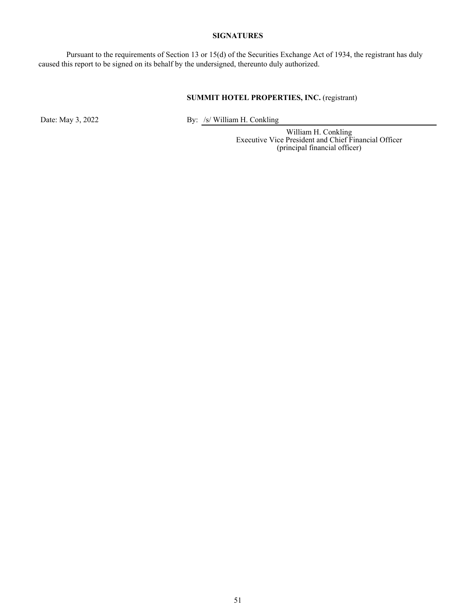## **SIGNATURES**

Pursuant to the requirements of Section 13 or 15(d) of the Securities Exchange Act of 1934, the registrant has duly caused this report to be signed on its behalf by the undersigned, thereunto duly authorized.

# **SUMMIT HOTEL PROPERTIES, INC.** (registrant)

Date: May 3, 2022 By: /s/ William H. Conkling

William H. Conkling Executive Vice President and Chief Financial Officer (principal financial officer)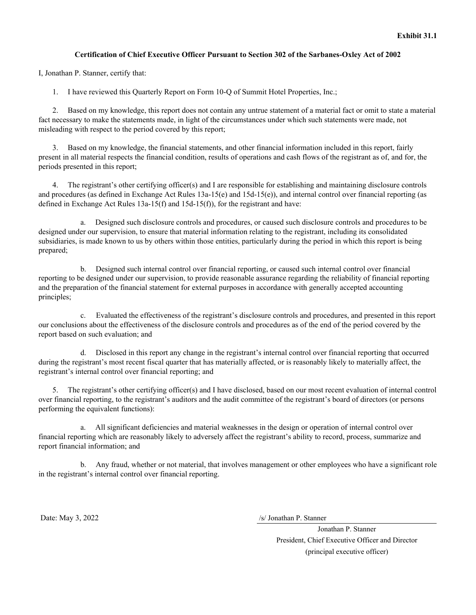#### **Certification of Chief Executive Officer Pursuant to Section 302 of the Sarbanes-Oxley Act of 2002**

<span id="page-54-0"></span>I, Jonathan P. Stanner, certify that:

1. I have reviewed this Quarterly Report on Form 10-Q of Summit Hotel Properties, Inc.;

2. Based on my knowledge, this report does not contain any untrue statement of a material fact or omit to state a material fact necessary to make the statements made, in light of the circumstances under which such statements were made, not misleading with respect to the period covered by this report;

3. Based on my knowledge, the financial statements, and other financial information included in this report, fairly present in all material respects the financial condition, results of operations and cash flows of the registrant as of, and for, the periods presented in this report;

4. The registrant's other certifying officer(s) and I are responsible for establishing and maintaining disclosure controls and procedures (as defined in Exchange Act Rules 13a-15(e) and 15d-15(e)), and internal control over financial reporting (as defined in Exchange Act Rules 13a-15(f) and 15d-15(f)), for the registrant and have:

a. Designed such disclosure controls and procedures, or caused such disclosure controls and procedures to be designed under our supervision, to ensure that material information relating to the registrant, including its consolidated subsidiaries, is made known to us by others within those entities, particularly during the period in which this report is being prepared;

b. Designed such internal control over financial reporting, or caused such internal control over financial reporting to be designed under our supervision, to provide reasonable assurance regarding the reliability of financial reporting and the preparation of the financial statement for external purposes in accordance with generally accepted accounting principles;

c. Evaluated the effectiveness of the registrant's disclosure controls and procedures, and presented in this report our conclusions about the effectiveness of the disclosure controls and procedures as of the end of the period covered by the report based on such evaluation; and

d. Disclosed in this report any change in the registrant's internal control over financial reporting that occurred during the registrant's most recent fiscal quarter that has materially affected, or is reasonably likely to materially affect, the registrant's internal control over financial reporting; and

5. The registrant's other certifying officer(s) and I have disclosed, based on our most recent evaluation of internal control over financial reporting, to the registrant's auditors and the audit committee of the registrant's board of directors (or persons performing the equivalent functions):

a. All significant deficiencies and material weaknesses in the design or operation of internal control over financial reporting which are reasonably likely to adversely affect the registrant's ability to record, process, summarize and report financial information; and

b. Any fraud, whether or not material, that involves management or other employees who have a significant role in the registrant's internal control over financial reporting.

Date: May 3, 2022 /s/ Jonathan P. Stanner

Jonathan P. Stanner President, Chief Executive Officer and Director (principal executive officer)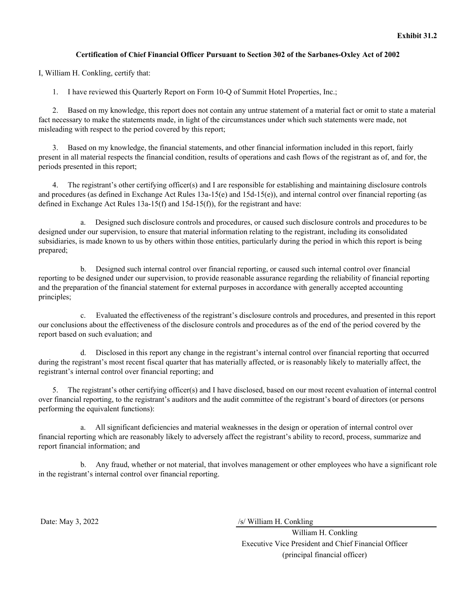## **Certification of Chief Financial Officer Pursuant to Section 302 of the Sarbanes-Oxley Act of 2002**

<span id="page-55-0"></span>I, William H. Conkling, certify that:

1. I have reviewed this Quarterly Report on Form 10-Q of Summit Hotel Properties, Inc.;

2. Based on my knowledge, this report does not contain any untrue statement of a material fact or omit to state a material fact necessary to make the statements made, in light of the circumstances under which such statements were made, not misleading with respect to the period covered by this report;

3. Based on my knowledge, the financial statements, and other financial information included in this report, fairly present in all material respects the financial condition, results of operations and cash flows of the registrant as of, and for, the periods presented in this report;

4. The registrant's other certifying officer(s) and I are responsible for establishing and maintaining disclosure controls and procedures (as defined in Exchange Act Rules 13a-15(e) and 15d-15(e)), and internal control over financial reporting (as defined in Exchange Act Rules 13a-15(f) and 15d-15(f)), for the registrant and have:

a. Designed such disclosure controls and procedures, or caused such disclosure controls and procedures to be designed under our supervision, to ensure that material information relating to the registrant, including its consolidated subsidiaries, is made known to us by others within those entities, particularly during the period in which this report is being prepared;

b. Designed such internal control over financial reporting, or caused such internal control over financial reporting to be designed under our supervision, to provide reasonable assurance regarding the reliability of financial reporting and the preparation of the financial statement for external purposes in accordance with generally accepted accounting principles;

c. Evaluated the effectiveness of the registrant's disclosure controls and procedures, and presented in this report our conclusions about the effectiveness of the disclosure controls and procedures as of the end of the period covered by the report based on such evaluation; and

d. Disclosed in this report any change in the registrant's internal control over financial reporting that occurred during the registrant's most recent fiscal quarter that has materially affected, or is reasonably likely to materially affect, the registrant's internal control over financial reporting; and

5. The registrant's other certifying officer(s) and I have disclosed, based on our most recent evaluation of internal control over financial reporting, to the registrant's auditors and the audit committee of the registrant's board of directors (or persons performing the equivalent functions):

a. All significant deficiencies and material weaknesses in the design or operation of internal control over financial reporting which are reasonably likely to adversely affect the registrant's ability to record, process, summarize and report financial information; and

b. Any fraud, whether or not material, that involves management or other employees who have a significant role in the registrant's internal control over financial reporting.

Date: May 3, 2022 /s/ William H. Conkling

William H. Conkling Executive Vice President and Chief Financial Officer (principal financial officer)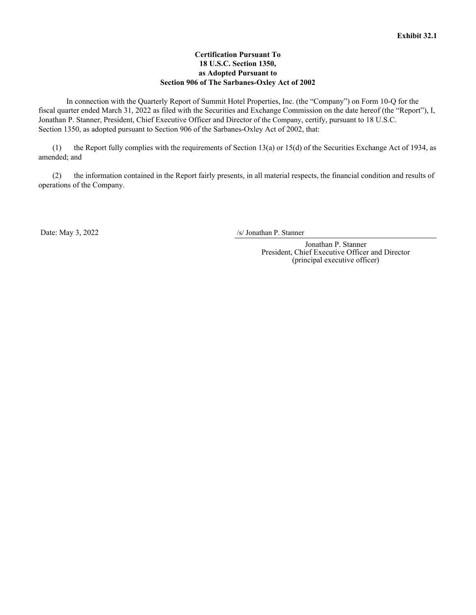#### **Certification Pursuant To 18 U.S.C. Section 1350, as Adopted Pursuant to Section 906 of The Sarbanes-Oxley Act of 2002**

In connection with the Quarterly Report of Summit Hotel Properties, Inc. (the "Company") on Form 10-Q for the fiscal quarter ended March 31, 2022 as filed with the Securities and Exchange Commission on the date hereof (the "Report"), I, Jonathan P. Stanner, President, Chief Executive Officer and Director of the Company, certify, pursuant to 18 U.S.C. Section 1350, as adopted pursuant to Section 906 of the Sarbanes-Oxley Act of 2002, that:

(1) the Report fully complies with the requirements of Section 13(a) or 15(d) of the Securities Exchange Act of 1934, as amended; and

(2) the information contained in the Report fairly presents, in all material respects, the financial condition and results of operations of the Company.

Date: May 3, 2022 /s/ Jonathan P. Stanner

Jonathan P. Stanner President, Chief Executive Officer and Director (principal executive officer)